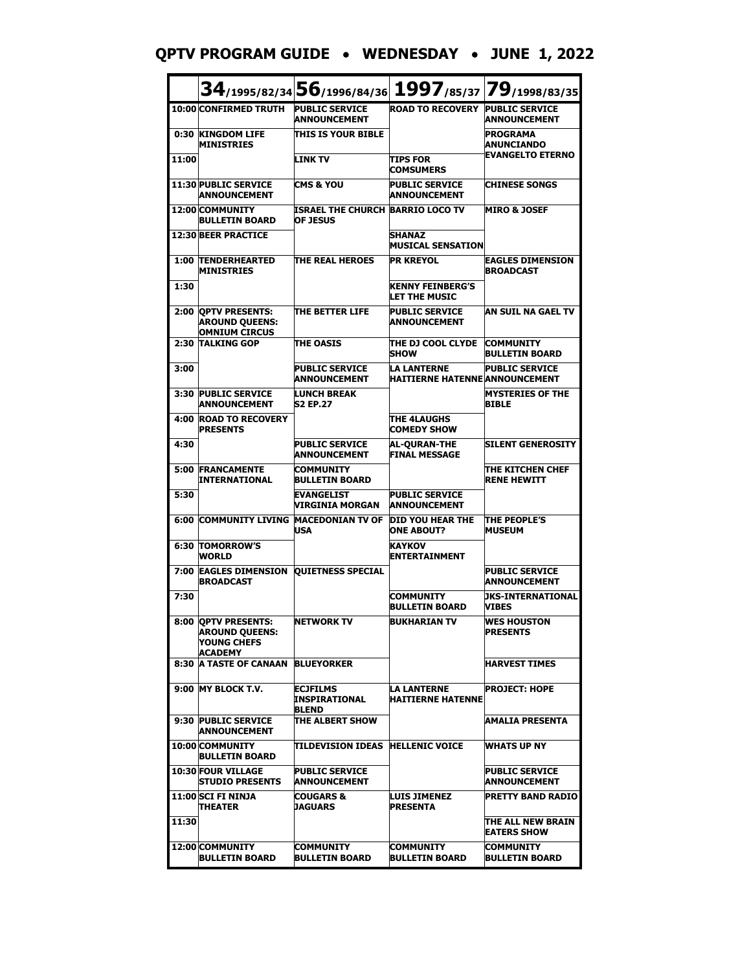**QPTV PROGRAM GUIDE** • **WEDNESDAY** • **JUNE 1, 2022**

|       |                                                                               | 34/1995/82/34 56/1996/84/36 1997/85/37 79/1998/83/35       |                                                             |                                              |
|-------|-------------------------------------------------------------------------------|------------------------------------------------------------|-------------------------------------------------------------|----------------------------------------------|
|       | 10:00 CONFIRMED TRUTH                                                         | <b>PUBLIC SERVICE</b><br><b>ANNOUNCEMENT</b>               | <b>ROAD TO RECOVERY</b>                                     | <b>PUBLIC SERVICE</b><br><b>ANNOUNCEMENT</b> |
|       | 0:30 KINGDOM LIFE<br><b>MINISTRIES</b>                                        | THIS IS YOUR BIBLE                                         |                                                             | <b>PROGRAMA</b><br><b>ANUNCIANDO</b>         |
| 11:00 |                                                                               | <b>LINK TV</b>                                             | <b>TIPS FOR</b><br><b>COMSUMERS</b>                         | <b>EVANGELTO ETERNO</b>                      |
|       | <b>11:30 PUBLIC SERVICE</b><br>ANNOUNCEMENT                                   | <b>CMS &amp; YOU</b>                                       | <b>PUBLIC SERVICE</b><br><b>ANNOUNCEMENT</b>                | <b>CHINESE SONGS</b>                         |
|       | 12:00 COMMUNITY<br><b>BULLETIN BOARD</b>                                      | <b>ISRAEL THE CHURCH BARRIO LOCO TV</b><br><b>OF JESUS</b> |                                                             | <b>MIRO &amp; JOSEF</b>                      |
|       | <b>12:30 BEER PRACTICE</b>                                                    |                                                            | SHANAZ<br><b>MUSICAL SENSATION</b>                          |                                              |
| 1:00  | <b>TENDERHEARTED</b><br><b>MINISTRIES</b>                                     | THE REAL HEROES                                            | <b>PR KREYOL</b>                                            | <b>EAGLES DIMENSION</b><br><b>BROADCAST</b>  |
| 1:30  |                                                                               |                                                            | <b>KENNY FEINBERG'S</b><br>LET THE MUSIC                    |                                              |
| 2:00  | <b>QPTV PRESENTS:</b><br><b>AROUND QUEENS:</b><br><b>OMNIUM CIRCUS</b>        | THE BETTER LIFE                                            | <b>PUBLIC SERVICE</b><br><b>ANNOUNCEMENT</b>                | AN SUIL NA GAEL TV                           |
|       | 2:30 TALKING GOP                                                              | <b>THE OASIS</b>                                           | ITHE DJ COOL CLYDE<br><b>SHOW</b>                           | <b>COMMUNITY</b><br><b>BULLETIN BOARD</b>    |
| 3:00  |                                                                               | <b>PUBLIC SERVICE</b><br><b>ANNOUNCEMENT</b>               | <b>LA LANTERNE</b><br><b>HAITIERNE HATENNE ANNOUNCEMENT</b> | <b>PUBLIC SERVICE</b>                        |
| 3:30  | <b>PUBLIC SERVICE</b><br>ANNOUNCEMENT                                         | <b>LUNCH BREAK</b><br><b>S2 EP.27</b>                      |                                                             | <b>MYSTERIES OF THE</b><br><b>BIBLE</b>      |
|       | <b>4:00 ROAD TO RECOVERY</b><br><b>PRESENTS</b>                               |                                                            | <b>THE 4LAUGHS</b><br><b>COMEDY SHOW</b>                    |                                              |
| 4:30  |                                                                               | <b>PUBLIC SERVICE</b><br><b>ANNOUNCEMENT</b>               | <b>AL-QURAN-THE</b><br><b>FINAL MESSAGE</b>                 | <b>SILENT GENEROSITY</b>                     |
| 5:00  | <b>FRANCAMENTE</b><br>INTERNATIONAL                                           | <b>COMMUNITY</b><br><b>BULLETIN BOARD</b>                  |                                                             | ITHE KITCHEN CHEF<br><b>RENE HEWITT</b>      |
| 5:30  |                                                                               | <b>EVANGELIST</b><br>VIRGINIA MORGAN                       | <b>PUBLIC SERVICE</b><br><b>ANNOUNCEMENT</b>                |                                              |
| 6:00  | <b>COMMUNITY LIVING</b>                                                       | <b>MACEDONIAN TV OF</b><br><b>USA</b>                      | <b>DID YOU HEAR THE</b><br><b>ONE ABOUT?</b>                | <b>THE PEOPLE'S</b><br><b>MUSEUM</b>         |
|       | <b>6:30 TOMORROW'S</b><br><b>WORLD</b>                                        |                                                            | <b>KAYKOV</b><br><b>ENTERTAINMENT</b>                       |                                              |
|       | <b>7:00 EAGLES DIMENSION</b><br><b>BROADCAST</b>                              | <b>OUIETNESS SPECIAL</b>                                   |                                                             | <b>PUBLIC SERVICE</b><br><b>ANNOUNCEMENT</b> |
| 7:30  |                                                                               |                                                            | <b>COMMUNITY</b><br><b>BULLETIN BOARD</b>                   | <b>UKS-INTERNATIONAL</b><br><b>VIBES</b>     |
|       | 8:00 QPTV PRESENTS:<br><b>AROUND QUEENS:</b><br>YOUNG CHEFS<br><b>ACADEMY</b> | <b>NETWORK TV</b>                                          | <b>BUKHARIAN TV</b>                                         | <b>WES HOUSTON</b><br><b>PRESENTS</b>        |
| 8:30  | <b>A TASTE OF CANAAN</b>                                                      | <b>BLUEYORKER</b>                                          |                                                             | <b>HARVEST TIMES</b>                         |
|       | 9:00 MY BLOCK T.V.                                                            | <b>ECJFILMS</b><br>INSPIRATIONAL<br><b>BLEND</b>           | LA LANTERNE<br><b>HAITIERNE HATENNE</b>                     | <b>IPROJECT: HOPE</b>                        |
|       | 9:30 PUBLIC SERVICE<br><b>ANNOUNCEMENT</b>                                    | THE ALBERT SHOW                                            |                                                             | AMALIA PRESENTA                              |
|       | 10:00 COMMUNITY<br><b>BULLETIN BOARD</b>                                      | TILDEVISION IDEAS   HELLENIC VOICE                         |                                                             | <b>WHATS UP NY</b>                           |
|       | <b>10:30 FOUR VILLAGE</b><br><b>STUDIO PRESENTS</b>                           | <b>PUBLIC SERVICE</b><br><b>ANNOUNCEMENT</b>               |                                                             | <b>PUBLIC SERVICE</b><br><b>ANNOUNCEMENT</b> |
|       | <b>11:00 SCI FI NINJA</b><br><b>THEATER</b>                                   | <b>COUGARS &amp;</b><br>JAGUARS                            | <b>LUIS JIMENEZ</b><br><b>PRESENTA</b>                      | <b>PRETTY BAND RADIO</b>                     |
| 11:30 |                                                                               |                                                            |                                                             | THE ALL NEW BRAIN<br><b>EATERS SHOW</b>      |
|       | 12:00 COMMUNITY<br>BULLETIN BOARD                                             | <b>COMMUNITY</b><br><b>BULLETIN BOARD</b>                  | <b>COMMUNITY</b><br><b>BULLETIN BOARD</b>                   | <b>COMMUNITY</b><br>BULLETIN BOARD           |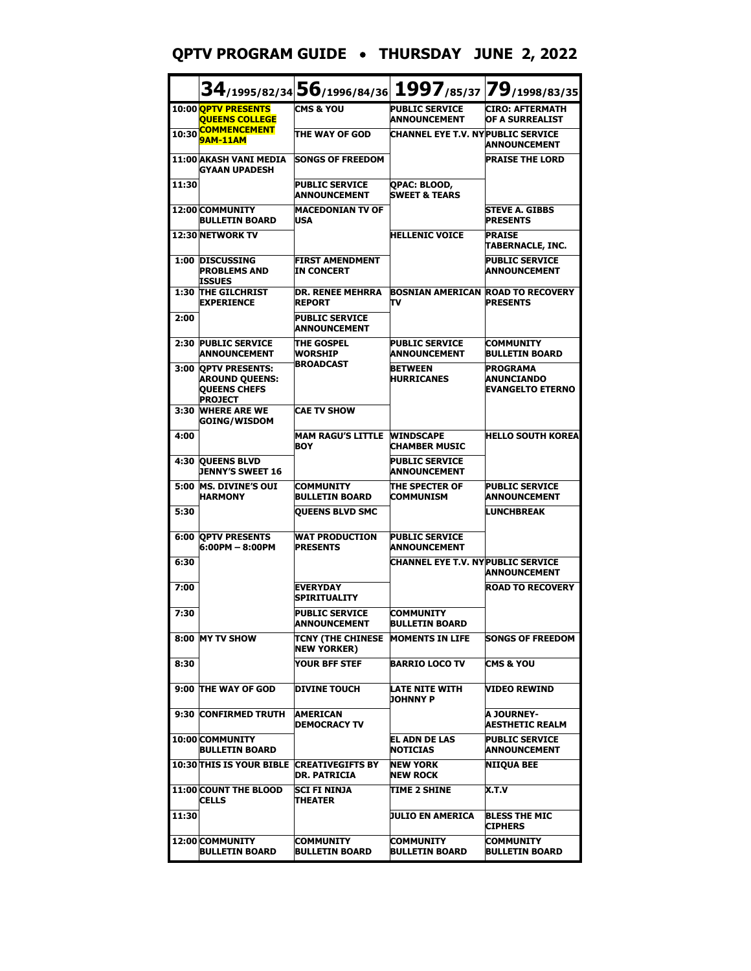# **QPTV PROGRAM GUIDE** • **THURSDAY JUNE 2, 2022**

|       |                                                                                         | $34_{/1995/82/34}$ 56 $_{/1996/84/36}$ 1997 $_{/85/37}$ 79 $_{/1998/83/35}$ |                                                |                                                                 |
|-------|-----------------------------------------------------------------------------------------|-----------------------------------------------------------------------------|------------------------------------------------|-----------------------------------------------------------------|
|       | 10:00 OPTV PRESENTS<br><b>QUEENS COLLEGE</b>                                            | <b>CMS &amp; YOU</b>                                                        | <b>PUBLIC SERVICE</b><br><b>ANNOUNCEMENT</b>   | <b>CIRO: AFTERMATH</b><br>OF A SURREALIST                       |
| 10:30 | <b>COMMENCEMENT</b><br><b>9AM-11AM</b>                                                  | THE WAY OF GOD                                                              | <b>CHANNEL EYE T.V. NY PUBLIC SERVICE</b>      | <b>ANNOUNCEMENT</b>                                             |
|       | 11:00 AKASH VANI MEDIA<br>GYAAN UPADESH                                                 | <b>SONGS OF FREEDOM</b>                                                     |                                                | <b>PRAISE THE LORD</b>                                          |
| 11:30 |                                                                                         | <b>PUBLIC SERVICE</b><br><b>ANNOUNCEMENT</b>                                | QPAC: BLOOD,<br><b>SWEET &amp; TEARS</b>       |                                                                 |
|       | 12:00 COMMUNITY<br><b>BULLETIN BOARD</b>                                                | <b>MACEDONIAN TV OF</b><br>USA                                              |                                                | <b>STEVE A. GIBBS</b><br><b>PRESENTS</b>                        |
|       | 12:30 NETWORK TV                                                                        |                                                                             | <b>HELLENIC VOICE</b>                          | <b>PRAISE</b><br>TABERNACLE, INC.                               |
|       | 1:00 DISCUSSING<br><b>PROBLEMS AND</b><br><b>ISSUES</b>                                 | <b>FIRST AMENDMENT</b><br><b>IN CONCERT</b>                                 |                                                | <b>PUBLIC SERVICE</b><br><b>ANNOUNCEMENT</b>                    |
|       | 1:30 THE GILCHRIST<br><b>EXPERIENCE</b>                                                 | <b>DR. RENEE MEHRRA</b><br><b>REPORT</b>                                    | <b>BOSNIAN AMERICAN ROAD TO RECOVERY</b><br>πv | <b>PRESENTS</b>                                                 |
| 2:00  |                                                                                         | <b>PUBLIC SERVICE</b><br><b>ANNOUNCEMENT</b>                                |                                                |                                                                 |
|       | 2:30 PUBLIC SERVICE<br><b>ANNOUNCEMENT</b>                                              | <b>THE GOSPEL</b><br><b>WORSHIP</b>                                         | <b>PUBLIC SERVICE</b><br><b>ANNOUNCEMENT</b>   | <b>COMMUNITY</b><br><b>BULLETIN BOARD</b>                       |
|       | 3:00   QPTV PRESENTS:<br><b>AROUND QUEENS:</b><br><b>QUEENS CHEFS</b><br><b>PROJECT</b> | <b>BROADCAST</b>                                                            | <b>BETWEEN</b><br><b>HURRICANES</b>            | <b>PROGRAMA</b><br><b>ANUNCIANDO</b><br><b>EVANGELTO ETERNO</b> |
| 3:30  | <b>WHERE ARE WE</b><br><b>GOING/WISDOM</b>                                              | <b>CAE TV SHOW</b>                                                          |                                                |                                                                 |
| 4:00  |                                                                                         | <b>MAM RAGU'S LITTLE</b><br><b>BOY</b>                                      | <b>WINDSCAPE</b><br><b>CHAMBER MUSIC</b>       | <b>HELLO SOUTH KOREA</b>                                        |
|       | 4:30 QUEENS BLVD<br><b>JENNY'S SWEET 16</b>                                             |                                                                             | <b>PUBLIC SERVICE</b><br><b>ANNOUNCEMENT</b>   |                                                                 |
|       | 5:00 MS. DIVINE'S OUI<br><b>HARMONY</b>                                                 | <b>COMMUNITY</b><br><b>BULLETIN BOARD</b>                                   | THE SPECTER OF<br><b>COMMUNISM</b>             | <b>PUBLIC SERVICE</b><br><b>ANNOUNCEMENT</b>                    |
| 5:30  |                                                                                         | <b>QUEENS BLVD SMC</b>                                                      |                                                | <b>LUNCHBREAK</b>                                               |
| 6:00  | <b>OPTV PRESENTS</b><br>6:00PM - 8:00PM                                                 | <b>WAT PRODUCTION</b><br><b>PRESENTS</b>                                    | <b>PUBLIC SERVICE</b><br><b>ANNOUNCEMENT</b>   |                                                                 |
| 6:30  |                                                                                         |                                                                             | CHANNEL EYE T.V. NYPUBLIC SERVICE              | <b>ANNOUNCEMENT</b>                                             |
| 7:00  |                                                                                         | <b>EVERYDAY</b><br>SPIRITUALITY                                             |                                                | <b>ROAD TO RECOVERY</b>                                         |
| 7:30  |                                                                                         | <b>PUBLIC SERVICE</b><br>ANNOUNCEMENT                                       | <b>COMMUNITY</b><br>BULLE I IN BOAKD           |                                                                 |
|       | 8:00 MY TV SHOW                                                                         | TCNY (THE CHINESE MOMENTS IN LIFE<br><b>NEW YORKER)</b>                     |                                                | <b>SONGS OF FREEDOM</b>                                         |
| 8:30  |                                                                                         | YOUR BFF STEF                                                               | BARRIO LOCO TV                                 | <b>CMS &amp; YOU</b>                                            |
|       | 9:00 THE WAY OF GOD                                                                     | <b>DIVINE TOUCH</b>                                                         | LATE NITE WITH<br><b>JOHNNY P</b>              | <b>VIDEO REWIND</b>                                             |
| 9:30  | <b>CONFIRMED TRUTH</b>                                                                  | <b>AMERICAN</b><br><b>DEMOCRACY TV</b>                                      |                                                | <b>A JOURNEY-</b><br><b>AESTHETIC REALM</b>                     |
|       | 10:00 COMMUNITY<br><b>BULLETIN BOARD</b>                                                |                                                                             | <b>EL ADN DE LAS</b><br><b>NOTICIAS</b>        | <b>PUBLIC SERVICE</b><br><b>ANNOUNCEMENT</b>                    |
|       | 10:30 THIS IS YOUR BIBLE                                                                | <b>CREATIVEGIFTS BY</b><br>DR. PATRICIA                                     | <b>NEW YORK</b><br><b>NEW ROCK</b>             | <b>NIIOUA BEE</b>                                               |
|       | 11:00 COUNT THE BLOOD<br><b>CELLS</b>                                                   | SCI FI NINJA<br><b>THEATER</b>                                              | TIME 2 SHINE                                   | X.T.V                                                           |
| 11:30 |                                                                                         |                                                                             | <b>JULIO EN AMERICA</b>                        | <b>BLESS THE MIC</b><br><b>CIPHERS</b>                          |
|       | 12:00 COMMUNITY<br><b>BULLETIN BOARD</b>                                                | <b>COMMUNITY</b><br><b>BULLETIN BOARD</b>                                   | COMMUNITY<br><b>BULLETIN BOARD</b>             | <b>COMMUNITY</b><br><b>BULLETIN BOARD</b>                       |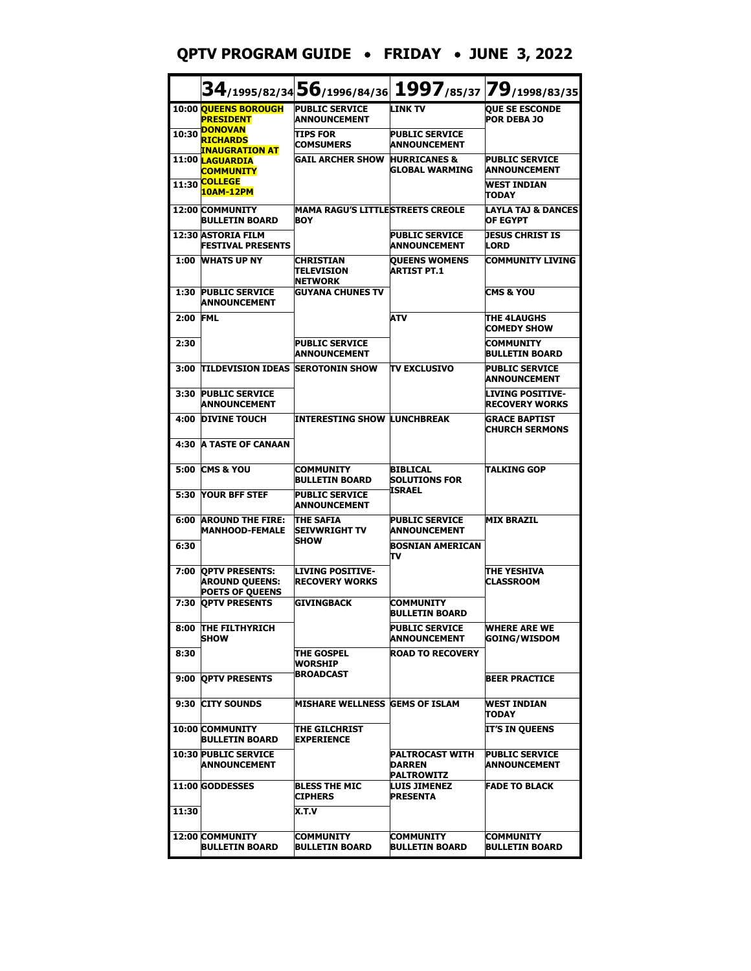## **QPTV PROGRAM GUIDE** • **FRIDAY** • **JUNE 3, 2022**

|       |                                                                          |                                                          | $\bf{34}$ /1995/82/34 $\bf{56}$ /1996/84/36 $\bf{1997}$ /85/37 $\bf{79}$ /1998/83/35 |                                                  |
|-------|--------------------------------------------------------------------------|----------------------------------------------------------|--------------------------------------------------------------------------------------|--------------------------------------------------|
|       | 10:00 OUEENS BOROUGH<br><b>PRESIDENT</b>                                 | <b>PUBLIC SERVICE</b><br><b>ANNOUNCEMENT</b>             | <b>LINK TV</b>                                                                       | <b>OUE SE ESCONDE</b><br><b>POR DEBA 10</b>      |
| 10:30 | <b>DONOVAN</b><br><b>RICHARDS</b><br><u>INAUGRATION AT</u>               | <b>TIPS FOR</b><br><b>COMSUMERS</b>                      | <b>PUBLIC SERVICE</b><br><b>ANNOUNCEMENT</b>                                         |                                                  |
|       | 11:00 <b>LAGUARDIA</b><br><b>COMMUNITY</b>                               | <b>GAIL ARCHER SHOW</b>                                  | <b>HURRICANES &amp;</b><br>GLOBAL WARMING                                            | <b>PUBLIC SERVICE</b><br><b>ANNOUNCEMENT</b>     |
| 11:30 | <b>COLLEGE</b><br><b>10AM-12PM</b>                                       |                                                          |                                                                                      | <b>WEST INDIAN</b><br><b>TODAY</b>               |
|       | 12:00 COMMUNITY<br><b>BULLETIN BOARD</b>                                 | <b>MAMA RAGU'S LITTLESTREETS CREOLE</b><br><b>BOY</b>    |                                                                                      | LAYLA TAJ & DANCES<br><b>OF EGYPT</b>            |
|       | 12:30 ASTORIA FILM<br><b>FESTIVAL PRESENTS</b>                           |                                                          | <b>PUBLIC SERVICE</b><br><b>ANNOUNCEMENT</b>                                         | <b>JESUS CHRIST IS</b><br><b>LORD</b>            |
| 1:00  | <b>WHATS UP NY</b>                                                       | CHRISTIAN<br><b>TELEVISION</b><br><b>NETWORK</b>         | <b>QUEENS WOMENS</b><br><b>ARTIST PT.1</b>                                           | <b>COMMUNITY LIVING</b>                          |
| 1:30  | <b>PUBLIC SERVICE</b><br><b>ANNOUNCEMENT</b>                             | <b>GUYANA CHUNES TV</b>                                  |                                                                                      | <b>CMS &amp; YOU</b>                             |
| 2:00  | <b>FML</b>                                                               |                                                          | ATV                                                                                  | <b>THE 4LAUGHS</b><br><b>COMEDY SHOW</b>         |
| 2:30  |                                                                          | <b>PUBLIC SERVICE</b><br><b>ANNOUNCEMENT</b>             |                                                                                      | <b>COMMUNITY</b><br><b>BULLETIN BOARD</b>        |
| 3:00  | <b>TILDEVISION IDEAS SEROTONIN SHOW</b>                                  |                                                          | <b>TV EXCLUSIVO</b>                                                                  | <b>PUBLIC SERVICE</b><br><b>ANNOUNCEMENT</b>     |
| 3:30  | <b>PUBLIC SERVICE</b><br><b>ANNOUNCEMENT</b>                             |                                                          |                                                                                      | <b>LIVING POSITIVE-</b><br><b>RECOVERY WORKS</b> |
| 4:00  | <b>DIVINE TOUCH</b>                                                      | <b>INTERESTING SHOW LUNCHBREAK</b>                       |                                                                                      | <b>GRACE BAPTIST</b><br><b>CHURCH SERMONS</b>    |
| 4:30  | <b>A TASTE OF CANAAN</b>                                                 |                                                          |                                                                                      |                                                  |
| 5:00  | <b>CMS &amp; YOU</b>                                                     | <b>COMMUNITY</b><br><b>BULLETIN BOARD</b>                | BIBLICAL<br><b>SOLUTIONS FOR</b><br><b>ISRAEL</b>                                    | ITALKING GOP                                     |
| 5:30  | <b>YOUR BFF STEF</b>                                                     | <b>PUBLIC SERVICE</b><br><b>ANNOUNCEMENT</b>             |                                                                                      |                                                  |
| 6:00  | <b>AROUND THE FIRE:</b><br><b>MANHOOD-FEMALE</b>                         | <b>THE SAFIA</b><br><b>ISEIVWRIGHT TV</b><br><b>SHOW</b> | <b>PUBLIC SERVICE</b><br><b>ANNOUNCEMENT</b>                                         | <b>MIX BRAZIL</b>                                |
| 6:30  |                                                                          |                                                          | <b>BOSNIAN AMERICAN</b><br>πv                                                        |                                                  |
| 7:00  | <b>QPTV PRESENTS:</b><br><b>AROUND QUEENS:</b><br><b>POETS OF QUEENS</b> | <b>LIVING POSITIVE-</b><br><b>IRECOVERY WORKS</b>        |                                                                                      | <b>THE YESHIVA</b><br><b>CLASSROOM</b>           |
| 7:30  | <b>OPTV PRESENTS</b>                                                     | <b>GIVINGBACK</b>                                        | COMMUNITY<br><b>BULLETIN BOARD</b>                                                   |                                                  |
|       | 8:00 THE FILTHYRICH<br><b>SHOW</b>                                       |                                                          | <b>PUBLIC SERVICE</b><br><b>ANNOUNCEMENT</b>                                         | <b>WHERE ARE WE</b><br><b>GOING/WISDOM</b>       |
| 8:30  |                                                                          | THE GOSPEL<br><b>WORSHIP</b>                             | <b>ROAD TO RECOVERY</b>                                                              |                                                  |
|       | 9:00 OPTV PRESENTS                                                       | <b>BROADCAST</b>                                         |                                                                                      | <b>BEER PRACTICE</b>                             |
| 9:30  | <b>CITY SOUNDS</b>                                                       | <b>MISHARE WELLNESS GEMS OF ISLAM</b>                    |                                                                                      | <b>WEST INDIAN</b><br><b>TODAY</b>               |
|       | 10:00 COMMUNITY<br><b>BULLETIN BOARD</b>                                 | <b>THE GILCHRIST</b><br><b>EXPERIENCE</b>                |                                                                                      | <b>IT'S IN QUEENS</b>                            |
|       | <b>10:30 PUBLIC SERVICE</b><br><b>ANNOUNCEMENT</b>                       |                                                          | <b>PALTROCAST WITH</b><br><b>DARREN</b><br><b>PALTROWITZ</b>                         | <b>PUBLIC SERVICE</b><br><b>ANNOUNCEMENT</b>     |
|       | 11:00 GODDESSES                                                          | <b>BLESS THE MIC</b><br><b>CIPHERS</b>                   | <b>LUIS JIMENEZ</b><br><b>PRESENTA</b>                                               | <b>FADE TO BLACK</b>                             |
| 11:30 |                                                                          | X.T.V                                                    |                                                                                      |                                                  |
|       | 12:00 COMMUNITY<br><b>BULLETIN BOARD</b>                                 | <b>COMMUNITY</b><br><b>BULLETIN BOARD</b>                | <b>COMMUNITY</b><br><b>BULLETIN BOARD</b>                                            | <b>COMMUNITY</b><br><b>BULLETIN BOARD</b>        |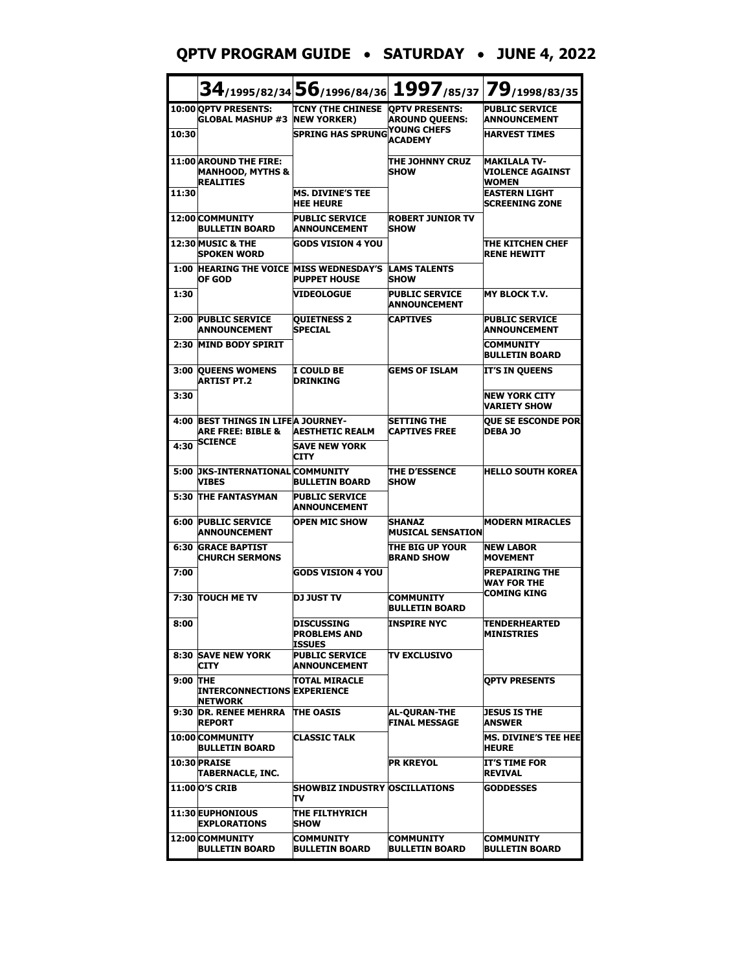#### **QPTV PROGRAM GUIDE** • **SATURDAY** • **JUNE 4, 2022**

|          |                                                                                  |                                                        |                                              | 34/1995/82/34 56/1996/84/36 1997/85/37 79/1998/83/35    |
|----------|----------------------------------------------------------------------------------|--------------------------------------------------------|----------------------------------------------|---------------------------------------------------------|
|          | 10:00 QPTV PRESENTS:<br><b>GLOBAL MASHUP #3</b>                                  | TCNY (THE CHINESE OPTV PRESENTS:<br><b>NEW YORKER)</b> | <b>AROUND QUEENS:</b>                        | <b>PUBLIC SERVICE</b><br><b>ANNOUNCEMENT</b>            |
| 10:30    |                                                                                  | <b>SPRING HAS SPRUNG</b>                               | <b>YOUNG CHEFS</b><br><b>ACADEMY</b>         | <b>HARVEST TIMES</b>                                    |
|          | <b>11:00 AROUND THE FIRE:</b><br><b>MANHOOD, MYTHS &amp;</b><br><b>REALITIES</b> |                                                        | THE JOHNNY CRUZ<br><b>SHOW</b>               | <b>MAKILALA TV-</b><br>VIOLENCE AGAINST<br><b>WOMEN</b> |
| 11:30    |                                                                                  | <b>MS. DIVINE'S TEE</b><br><b>HEE HEURE</b>            |                                              | EASTERN LIGHT<br><b>SCREENING ZONE</b>                  |
|          | 12:00 COMMUNITY<br><b>BULLETIN BOARD</b>                                         | <b>PUBLIC SERVICE</b><br><b>ANNOUNCEMENT</b>           | <b>ROBERT JUNIOR TV</b><br><b>SHOW</b>       |                                                         |
|          | 12:30 MUSIC & THE<br><b>SPOKEN WORD</b>                                          | <b>GODS VISION 4 YOU</b>                               |                                              | <b>THE KITCHEN CHEF</b><br><b>RENE HEWITT</b>           |
|          | <b>1:00 HEARING THE VOICE MISS WEDNESDAY'S</b><br>OF GOD                         | <b>PUPPET HOUSE</b>                                    | <b>LAMS TALENTS</b><br><b>SHOW</b>           |                                                         |
| 1:30     |                                                                                  | <b>VIDEOLOGUE</b>                                      | <b>PUBLIC SERVICE</b><br><b>ANNOUNCEMENT</b> | <b>MY BLOCK T.V.</b>                                    |
|          | 2:00 PUBLIC SERVICE<br><b>ANNOUNCEMENT</b>                                       | <b>QUIETNESS 2</b><br><b>SPECIAL</b>                   | <b>CAPTIVES</b>                              | <b>PUBLIC SERVICE</b><br><b>ANNOUNCEMENT</b>            |
| 2:30     | <b>MIND BODY SPIRIT</b>                                                          |                                                        |                                              | <b>COMMUNITY</b><br><b>BULLETIN BOARD</b>               |
| 3:00     | <b>QUEENS WOMENS</b><br><b>ARTIST PT.2</b>                                       | <b>I COULD BE</b><br><b>DRINKING</b>                   | <b>GEMS OF ISLAM</b>                         | IT'S IN QUEENS                                          |
| 3:30     |                                                                                  |                                                        |                                              | <b>NEW YORK CITY</b><br><b>VARIETY SHOW</b>             |
| 4:00     | <b>BEST THINGS IN LIFEA JOURNEY-</b><br><b>ARE FREE: BIBLE &amp;</b>             | <b>AESTHETIC REALM</b>                                 | <b>SETTING THE</b><br><b>CAPTIVES FREE</b>   | <b>OUE SE ESCONDE POR</b><br><b>DEBA JO</b>             |
| 4:30     | <b>SCIENCE</b>                                                                   | <b>SAVE NEW YORK</b><br><b>CITY</b>                    |                                              |                                                         |
| 5:00     | <b>JKS-INTERNATIONAL COMMUNITY</b><br><b>VIBES</b>                               | <b>BULLETIN BOARD</b>                                  | <b>THE D'ESSENCE</b><br><b>SHOW</b>          | <b>HELLO SOUTH KOREA</b>                                |
|          | <b>5:30 THE FANTASYMAN</b>                                                       | <b>PUBLIC SERVICE</b><br><b>ANNOUNCEMENT</b>           |                                              |                                                         |
| 6:00     | <b>PUBLIC SERVICE</b><br><b>ANNOUNCEMENT</b>                                     | <b>OPEN MIC SHOW</b>                                   | <b>SHANAZ</b><br><b>MUSICAL SENSATION</b>    | <b>MODERN MIRACLES</b>                                  |
|          | <b>6:30 GRACE BAPTIST</b><br><b>CHURCH SERMONS</b>                               |                                                        | THE BIG UP YOUR<br><b>BRAND SHOW</b>         | <b>NEW LABOR</b><br><b>MOVEMENT</b>                     |
| 7:00     |                                                                                  | <b>GODS VISION 4 YOU</b>                               |                                              | <b>PREPAIRING THE</b><br><b>WAY FOR THE</b>             |
|          | 7:30 TOUCH ME TV                                                                 | <b>DJ JUST TV</b>                                      | <b>COMMUNITY</b><br><b>BULLETIN BOARD</b>    | COMING KING                                             |
| 8:00     |                                                                                  | DISCUSSING<br><b>PROBLEMS AND</b><br>ISSUES            | INSPIRE NYC                                  | TENDERHEARTED<br><b>MINISTRIES</b>                      |
| 8:30     | <b>SAVE NEW YORK</b><br><b>CITY</b>                                              | <b>PUBLIC SERVICE</b><br><b>ANNOUNCEMENT</b>           | <b>TV EXCLUSIVO</b>                          |                                                         |
| 9:00 THE | <b>INTERCONNECTIONS EXPERIENCE</b><br><b>NETWORK</b>                             | TOTAL MIRACLE                                          |                                              | <b>OPTV PRESENTS</b>                                    |
|          | 9:30 DR. RENEE MEHRRA<br><b>REPORT</b>                                           | <b>THE OASIS</b>                                       | <b>AL-OURAN-THE</b><br><b>FINAL MESSAGE</b>  | <b>JESUS IS THE</b><br><b>ANSWER</b>                    |
|          | 10:00 COMMUNITY<br><b>BULLETIN BOARD</b>                                         | <b>CLASSIC TALK</b>                                    |                                              | MS. DIVINE'S TEE HEE<br><b>HEURE</b>                    |
|          | 10:30 PRAISE<br>TABERNACLE, INC.                                                 |                                                        | <b>PR KREYOL</b>                             | IT'S TIME FOR<br><b>REVIVAL</b>                         |
|          | 11:00 O'S CRIB                                                                   | <b>SHOWBIZ INDUSTRY OSCILLATIONS</b><br>Tν             |                                              | <b>GODDESSES</b>                                        |
|          | 11:30 EUPHONIOUS<br><b>EXPLORATIONS</b>                                          | THE FILTHYRICH<br><b>ISHOW</b>                         |                                              |                                                         |
|          | 12:00 COMMUNITY<br><b>BULLETIN BOARD</b>                                         | <b>COMMUNITY</b><br><b>BULLETIN BOARD</b>              | <b>COMMUNITY</b><br><b>BULLETIN BOARD</b>    | <b>COMMUNITY</b><br><b>BULLETIN BOARD</b>               |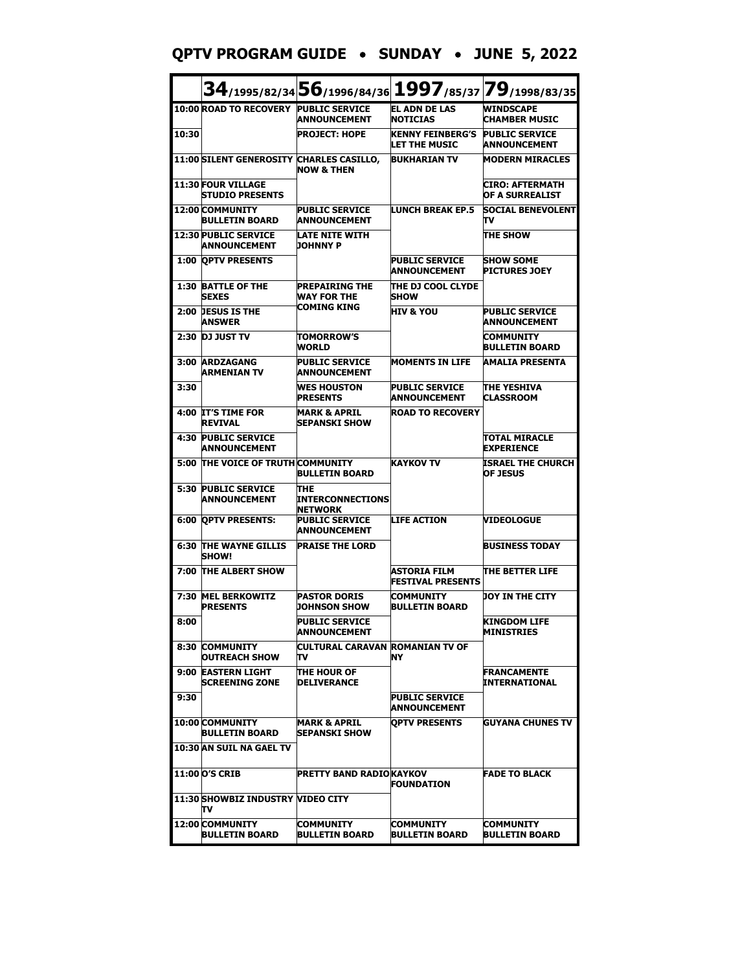**QPTV PROGRAM GUIDE** • **SUNDAY** • **JUNE 5, 2022**

|       |                                                     | 34/1995/82/34 56/1996/84/36 1997/85/37 79/1998/83/35 |                                                 |                                              |
|-------|-----------------------------------------------------|------------------------------------------------------|-------------------------------------------------|----------------------------------------------|
|       | 10:00 ROAD TO RECOVERY PUBLIC SERVICE               | <b>ANNOUNCEMENT</b>                                  | <b>EL ADN DE LAS</b><br><b>NOTICIAS</b>         | <b>WINDSCAPE</b><br><b>CHAMBER MUSIC</b>     |
| 10:30 |                                                     | <b>PROJECT: HOPE</b>                                 | <b>KENNY FEINBERG'S</b><br><b>LET THE MUSIC</b> | <b>PUBLIC SERVICE</b><br><b>ANNOUNCEMENT</b> |
|       | 11:00 SILENT GENEROSITY                             | <b>CHARLES CASILLO,</b><br><b>NOW &amp; THEN</b>     | <b>BUKHARIAN TV</b>                             | <b>MODERN MIRACLES</b>                       |
|       | <b>11:30 FOUR VILLAGE</b><br><b>STUDIO PRESENTS</b> |                                                      |                                                 | CIRO: AFTERMATH<br>OF A SURREALIST           |
|       | 12:00 COMMUNITY<br><b>BULLETIN BOARD</b>            | <b>PUBLIC SERVICE</b><br><b>ANNOUNCEMENT</b>         | <b>LUNCH BREAK EP.5</b>                         | <b>SOCIAL BENEVOLENT</b><br>Tν               |
|       | <b>12:30 PUBLIC SERVICE</b><br>ANNOUNCEMENT         | <b>LATE NITE WITH</b><br><b>JOHNNY P</b>             |                                                 | <b>THE SHOW</b>                              |
|       | <b>1:00 OPTV PRESENTS</b>                           |                                                      | <b>PUBLIC SERVICE</b><br><b>ANNOUNCEMENT</b>    | <b>SHOW SOME</b><br><b>PICTURES JOEY</b>     |
| 1:30  | <b>BATTLE OF THE</b><br><b>SEXES</b>                | PREPAIRING THE<br><b>WAY FOR THE</b>                 | THE DJ COOL CLYDE<br><b>SHOW</b>                |                                              |
|       | 2:00 DESUS IS THE<br><b>ANSWER</b>                  | COMING KING                                          | <b>HIV &amp; YOU</b>                            | <b>PUBLIC SERVICE</b><br><b>ANNOUNCEMENT</b> |
| 2:30  | <b>DJ JUST TV</b>                                   | TOMORROW'S<br><b>WORLD</b>                           |                                                 | <b>COMMUNITY</b><br><b>BULLETIN BOARD</b>    |
| 3:00  | <b>ARDZAGANG</b><br><b>ARMENIAN TV</b>              | <b>PUBLIC SERVICE</b><br><b>ANNOUNCEMENT</b>         | <b>MOMENTS IN LIFE</b>                          | <b>AMALIA PRESENTA</b>                       |
| 3:30  |                                                     | <b>WES HOUSTON</b><br><b>PRESENTS</b>                | <b>PUBLIC SERVICE</b><br><b>ANNOUNCEMENT</b>    | <b>THE YESHIVA</b><br><b>CLASSROOM</b>       |
|       | 4:00 IT'S TIME FOR<br><b>REVIVAL</b>                | <b>MARK &amp; APRIL</b><br>ISEPANSKI SHOW            | <b>ROAD TO RECOVERY</b>                         |                                              |
| 4:30  | <b>PUBLIC SERVICE</b><br><b>ANNOUNCEMENT</b>        |                                                      |                                                 | <b>TOTAL MIRACLE</b><br><b>EXPERIENCE</b>    |
|       | 5:00 THE VOICE OF TRUTHICOMMUNITY                   | <b>BULLETIN BOARD</b>                                | <b>KAYKOV TV</b>                                | <b>ISRAEL THE CHURCH</b><br><b>OF JESUS</b>  |
| 5:30  | <b>PUBLIC SERVICE</b><br><b>ANNOUNCEMENT</b>        | THE<br>INTERCONNECTIONS<br>NETWORK                   |                                                 |                                              |
|       | <b>6:00 OPTV PRESENTS:</b>                          | <b>PUBLIC SERVICE</b><br><b>ANNOUNCEMENT</b>         | <b>LIFE ACTION</b>                              | <b>VIDEOLOGUE</b>                            |
|       | <b>6:30 THE WAYNE GILLIS</b><br><b>SHOW!</b>        | <b>PRAISE THE LORD</b>                               |                                                 | <b>BUSINESS TODAY</b>                        |
|       | 7:00 THE ALBERT SHOW                                |                                                      | ASTORIA FILM<br><b>FESTIVAL PRESENTS</b>        | <b>THE BETTER LIFE</b>                       |
|       | 7:30 MEL BERKOWITZ<br><b>PRESENTS</b>               | <b>PASTOR DORIS</b><br><b>JOHNSON SHOW</b>           | <b>COMMUNITY</b><br>BULLETIN BOARD              | UOY IN THE CITY                              |
| 8:00  |                                                     | <b>PUBLIC SERVICE</b><br>ANNOUNCEMENT                |                                                 | <b>KINGDOM LIFE</b><br>MINISTRIES            |
|       | 8:30 COMMUNITY<br><b>OUTREACH SHOW</b>              | CULTURAL CARAVAN ROMANIAN TV OF<br>Tν                | NY                                              |                                              |
|       | 9:00 EASTERN LIGHT<br><b>SCREENING ZONE</b>         | THE HOUR OF<br><b>DELIVERANCE</b>                    |                                                 | <b>FRANCAMENTE</b><br>INTERNATIONAL          |
| 9:30  |                                                     |                                                      | <b>PUBLIC SERVICE</b><br>ANNOUNCEMENT           |                                              |
|       | 10:00 COMMUNITY<br><b>BULLETIN BOARD</b>            | MARK & APRIL<br><b>SEPANSKI SHOW</b>                 | <b>OPTV PRESENTS</b>                            | <b>GUYANA CHUNES TV</b>                      |
|       | 10:30 AN SUIL NA GAEL TV                            |                                                      |                                                 |                                              |
|       | 11:00 O'S CRIB                                      | PRETTY BAND RADIOKAYKOV                              | <b>FOUNDATION</b>                               | <b>FADE TO BLACK</b>                         |
|       | 11:30 SHOWBIZ INDUSTRY VIDEO CITY<br>т٧             |                                                      |                                                 |                                              |
|       | <b>12:00 COMMUNITY</b><br><b>BULLETIN BOARD</b>     | COMMUNITY<br>BULLETIN BOARD                          | <b>COMMUNITY</b><br><b>BULLETIN BOARD</b>       | <b>COMMUNITY</b><br>BULLETIN BOARD           |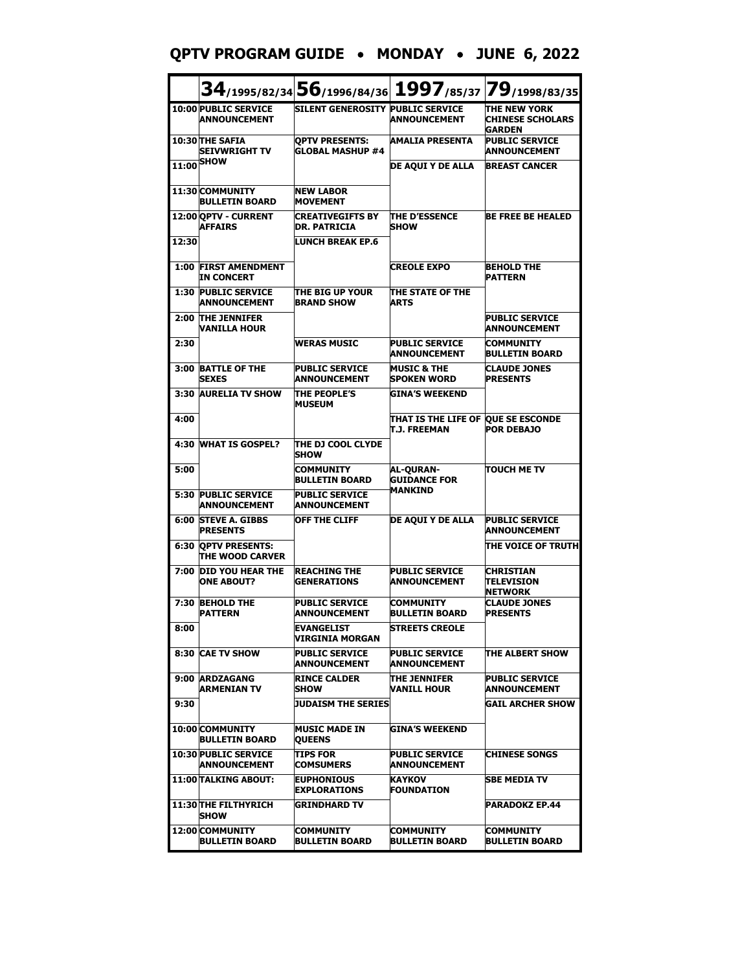## **QPTV PROGRAM GUIDE** • **MONDAY** • **JUNE 6, 2022**

|       |                                                    | 34/1995/82/34 56/1996/84/36 1997/85/37 79/1998/83/35 |                                                           |                                                          |
|-------|----------------------------------------------------|------------------------------------------------------|-----------------------------------------------------------|----------------------------------------------------------|
|       | <b>10:00 PUBLIC SERVICE</b><br><b>ANNOUNCEMENT</b> | SILENT GENEROSITY PUBLIC SERVICE                     | <b>ANNOUNCEMENT</b>                                       | THE NEW YORK<br><b>CHINESE SCHOLARS</b><br><b>GARDEN</b> |
|       | 10:30 THE SAFIA<br><b>SEIVWRIGHT TV</b>            | <b>OPTV PRESENTS:</b><br><b>GLOBAL MASHUP #4</b>     | <b>AMALIA PRESENTA</b>                                    | <b>PUBLIC SERVICE</b><br><b>ANNOUNCEMENT</b>             |
| 11:00 | <b>SHOW</b>                                        |                                                      | <b>DE AQUI Y DE ALLA</b>                                  | <b>BREAST CANCER</b>                                     |
|       | 11:30 COMMUNITY<br><b>BULLETIN BOARD</b>           | <b>NEW LABOR</b><br><b>MOVEMENT</b>                  |                                                           |                                                          |
|       | 12:00 OPTV - CURRENT<br><b>AFFAIRS</b>             | <b>CREATIVEGIFTS BY</b><br><b>DR. PATRICIA</b>       | <b>THE D'ESSENCE</b><br><b>SHOW</b>                       | <b>BE FREE BE HEALED</b>                                 |
| 12:30 |                                                    | <b>LUNCH BREAK EP.6</b>                              |                                                           |                                                          |
|       | <b>1:00 FIRST AMENDMENT</b><br>IN CONCERT          |                                                      | <b>CREOLE EXPO</b>                                        | <b>BEHOLD THE</b><br><b>PATTERN</b>                      |
| 1:30  | <b>PUBLIC SERVICE</b><br><b>ANNOUNCEMENT</b>       | THE BIG UP YOUR<br><b>BRAND SHOW</b>                 | ITHE STATE OF THE<br><b>ARTS</b>                          |                                                          |
| 2:00  | <b>THE JENNIFER</b><br>VANILLA HOUR                |                                                      |                                                           | <b>PUBLIC SERVICE</b><br><b>ANNOUNCEMENT</b>             |
| 2:30  |                                                    | <b>WERAS MUSIC</b>                                   | <b>PUBLIC SERVICE</b><br><b>ANNOUNCEMENT</b>              | <b>COMMUNITY</b><br><b>BULLETIN BOARD</b>                |
| 3:00  | <b>BATTLE OF THE</b><br><b>SEXES</b>               | <b>PUBLIC SERVICE</b><br>ANNOUNCEMENT                | <b>MUSIC &amp; THE</b><br><b>SPOKEN WORD</b>              | <b>CLAUDE JONES</b><br><b>PRESENTS</b>                   |
|       | 3:30 AURELIA TV SHOW                               | THE PEOPLE'S<br><b>MUSEUM</b>                        | <b>GINA'S WEEKEND</b>                                     |                                                          |
| 4:00  |                                                    |                                                      | THAT IS THE LIFE OF QUE SE ESCONDE<br><b>T.J. FREEMAN</b> | <b>POR DEBAJO</b>                                        |
| 4:30  | <b>WHAT IS GOSPEL?</b>                             | THE DJ COOL CLYDE<br><b>SHOW</b>                     |                                                           |                                                          |
| 5:00  |                                                    | <b>COMMUNITY</b><br><b>BULLETIN BOARD</b>            | <b>AL-OURAN-</b><br><b>GUIDANCE FOR</b>                   | <b>TOUCH ME TV</b>                                       |
| 5:30  | <b>PUBLIC SERVICE</b><br><b>ANNOUNCEMENT</b>       | <b>PUBLIC SERVICE</b><br>ANNOUNCEMENT                | <b>MANKIND</b>                                            |                                                          |
| 6:00  | <b>STEVE A. GIBBS</b><br><b>PRESENTS</b>           | <b>OFF THE CLIFF</b>                                 | DE AQUI Y DE ALLA                                         | <b>PUBLIC SERVICE</b><br><b>ANNOUNCEMENT</b>             |
|       | <b>6:30 OPTV PRESENTS:</b><br>THE WOOD CARVER      |                                                      |                                                           | THE VOICE OF TRUTH                                       |
| 7:00  | <b>DID YOU HEAR THE</b><br><b>ONE ABOUT?</b>       | <b>REACHING THE</b><br><b>GENERATIONS</b>            | <b>PUBLIC SERVICE</b><br><b>ANNOUNCEMENT</b>              | <b>CHRISTIAN</b><br><b>TELEVISION</b><br><b>NETWORK</b>  |
| 7:30  | <b>BEHOLD THE</b><br><b>PATTERN</b>                | <b>PUBLIC SERVICE</b><br><b>ANNOUNCEMENT</b>         | <b>COMMUNITY</b><br>BULLETIN BOARD                        | <b>CLAUDE JONES</b><br><b>PRESENTS</b>                   |
| 8:00  |                                                    | EVANGELIST<br>VIRGINIA MORGAN                        | <b>STREETS CREOLE</b>                                     |                                                          |
|       | 8:30 CAE TV SHOW                                   | <b>PUBLIC SERVICE</b><br>ANNOUNCEMENT                | <b>PUBLIC SERVICE</b><br><b>ANNOUNCEMENT</b>              | THE ALBERT SHOW                                          |
|       | 9:00 ARDZAGANG<br><b>ARMENIAN TV</b>               | <b>RINCE CALDER</b><br>SHOW                          | THE JENNIFER<br><b>VANILL HOUR</b>                        | <b>PUBLIC SERVICE</b><br><b>ANNOUNCEMENT</b>             |
| 9:30  |                                                    | <b>JUDAISM THE SERIES</b>                            |                                                           | <b>GAIL ARCHER SHOW</b>                                  |
|       | 10:00 COMMUNITY<br><b>BULLETIN BOARD</b>           | <b>MUSIC MADE IN</b><br><b>QUEENS</b>                | <b>GINA'S WEEKEND</b>                                     |                                                          |
|       | <b>10:30 PUBLIC SERVICE</b><br><b>ANNOUNCEMENT</b> | <b>TIPS FOR</b><br><b>COMSUMERS</b>                  | <b>PUBLIC SERVICE</b><br><b>ANNOUNCEMENT</b>              | <b>CHINESE SONGS</b>                                     |
|       | <b>11:00 TALKING ABOUT:</b>                        | <b>EUPHONIOUS</b><br><b>EXPLORATIONS</b>             | <b>KAYKOV</b><br><b>FOUNDATION</b>                        | SBE MEDIA TV                                             |
|       | 11:30 THE FILTHYRICH<br><b>SHOW</b>                | <b>GRINDHARD TV</b>                                  |                                                           | <b>PARADOKZ EP.44</b>                                    |
|       | 12:00 COMMUNITY<br><b>BULLETIN BOARD</b>           | <b>COMMUNITY</b><br><b>BULLETIN BOARD</b>            | <b>COMMUNITY</b><br><b>BULLETIN BOARD</b>                 | COMMUNITY<br><b>BULLETIN BOARD</b>                       |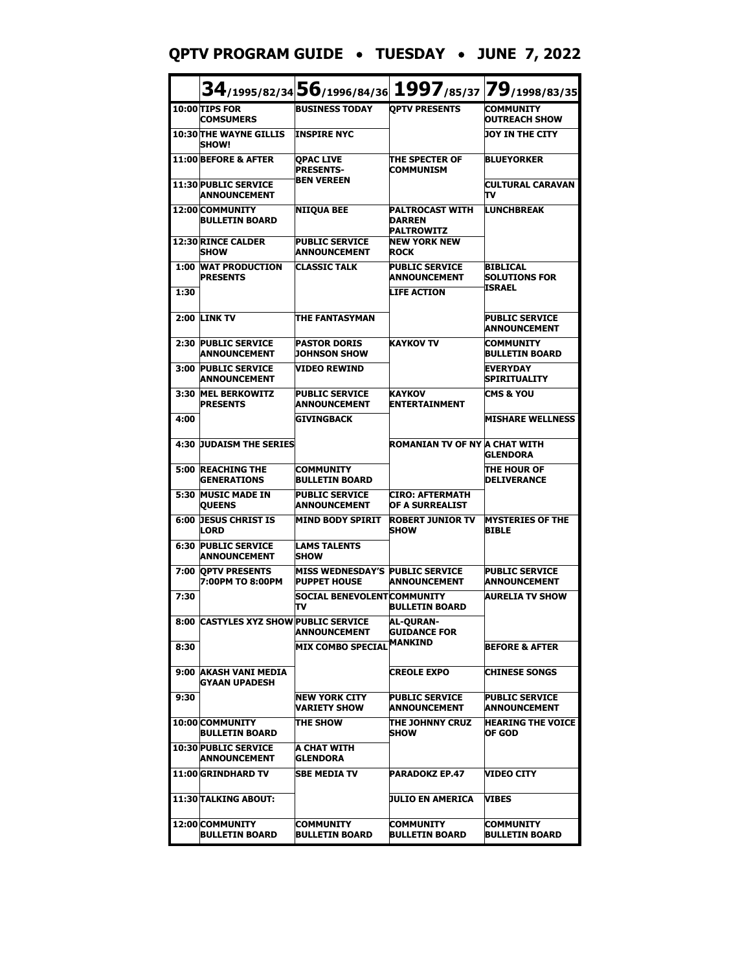## **QPTV PROGRAM GUIDE** • **TUESDAY** • **JUNE 7, 2022**

|      |                                                    |                                                               |                                                              | 34/1995/82/34 56/1996/84/36 1997/85/37 79/1998/83/35 |
|------|----------------------------------------------------|---------------------------------------------------------------|--------------------------------------------------------------|------------------------------------------------------|
|      | 10:00 TIPS FOR<br><b>COMSUMERS</b>                 | <b>BUSINESS TODAY</b>                                         | <b>OPTV PRESENTS</b>                                         | COMMUNITY<br><b>OUTREACH SHOW</b>                    |
|      | <b>10:30 THE WAYNE GILLIS</b><br><b>SHOW!</b>      | <b>INSPIRE NYC</b>                                            |                                                              | <b>JOY IN THE CITY</b>                               |
|      | 11:00 BEFORE & AFTER                               | <b>OPAC LIVE</b><br><b>PRESENTS-</b>                          | <b>THE SPECTER OF</b><br><b>COMMUNISM</b>                    | <b>BLUEYORKER</b>                                    |
|      | <b>11:30 PUBLIC SERVICE</b><br><b>ANNOUNCEMENT</b> | <b>BEN VEREEN</b>                                             |                                                              | CULTURAL CARAVAN<br>т٧                               |
|      | 12:00 COMMUNITY<br><b>BULLETIN BOARD</b>           | <b>NIIQUA BEE</b>                                             | <b>PALTROCAST WITH</b><br><b>DARREN</b><br><b>PALTROWITZ</b> | <b>LUNCHBREAK</b>                                    |
|      | <b>12:30 RINCE CALDER</b><br><b>SHOW</b>           | <b>PUBLIC SERVICE</b><br><b>ANNOUNCEMENT</b>                  | <b>NEW YORK NEW</b><br><b>ROCK</b>                           |                                                      |
|      | <b>1:00 WAT PRODUCTION</b><br><b>PRESENTS</b>      | <b>CLASSIC TALK</b>                                           | <b>PUBLIC SERVICE</b><br><b>ANNOUNCEMENT</b>                 | <b>BIBLICAL</b><br><b>SOLUTIONS FOR</b>              |
| 1:30 |                                                    |                                                               | <b>LIFE ACTION</b>                                           | ISRAEL                                               |
|      | <b>2:00 LINK TV</b>                                | <b>THE FANTASYMAN</b>                                         |                                                              | <b>PUBLIC SERVICE</b><br>ANNOUNCEMENT                |
| 2:30 | <b>PUBLIC SERVICE</b><br><b>ANNOUNCEMENT</b>       | <b>PASTOR DORIS</b><br><b>JOHNSON SHOW</b>                    | <b>KAYKOV TV</b>                                             | <b>COMMUNITY</b><br><b>BULLETIN BOARD</b>            |
| 3:00 | <b>PUBLIC SERVICE</b><br><b>ANNOUNCEMENT</b>       | <b>VIDEO REWIND</b>                                           |                                                              | <b>EVERYDAY</b><br><b>SPIRITUALITY</b>               |
| 3:30 | <b>MEL BERKOWITZ</b><br><b>PRESENTS</b>            | <b>PUBLIC SERVICE</b><br><b>ANNOUNCEMENT</b>                  | KAYKOV<br><b>ENTERTAINMENT</b>                               | <b>CMS &amp; YOU</b>                                 |
| 4:00 |                                                    | <b>GIVINGBACK</b>                                             |                                                              | <b>MISHARE WELLNESS</b>                              |
|      | <b>4:30 JUDAISM THE SERIES</b>                     |                                                               | ROMANIAN TV OF NY A CHAT WITH                                | <b>GLENDORA</b>                                      |
|      | <b>5:00 REACHING THE</b><br><b>GENERATIONS</b>     | <b>COMMUNITY</b><br><b>BULLETIN BOARD</b>                     |                                                              | THE HOUR OF<br><b>DELIVERANCE</b>                    |
|      | 5:30 MUSIC MADE IN<br><b>QUEENS</b>                | <b>PUBLIC SERVICE</b><br><b>ANNOUNCEMENT</b>                  | CIRO: AFTERMATH<br>OF A SURREALIST                           |                                                      |
|      | <b>6:00 DESUS CHRIST IS</b><br><b>LORD</b>         | <b>MIND BODY SPIRIT</b>                                       | <b>ROBERT JUNIOR TV</b><br><b>SHOW</b>                       | <b>MYSTERIES OF THE</b><br><b>BIBLE</b>              |
|      | <b>6:30 PUBLIC SERVICE</b><br><b>ANNOUNCEMENT</b>  | <b>LAMS TALENTS</b><br><b>SHOW</b>                            |                                                              |                                                      |
|      | 7:00 OPTV PRESENTS<br>7:00PM TO 8:00PM             | <b>MISS WEDNESDAY'S PUBLIC SERVICE</b><br><b>PUPPET HOUSE</b> | <b>ANNOUNCEMENT</b>                                          | <b>PUBLIC SERVICE</b><br><b>ANNOUNCEMENT</b>         |
| 7:30 |                                                    | <b>SOCIAL BENEVOLENT COMMUNITY</b><br>πv                      | BULLETIN BOARD                                               | <b>AURELIA TV SHOW</b>                               |
|      | 8:00 CASTYLES XYZ SHOW PUBLIC SERVICE              | <b>ANNOUNCEMENT</b>                                           | <b>AL-QURAN-</b><br><b>GUIDANCE FOR</b>                      |                                                      |
| 8:30 |                                                    | <b>MIX COMBO SPECIAL</b>                                      | <b>MANKIND</b>                                               | <b>BEFORE &amp; AFTER</b>                            |
|      | 9:00 AKASH VANI MEDIA<br>GYAAN UPADESH             |                                                               | <b>CREOLE EXPO</b>                                           | <b>CHINESE SONGS</b>                                 |
| 9:30 |                                                    | INEW YORK CITY<br><b>VARIETY SHOW</b>                         | <b>PUBLIC SERVICE</b><br><b>ANNOUNCEMENT</b>                 | <b>PUBLIC SERVICE</b><br><b>ANNOUNCEMENT</b>         |
|      | 10:00 COMMUNITY<br><b>BULLETIN BOARD</b>           | THE SHOW                                                      | THE JOHNNY CRUZ<br><b>SHOW</b>                               | <b>HEARING THE VOICE</b><br>OF GOD                   |
|      | <b>10:30 PUBLIC SERVICE</b><br><b>ANNOUNCEMENT</b> | A CHAT WITH<br><b>GLENDORA</b>                                |                                                              |                                                      |
|      | 11:00 GRINDHARD TV                                 | <b>SBE MEDIA TV</b>                                           | PARADOKZ EP.47                                               | VIDEO CITY                                           |
|      | 11:30 TALKING ABOUT:                               |                                                               | UULIO EN AMERICA                                             | VIBES                                                |
|      | 12:00 COMMUNITY<br>BULLETIN BOARD                  | COMMUNITY<br><b>BULLETIN BOARD</b>                            | COMMUNITY<br>BULLETIN BOARD                                  | <b>COMMUNITY</b><br>BULLETIN BOARD                   |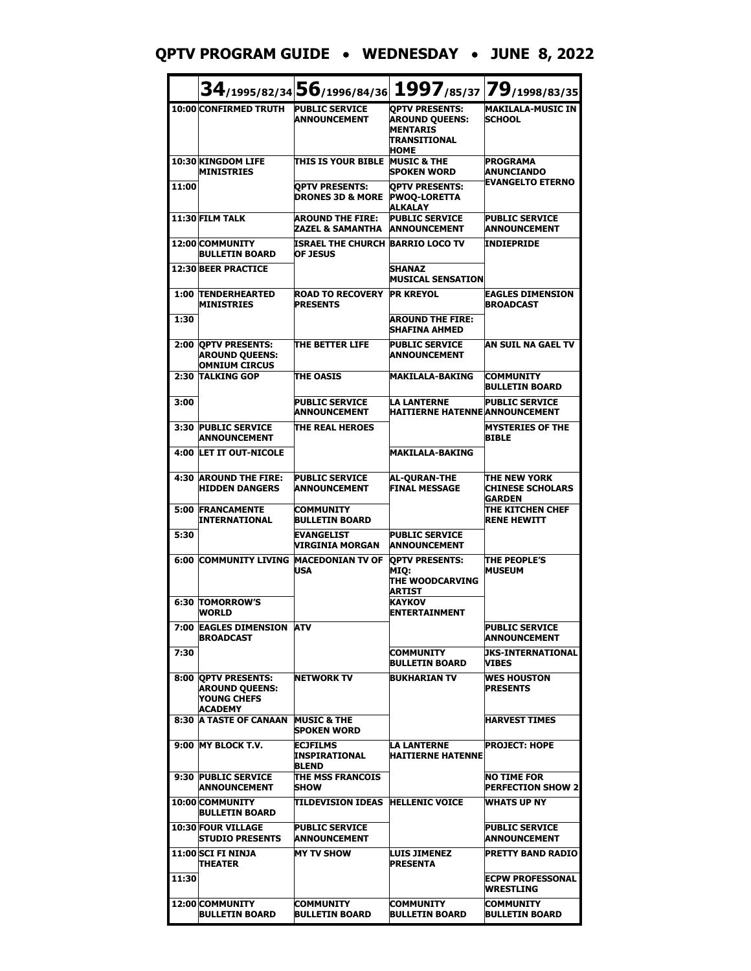# **QPTV PROGRAM GUIDE** • **WEDNESDAY** • **JUNE 8, 2022**

|       |                                                                               | $34_{/1995/82/34}$ 56/1996/84/36                        |                                                                                                  | 1997/85/37 79/1998/83/35                                 |
|-------|-------------------------------------------------------------------------------|---------------------------------------------------------|--------------------------------------------------------------------------------------------------|----------------------------------------------------------|
|       | 10:00 CONFIRMED TRUTH                                                         | <b>PUBLIC SERVICE</b><br><b>ANNOUNCEMENT</b>            | <b>OPTV PRESENTS:</b><br><b>AROUND QUEENS:</b><br><b>MENTARIS</b><br>TRANSITIONAL<br><b>HOME</b> | <b>MAKILALA-MUSIC IN</b><br><b>SCHOOL</b>                |
|       | 10:30 KINGDOM LIFE<br><b>MINISTRIES</b>                                       | <b>THIS IS YOUR BIBLE</b>                               | <b>MUSIC &amp; THE</b><br><b>SPOKEN WORD</b>                                                     | <b>PROGRAMA</b><br><b>ANUNCIANDO</b>                     |
| 11:00 |                                                                               | <b>OPTV PRESENTS:</b><br><b>DRONES 3D &amp; MORE</b>    | <b>OPTV PRESENTS:</b><br><b>PWOQ-LORETTA</b><br><b>ALKALAY</b>                                   | <b>EVANGELTO ETERNO</b>                                  |
|       | 11:30 FILM TALK                                                               | <b>AROUND THE FIRE:</b><br>ZAZEL & SAMANTHA             | <b>PUBLIC SERVICE</b><br><b>ANNOUNCEMENT</b>                                                     | <b>PUBLIC SERVICE</b><br><b>ANNOUNCEMENT</b>             |
|       | 12:00 COMMUNITY<br><b>BULLETIN BOARD</b>                                      | <b>ISRAEL THE CHURCH</b><br><b>OF JESUS</b>             | <b>BARRIO LOCO TV</b>                                                                            | <b>INDIEPRIDE</b>                                        |
|       | 12:30 BEER PRACTICE                                                           |                                                         | <b>SHANAZ</b><br><b>MUSICAL SENSATION</b>                                                        |                                                          |
|       | <b>1:00 TENDERHEARTED</b><br><b>MINISTRIES</b>                                | <b>ROAD TO RECOVERY</b><br><b>PRESENTS</b>              | <b>PR KREYOL</b>                                                                                 | <b>EAGLES DIMENSION</b><br><b>BROADCAST</b>              |
| 1:30  |                                                                               |                                                         | <b>AROUND THE FIRE:</b><br>SHAFINA AHMED                                                         |                                                          |
|       | 2:00 QPTV PRESENTS:<br><b>AROUND QUEENS:</b><br><b>OMNIUM CIRCUS</b>          | <b>THE BETTER LIFE</b>                                  | <b>PUBLIC SERVICE</b><br><b>ANNOUNCEMENT</b>                                                     | AN SUIL NA GAEL TV                                       |
|       | 2:30 TALKING GOP                                                              | <b>THE OASIS</b>                                        | <b>MAKILALA-BAKING</b>                                                                           | <b>COMMUNITY</b><br><b>BULLETIN BOARD</b>                |
| 3:00  |                                                                               | <b>PUBLIC SERVICE</b><br><b>ANNOUNCEMENT</b>            | <b>LA LANTERNE</b><br><b>HAITIERNE HATENNE ANNOUNCEMENT</b>                                      | <b>PUBLIC SERVICE</b>                                    |
|       | 3:30 PUBLIC SERVICE<br><b>ANNOUNCEMENT</b>                                    | THE REAL HEROES                                         |                                                                                                  | <b>MYSTERIES OF THE</b><br><b>BIBLE</b>                  |
|       | 4:00 LET IT OUT-NICOLE                                                        |                                                         | <b>MAKILALA-BAKING</b>                                                                           |                                                          |
|       | <b>4:30 AROUND THE FIRE:</b><br><b>HIDDEN DANGERS</b>                         | <b>PUBLIC SERVICE</b><br><b>ANNOUNCEMENT</b>            | <b>AL-QURAN-THE</b><br><b>FINAL MESSAGE</b>                                                      | <b>THE NEW YORK</b><br><b>CHINESE SCHOLARS</b><br>GARDEN |
|       | <b>5:00 FRANCAMENTE</b><br>INTERNATIONAL                                      | COMMUNITY<br><b>BULLETIN BOARD</b>                      |                                                                                                  | THE KITCHEN CHEF<br><b>RENE HEWITT</b>                   |
| 5:30  |                                                                               | <b>EVANGELIST</b><br>VIRGINIA MORGAN                    | <b>PUBLIC SERVICE</b><br><b>ANNOUNCEMENT</b>                                                     |                                                          |
| 6:00  | <b>COMMUNITY LIVING MACEDONIAN TV OF</b>                                      | <b>USA</b>                                              | <b>QPTV PRESENTS:</b><br>MIQ:<br>THE WOODCARVING<br>ARTIST                                       | <b>THE PEOPLE'S</b><br><b>MUSEUM</b>                     |
|       | <b>6:30 TOMORROW'S</b><br><b>WORLD</b>                                        |                                                         | KAYKOV<br><b>ENTERTAINMENT</b>                                                                   |                                                          |
|       | 7:00 EAGLES DIMENSION ATV<br><b>BROADCAST</b>                                 |                                                         |                                                                                                  | <b>PUBLIC SERVICE</b><br><b>ANNOUNCEMENT</b>             |
| 7:30  |                                                                               |                                                         | COMMUNITY<br>BULLETIN BOARD                                                                      | <b>JKS-INTERNATIONAL</b><br><b>VIBES</b>                 |
|       | 8:00 OPTV PRESENTS:<br><b>AROUND OUEENS:</b><br><b>YOUNG CHEFS</b><br>ACADEMY | <b>NETWORK TV</b>                                       | <b>BUKHARIAN TV</b>                                                                              | <b>WES HOUSTON</b><br><b>PRESENTS</b>                    |
|       | <b>8:30 A TASTE OF CANAAN</b>                                                 | <b>MUSIC &amp; THE</b><br><b>SPOKEN WORD</b>            |                                                                                                  | <b>HARVEST TIMES</b>                                     |
|       | 9:00 MY BLOCK T.V.                                                            | <b>ECJFILMS</b><br><b>INSPIRATIONAL</b><br><b>BLEND</b> | LA LANTERNE<br><b>HAITIERNE HATENNE</b>                                                          | <b>PROJECT: HOPE</b>                                     |
|       | 9:30 PUBLIC SERVICE<br><b>ANNOUNCEMENT</b>                                    | <b>THE MSS FRANCOIS</b><br><b>ISHOW</b>                 |                                                                                                  | NO TIME FOR<br><b>PERFECTION SHOW 2</b>                  |
|       | 10:00 COMMUNITY<br><b>BULLETIN BOARD</b>                                      | TILDEVISION IDEAS   HELLENIC VOICE                      |                                                                                                  | <b>WHATS UP NY</b>                                       |
|       | <b>10:30 FOUR VILLAGE</b><br><b>STUDIO PRESENTS</b>                           | <b>PUBLIC SERVICE</b><br><b>ANNOUNCEMENT</b>            |                                                                                                  | <b>PUBLIC SERVICE</b><br><b>ANNOUNCEMENT</b>             |
|       | <b>11:00 SCI FI NINJA</b><br>THEATER                                          | <b>MY TV SHOW</b>                                       | LUIS JIMENEZ<br>PRESENTA                                                                         | <b>PRETTY BAND RADIO</b>                                 |
| 11:30 |                                                                               |                                                         |                                                                                                  | <b>ECPW PROFESSONAL</b><br>WRESTLING                     |
|       | 12:00 COMMUNITY<br><b>BULLETIN BOARD</b>                                      | <b>COMMUNITY</b><br><b>BULLETIN BOARD</b>               | COMMUNITY<br><b>BULLETIN BOARD</b>                                                               | COMMUNITY<br><b>BULLETIN BOARD</b>                       |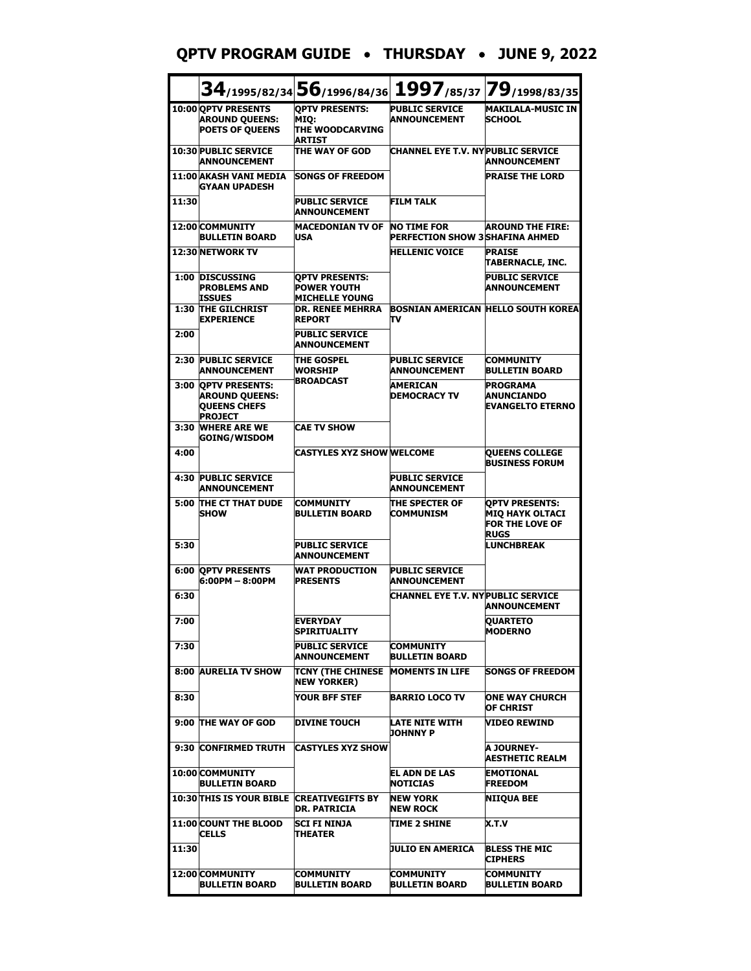#### **QPTV PROGRAM GUIDE** • **THURSDAY** • **JUNE 9, 2022**

|       |                                                                                         | $34$ /1995/82/34 56/1996/84/36                                       |                                                              | 1997/85/37 79/1998/83/35                                                                 |
|-------|-----------------------------------------------------------------------------------------|----------------------------------------------------------------------|--------------------------------------------------------------|------------------------------------------------------------------------------------------|
|       | 10:00 QPTV PRESENTS<br><b>AROUND QUEENS:</b><br><b>POETS OF QUEENS</b>                  | <b>OPTV PRESENTS:</b><br>MIO:<br><b>THE WOODCARVING</b><br>ARTIST    | <b>PUBLIC SERVICE</b><br><b>ANNOUNCEMENT</b>                 | <b>MAKILALA-MUSIC IN</b><br><b>SCHOOL</b>                                                |
|       | <b>10:30 PUBLIC SERVICE</b><br><b>ANNOUNCEMENT</b>                                      | THE WAY OF GOD                                                       | <b>CHANNEL EYE T.V. NY PUBLIC SERVICE</b>                    | <b>ANNOUNCEMENT</b>                                                                      |
|       | 11:00 AKASH VANI MEDIA<br>GYAAN UPADESH                                                 | <b>SONGS OF FREEDOM</b>                                              |                                                              | <b>PRAISE THE LORD</b>                                                                   |
| 11:30 |                                                                                         | <b>PUBLIC SERVICE</b><br><b>ANNOUNCEMENT</b>                         | <b>FILM TALK</b>                                             |                                                                                          |
|       | 12:00 COMMUNITY<br><b>BULLETIN BOARD</b>                                                | <b>MACEDONIAN TV OF</b><br><b>USA</b>                                | <b>NO TIME FOR</b><br><b>PERFECTION SHOW 3 SHAFINA AHMED</b> | <b>AROUND THE FIRE:</b>                                                                  |
|       | 12:30 NETWORK TV                                                                        |                                                                      | <b>HELLENIC VOICE</b>                                        | <b>PRAISE</b><br>TABERNACLE, INC.                                                        |
| 1:00  | <b>DISCUSSING</b><br><b>PROBLEMS AND</b><br>ISSUES                                      | <b>OPTV PRESENTS:</b><br><b>POWER YOUTH</b><br><b>MICHELLE YOUNG</b> |                                                              | <b>PUBLIC SERVICE</b><br>ANNOUNCEMENT                                                    |
|       | <b>1:30 THE GILCHRIST</b><br><b>EXPERIENCE</b>                                          | <b>DR. RENEE MEHRRA</b><br><b>REPORT</b>                             | πv                                                           | <b>BOSNIAN AMERICAN HELLO SOUTH KOREA</b>                                                |
| 2:00  |                                                                                         | <b>PUBLIC SERVICE</b><br><b>ANNOUNCEMENT</b>                         |                                                              |                                                                                          |
|       | 2:30 PUBLIC SERVICE<br><b>ANNOUNCEMENT</b>                                              | <b>THE GOSPEL</b><br><b>WORSHIP</b>                                  | <b>PUBLIC SERVICE</b><br><b>ANNOUNCEMENT</b>                 | <b>COMMUNITY</b><br><b>BULLETIN BOARD</b>                                                |
| 3:00  | <b>OPTV PRESENTS:</b><br><b>AROUND QUEENS:</b><br><b>QUEENS CHEFS</b><br><b>PROJECT</b> | <b>BROADCAST</b>                                                     | <b>AMERICAN</b><br><b>DEMOCRACY TV</b>                       | <b>PROGRAMA</b><br><b>ANUNCIANDO</b><br><b>EVANGELTO ETERNO</b>                          |
| 3:30  | <b>WHERE ARE WE</b><br><b>GOING/WISDOM</b>                                              | <b>CAE TV SHOW</b>                                                   |                                                              |                                                                                          |
| 4:00  |                                                                                         | <b>CASTYLES XYZ SHOW WELCOME</b>                                     |                                                              | <b>QUEENS COLLEGE</b><br><b>BUSINESS FORUM</b>                                           |
| 4:30  | <b>PUBLIC SERVICE</b><br><b>ANNOUNCEMENT</b>                                            |                                                                      | <b>PUBLIC SERVICE</b><br><b>ANNOUNCEMENT</b>                 |                                                                                          |
| 5:00  | THE CT THAT DUDE<br><b>SHOW</b>                                                         | <b>COMMUNITY</b><br><b>BULLETIN BOARD</b>                            | THE SPECTER OF<br><b>COMMUNISM</b>                           | <b>QPTV PRESENTS:</b><br><b>MIQ HAYK OLTACI</b><br><b>FOR THE LOVE OF</b><br><b>RUGS</b> |
| 5:30  |                                                                                         | <b>PUBLIC SERVICE</b><br><b>ANNOUNCEMENT</b>                         |                                                              | <b>LUNCHBREAK</b>                                                                        |
| 6:00  | <b>OPTV PRESENTS</b><br>6:00PM - 8:00PM                                                 | <b>WAT PRODUCTION</b><br><b>PRESENTS</b>                             | <b>PUBLIC SERVICE</b><br><b>ANNOUNCEMENT</b>                 |                                                                                          |
| 6:30  |                                                                                         |                                                                      | CHANNEL EYE T.V. NY PUBLIC SERVICE                           | <b>ANNOUNCEMENT</b>                                                                      |
| 7:00  |                                                                                         | <b>EVERYDAY</b><br><b>SPIRITUALITY</b>                               |                                                              | <b>QUARTETO</b><br><b>MODERNO</b>                                                        |
| 7:30  |                                                                                         | <b>PUBLIC SERVICE</b><br><b>ANNOUNCEMENT</b>                         | COMMUNITY<br><b>BULLETIN BOARD</b>                           |                                                                                          |
|       | 8:00 AURELIA TV SHOW                                                                    | <b>TCNY (THE CHINESE</b><br><b>NEW YORKER)</b>                       | <b>MOMENTS IN LIFE</b>                                       | <b>SONGS OF FREEDOM</b>                                                                  |
| 8:30  |                                                                                         | YOUR BFF STEF                                                        | <b>BARRIO LOCO TV</b>                                        | ONE WAY CHURCH<br>OF CHRIST                                                              |
|       | 9:00 THE WAY OF GOD                                                                     | <b>DIVINE TOUCH</b>                                                  | LATE NITE WITH<br>JOHNNY P                                   | VIDEO REWIND                                                                             |
|       | 9:30 CONFIRMED TRUTH                                                                    | <b>CASTYLES XYZ SHOW</b>                                             |                                                              | <b>A JOURNEY-</b><br><b>AESTHETIC REALM</b>                                              |
|       | 10:00 COMMUNITY<br><b>BULLETIN BOARD</b>                                                |                                                                      | <b>EL ADN DE LAS</b><br><b>NOTICIAS</b>                      | <b>EMOTIONAL</b><br><b>FREEDOM</b>                                                       |
|       | <b>10:30 THIS IS YOUR BIBLE CREATIVEGIFTS BY</b>                                        | DR. PATRICIA                                                         | NEW YORK<br><b>NEW ROCK</b>                                  | NIIQUA BEE                                                                               |
|       | <b>11:00 COUNT THE BLOOD</b><br><b>CELLS</b>                                            | ISCI FI NINJA<br>THEATER                                             | TIME 2 SHINE                                                 | X.T.V                                                                                    |
| 11:30 |                                                                                         |                                                                      | JULIO EN AMERICA                                             | <b>BLESS THE MIC</b><br><b>CIPHERS</b>                                                   |
|       | 12:00 COMMUNITY<br><b>BULLETIN BOARD</b>                                                | <b>COMMUNITY</b><br><b>BULLETIN BOARD</b>                            | COMMUNITY<br><b>BULLETIN BOARD</b>                           | <b>COMMUNITY</b><br><b>BULLETIN BOARD</b>                                                |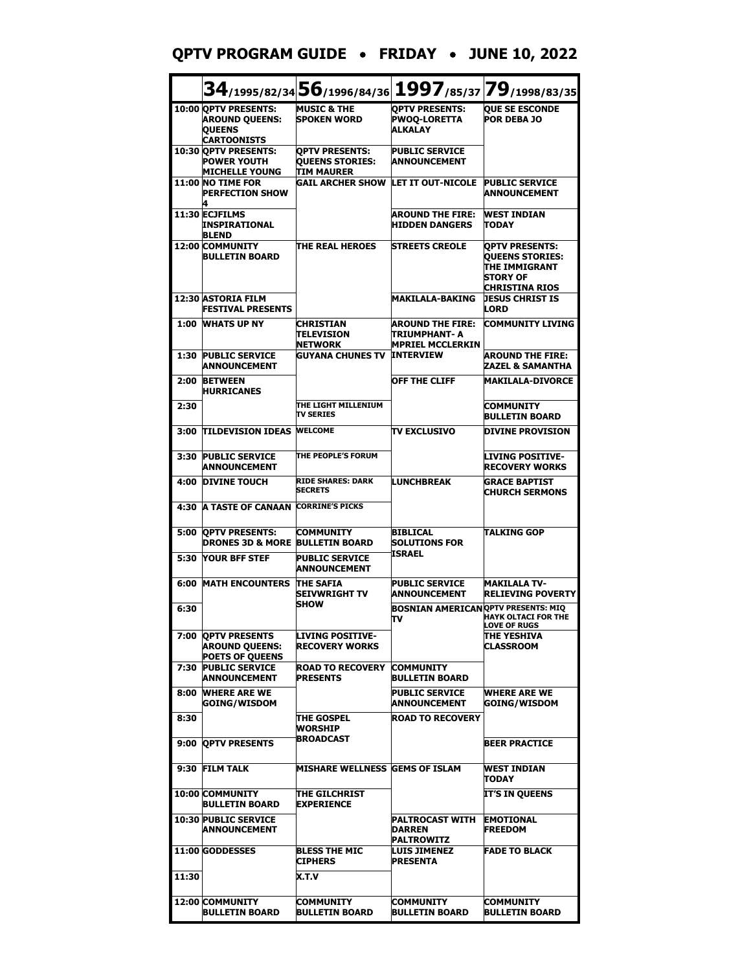#### **QPTV PROGRAM GUIDE** • **FRIDAY** • **JUNE 10, 2022**

|       |                                                                                      | 34/1995/82/34 56/1996/84/36 1997/85/37 79/1998/83/35                 |                                                                      |                                                                                                       |
|-------|--------------------------------------------------------------------------------------|----------------------------------------------------------------------|----------------------------------------------------------------------|-------------------------------------------------------------------------------------------------------|
|       | 10:00 OPTV PRESENTS:<br><b>AROUND OUEENS:</b><br><b>QUEENS</b><br><b>CARTOONISTS</b> | <b>MUSIC &amp; THE</b><br><b>SPOKEN WORD</b>                         | <b>OPTV PRESENTS:</b><br><b>PWOO-LORETTA</b><br><b>ALKALAY</b>       | <b>OUE SE ESCONDE</b><br><b>POR DEBA JO</b>                                                           |
|       | 10:30 OPTV PRESENTS:<br><b>POWER YOUTH</b><br><b>MICHELLE YOUNG</b>                  | <b>OPTV PRESENTS:</b><br><b>OUEENS STORIES:</b><br><b>TIM MAURER</b> | <b>PUBLIC SERVICE</b><br><b>ANNOUNCEMENT</b>                         |                                                                                                       |
|       | <b>11:00 NO TIME FOR</b><br><b>PERFECTION SHOW</b>                                   | <b>GAIL ARCHER SHOW</b>                                              | LET IT OUT-NICOLE                                                    | <b>PUBLIC SERVICE</b><br>ANNOUNCEMENT                                                                 |
|       | 11:30 ECJFILMS<br>INSPIRATIONAL<br><b>BLEND</b>                                      |                                                                      | <b>AROUND THE FIRE:</b><br><b>HIDDEN DANGERS</b>                     | <b>WEST INDIAN</b><br><b>TODAY</b>                                                                    |
|       | <b>12:00 COMMUNITY</b><br><b>BULLETIN BOARD</b>                                      | THE REAL HEROES                                                      | <b>STREETS CREOLE</b>                                                | <b>OPTV PRESENTS:</b><br><b>QUEENS STORIES:</b><br>THE IMMIGRANT<br>STORY OF<br><b>CHRISTINA RIOS</b> |
|       | 12:30 ASTORIA FILM<br><b>FESTIVAL PRESENTS</b>                                       |                                                                      | <b>MAKILALA-BAKING</b>                                               | <b>JESUS CHRIST IS</b><br>LORD                                                                        |
| 1:00  | <b>WHATS UP NY</b>                                                                   | <b>CHRISTIAN</b><br><b>TELEVISION</b><br><b>NETWORK</b>              | <b>AROUND THE FIRE:</b><br>ITRIUMPHANT- A<br><b>MPRIEL MCCLERKIN</b> | COMMUNITY LIVING                                                                                      |
| 1:30  | <b>PUBLIC SERVICE</b><br><b>ANNOUNCEMENT</b>                                         | <b>GUYANA CHUNES TV</b>                                              | <b>INTERVIEW</b>                                                     | <b>AROUND THE FIRE:</b><br>ZAZEL & SAMANTHA                                                           |
| 2:00  | <b>BETWEEN</b><br><b>HURRICANES</b>                                                  |                                                                      | <b>OFF THE CLIFF</b>                                                 | <b>MAKILALA-DIVORCE</b>                                                                               |
| 2:30  |                                                                                      | THE LIGHT MILLENIUM<br><b>TV SERIES</b>                              |                                                                      | <b>COMMUNITY</b><br><b>BULLETIN BOARD</b>                                                             |
| 3:00  | <b>TILDEVISION IDEAS</b>                                                             | <b>WELCOME</b>                                                       | <b>TV EXCLUSIVO</b>                                                  | <b>DIVINE PROVISION</b>                                                                               |
| 3:30  | <b>PUBLIC SERVICE</b><br><b>ANNOUNCEMENT</b>                                         | THE PEOPLE'S FORUM                                                   |                                                                      | <b>LIVING POSITIVE-</b><br><b>RECOVERY WORKS</b>                                                      |
| 4:00  | <b>DIVINE TOUCH</b>                                                                  | <b>RIDE SHARES: DARK</b><br><b>SECRETS</b>                           | <b>LUNCHBREAK</b>                                                    | <b>GRACE BAPTIST</b><br><b>CHURCH SERMONS</b>                                                         |
| 4:30  | <b>A TASTE OF CANAAN</b>                                                             | <b>CORRINE'S PICKS</b>                                               |                                                                      |                                                                                                       |
| 5:00  | <b>OPTV PRESENTS:</b><br><b>DRONES 3D &amp; MORE</b>                                 | <b>COMMUNITY</b><br><b>BULLETIN BOARD</b>                            | <b>BIBLICAL</b><br><b>SOLUTIONS FOR</b><br><b>ISRAEL</b>             | TALKING GOP                                                                                           |
| 5:30  | <b>YOUR BFF STEF</b>                                                                 | <b>PUBLIC SERVICE</b><br><b>ANNOUNCEMENT</b>                         |                                                                      |                                                                                                       |
| 6:00  | <b>MATH ENCOUNTERS</b>                                                               | <b>THE SAFIA</b><br>SEIVWRIGHT TV<br><b>SHOW</b>                     | <b>PUBLIC SERVICE</b><br><b>ANNOUNCEMENT</b>                         | <b>MAKILALA TV-</b><br>RELIEVING POVERTY                                                              |
| 6:30  |                                                                                      |                                                                      | <b>BOSNIAN AMERICANOPTV PRESENTS: MIQ</b><br>πv                      | <b>HAYK OLTACI FOR THE</b><br>LOVE OF RUGS                                                            |
| 7:00  | <b>QPTV PRESENTS</b><br><b>AROUND QUEENS:</b><br><b>POETS OF QUEENS</b>              | <b>LIVING POSITIVE-</b><br><b>RECOVERY WORKS</b>                     |                                                                      | THE YESHIVA<br><b>CLASSROOM</b>                                                                       |
| 7:30  | <b>PUBLIC SERVICE</b><br><b>ANNOUNCEMENT</b>                                         | <b>ROAD TO RECOVERY</b><br><b>PRESENTS</b>                           | <b>COMMUNITY</b><br><b>BULLETIN BOARD</b>                            |                                                                                                       |
| 8:00  | <b>WHERE ARE WE</b><br>GOING/WISDOM                                                  |                                                                      | <b>PUBLIC SERVICE</b><br><b>ANNOUNCEMENT</b>                         | <b>WHERE ARE WE</b><br><b>GOING/WISDOM</b>                                                            |
| 8:30  |                                                                                      | THE GOSPEL<br>WORSHIP                                                | <b>ROAD TO RECOVERY</b>                                              |                                                                                                       |
|       | 9:00 OPTV PRESENTS                                                                   | <b>BROADCAST</b>                                                     |                                                                      | <b>BEER PRACTICE</b>                                                                                  |
|       | 9:30 FILM TALK                                                                       | <b>MISHARE WELLNESS GEMS OF ISLAM</b>                                |                                                                      | <b>WEST INDIAN</b><br>TODAY                                                                           |
|       | <b>10:00 COMMUNITY</b><br><b>BULLETIN BOARD</b>                                      | <b>THE GILCHRIST</b><br><b>EXPERIENCE</b>                            |                                                                      | IT'S IN QUEENS                                                                                        |
|       | <b>10:30 PUBLIC SERVICE</b><br><b>ANNOUNCEMENT</b>                                   |                                                                      | <b>PALTROCAST WITH</b><br><b>DARREN</b><br><b>PALTROWITZ</b>         | <b>EMOTIONAL</b><br><b>FREEDOM</b>                                                                    |
|       | 11:00 GODDESSES                                                                      | <b>BLESS THE MIC</b><br><b>CIPHERS</b>                               | <b>LUIS JIMENEZ</b><br><b>PRESENTA</b>                               | FADE TO BLACK                                                                                         |
| 11:30 |                                                                                      | X.T.V                                                                |                                                                      |                                                                                                       |
|       | <b>12:00 COMMUNITY</b><br><b>BULLETIN BOARD</b>                                      | <b>COMMUNITY</b><br><b>BULLETIN BOARD</b>                            | <b>COMMUNITY</b><br><b>BULLETIN BOARD</b>                            | COMMUNITY<br><b>BULLETIN BOARD</b>                                                                    |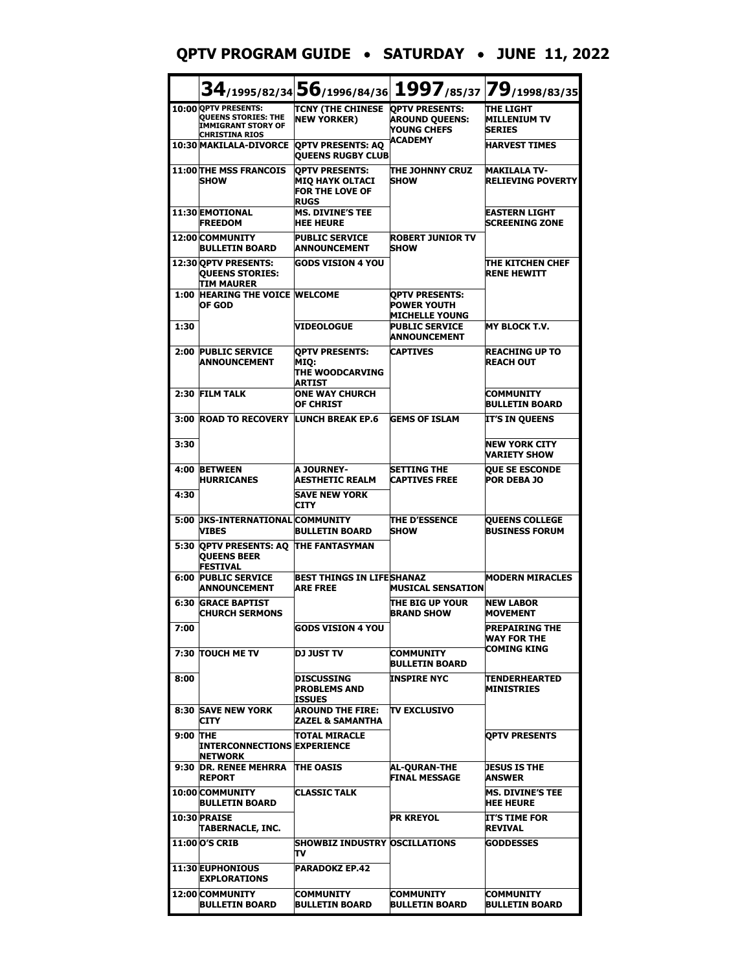#### **QPTV PROGRAM GUIDE** • **SATURDAY** • **JUNE 11, 2022**

|          |                                                                                                   |                                                                                          | $34$ /1995/82/34 $56$ /1996/84/36 1997/85/37 79/1998/83/35    |                                                          |
|----------|---------------------------------------------------------------------------------------------------|------------------------------------------------------------------------------------------|---------------------------------------------------------------|----------------------------------------------------------|
|          | 10:00 QPTV PRESENTS:<br><b>OUEENS STORIES: THE</b><br>IMMIGRANT STORY OF<br><b>CHRISTINA RIOS</b> | TCNY (THE CHINESE OPTV PRESENTS:<br><b>NEW YORKER)</b>                                   | <b>AROUND QUEENS:</b><br>YOUNG CHEFS                          | <b>THE LIGHT</b><br><b>MILLENIUM TV</b><br><b>SERIES</b> |
|          | <b>10:30 MAKILALA-DIVORCE</b>                                                                     | <b>OPTV PRESENTS: AO</b><br><b>OUEENS RUGBY CLUB</b>                                     | <b>ACADEMY</b>                                                | <b>HARVEST TIMES</b>                                     |
|          | <b>11:00 THE MSS FRANCOIS</b><br><b>SHOW</b>                                                      | <b>OPTV PRESENTS:</b><br><b>MIQ HAYK OLTACI</b><br><b>FOR THE LOVE OF</b><br><b>RUGS</b> | THE JOHNNY CRUZ<br><b>SHOW</b>                                | <b>MAKILALA TV-</b><br><b>RELIEVING POVERTY</b>          |
|          | 11:30 EMOTIONAL<br><b>FREEDOM</b>                                                                 | <b>MS. DIVINE'S TEE</b><br><b>HEE HEURE</b>                                              |                                                               | <b>EASTERN LIGHT</b><br><b>SCREENING ZONE</b>            |
|          | 12:00 COMMUNITY<br><b>BULLETIN BOARD</b>                                                          | <b>PUBLIC SERVICE</b><br><b>ANNOUNCEMENT</b>                                             | <b>ROBERT JUNIOR TV</b><br><b>SHOW</b>                        |                                                          |
|          | 12:30 OPTV PRESENTS:<br><b>QUEENS STORIES:</b><br>TIM MAURER                                      | <b>GODS VISION 4 YOU</b>                                                                 |                                                               | THE KITCHEN CHEF<br><b>RENE HEWITT</b>                   |
|          | <b>1:00 HEARING THE VOICE WELCOME</b><br>OF GOD                                                   |                                                                                          | <b>QPTV PRESENTS:</b><br>POWER YOUTH<br><b>MICHELLE YOUNG</b> |                                                          |
| 1:30     |                                                                                                   | <b>VIDEOLOGUE</b>                                                                        | <b>PUBLIC SERVICE</b><br>ANNOUNCEMENT                         | <b>MY BLOCK T.V.</b>                                     |
|          | 2:00 PUBLIC SERVICE<br><b>ANNOUNCEMENT</b>                                                        | <b>OPTV PRESENTS:</b><br>MIO:<br>THE WOODCARVING<br>ARTIST                               | <b>CAPTIVES</b>                                               | REACHING UP TO<br><b>REACH OUT</b>                       |
|          | 2:30 FILM TALK                                                                                    | <b>ONE WAY CHURCH</b><br>OF CHRIST                                                       |                                                               | <b>COMMUNITY</b><br>BULLETIN BOARD                       |
|          | 3:00 ROAD TO RECOVERY LUNCH BREAK EP.6                                                            |                                                                                          | <b>GEMS OF ISLAM</b>                                          | IT'S IN QUEENS                                           |
| 3:30     |                                                                                                   |                                                                                          |                                                               | <b>NEW YORK CITY</b><br><b>VARIETY SHOW</b>              |
|          | 4:00 BETWEEN<br><b>HURRICANES</b>                                                                 | A JOURNEY-<br><b>AESTHETIC REALM</b>                                                     | <b>SETTING THE</b><br>CAPTIVES FREE                           | <b>QUE SE ESCONDE</b><br><b>POR DEBA JO</b>              |
| 4:30     |                                                                                                   | <b>SAVE NEW YORK</b><br><b>CITY</b>                                                      |                                                               |                                                          |
|          | 5:00 JKS-INTERNATIONAL COMMUNITY<br><b>VIBES</b>                                                  | BULLETIN BOARD                                                                           | <b>THE D'ESSENCE</b><br><b>SHOW</b>                           | <b>QUEENS COLLEGE</b><br><b>BUSINESS FORUM</b>           |
| 5:30     | <b>QPTV PRESENTS: AQ</b><br><b>QUEENS BEER</b><br><b>FESTIVAL</b>                                 | <b>THE FANTASYMAN</b>                                                                    |                                                               |                                                          |
| 6:00     | <b>PUBLIC SERVICE</b><br><b>ANNOUNCEMENT</b>                                                      | <b>BEST THINGS IN LIFESHANAZ</b><br><b>ARE FREE</b>                                      | <b>MUSICAL SENSATION</b>                                      | <b>MODERN MIRACLES</b>                                   |
| 6:30     | <b>GRACE BAPTIST</b><br><b>CHURCH SERMONS</b>                                                     |                                                                                          | THE BIG UP YOUR<br><b>BRAND SHOW</b>                          | <b>NEW LABOR</b><br><b>MOVEMENT</b>                      |
| 7:00     |                                                                                                   | <b>GODS VISION 4 YOU</b>                                                                 |                                                               | IPREPAIRING THE<br>WAY FOR THE<br>COMING KING            |
|          | 7:30 TOUCH ME TV                                                                                  | <b>DJ JUST TV</b>                                                                        | <b>COMMUNITY</b><br><b>BULLETIN BOARD</b>                     |                                                          |
| 8:00     |                                                                                                   | DISCUSSING<br><b>PROBLEMS AND</b><br>ISSUES                                              | <b>INSPIRE NYC</b>                                            | TENDERHEARTED<br><b>MINISTRIES</b>                       |
|          | <b>8:30 SAVE NEW YORK</b><br><b>CITY</b>                                                          | AROUND THE FIRE:<br>ZAZEL & SAMANTHA                                                     | <b>TV EXCLUSIVO</b>                                           |                                                          |
| 9:00 THE | <b>INTERCONNECTIONS EXPERIENCE</b><br><b>NETWORK</b>                                              | ITOTAL MIRACLE                                                                           |                                                               | OPTV PRESENTS                                            |
| 9:30     | <b>DR. RENEE MEHRRA</b><br><b>REPORT</b>                                                          | <b>THE OASIS</b>                                                                         | AL-QURAN-THE<br><b>FINAL MESSAGE</b>                          | <b>DESUS IS THE</b><br>ANSWER                            |
|          | 10:00 COMMUNITY<br>BULLETIN BOARD                                                                 | <b>CLASSIC TALK</b>                                                                      |                                                               | MS. DIVINE'S TEE<br><b>HEE HEURE</b>                     |
|          | 10:30 PRAISE<br>TABERNACLE, INC.                                                                  |                                                                                          | PR KREYOL                                                     | <b>IT'S TIME FOR</b><br><b>REVIVAL</b>                   |
|          | <b>11:00 O'S CRIB</b>                                                                             | <b>SHOWBIZ INDUSTRY OSCILLATIONS</b><br>т٧                                               |                                                               | <b>GODDESSES</b>                                         |
|          | <b>11:30 EUPHONIOUS</b><br><b>EXPLORATIONS</b>                                                    | <b>PARADOKZ EP.42</b>                                                                    |                                                               |                                                          |
|          | 12:00 COMMUNITY<br><b>BULLETIN BOARD</b>                                                          | <b>COMMUNITY</b><br>BULLETIN BOARD                                                       | COMMUNITY<br><b>BULLETIN BOARD</b>                            | <b>COMMUNITY</b><br><b>BULLETIN BOARD</b>                |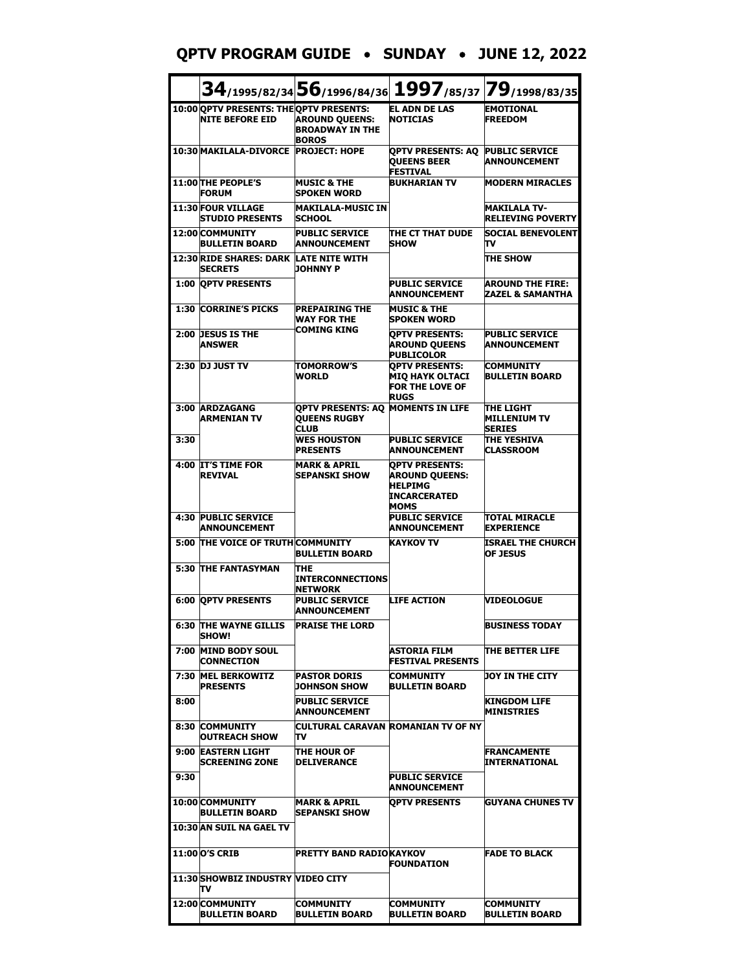#### **QPTV PROGRAM GUIDE** • **SUNDAY** • **JUNE 12, 2022**

|      |                                                                   |                                                                         |                                                                                                 | 34/1995/82/34 56/1996/84/36 1997/85/37 79/1998/83/35     |
|------|-------------------------------------------------------------------|-------------------------------------------------------------------------|-------------------------------------------------------------------------------------------------|----------------------------------------------------------|
|      | 10:00 OPTV PRESENTS: THE OPTV PRESENTS:<br><b>NITE BEFORE EID</b> | <b>AROUND QUEENS:</b><br><b>BROADWAY IN THE</b><br><b>BOROS</b>         | <b>EL ADN DE LAS</b><br><b>NOTICIAS</b>                                                         | <b>EMOTIONAL</b><br><b>FREEDOM</b>                       |
|      | 10:30 MAKILALA-DIVORCE                                            | <b>PROJECT: HOPE</b>                                                    | <b>OPTV PRESENTS: AQ</b><br><b>QUEENS BEER</b><br><b>FESTIVAL</b>                               | <b>PUBLIC SERVICE</b><br><b>ANNOUNCEMENT</b>             |
|      | 11:00 THE PEOPLE'S<br><b>FORUM</b>                                | <b>MUSIC &amp; THE</b><br><b>SPOKEN WORD</b>                            | <b>BUKHARIAN TV</b>                                                                             | <b>MODERN MIRACLES</b>                                   |
|      | 11:30 FOUR VILLAGE<br><b>STUDIO PRESENTS</b>                      | <b>MAKILALA-MUSIC IN</b><br><b>SCHOOL</b>                               |                                                                                                 | <b>MAKILALA TV-</b><br><b>RELIEVING POVERTY</b>          |
|      | 12:00 COMMUNITY<br><b>BULLETIN BOARD</b>                          | <b>PUBLIC SERVICE</b><br><b>ANNOUNCEMENT</b>                            | THE CT THAT DUDE<br><b>SHOW</b>                                                                 | <b>SOCIAL BENEVOLENT</b><br>т٧                           |
|      | <b>12:30 RIDE SHARES: DARK</b><br><b>SECRETS</b>                  | <b>LATE NITE WITH</b><br><b>JOHNNY P</b>                                |                                                                                                 | <b>THE SHOW</b>                                          |
|      | <b>1:00 OPTV PRESENTS</b>                                         |                                                                         | <b>PUBLIC SERVICE</b><br><b>ANNOUNCEMENT</b>                                                    | <b>AROUND THE FIRE:</b><br>ZAZEL & SAMANTHA              |
|      | 1:30 CORRINE'S PICKS                                              | <b>PREPAIRING THE</b><br><b>WAY FOR THE</b><br>COMING KING              | <b>MUSIC &amp; THE</b><br><b>SPOKEN WORD</b>                                                    |                                                          |
|      | 2:00 DESUS IS THE<br><b>ANSWER</b>                                |                                                                         | <b>OPTV PRESENTS:</b><br><b>AROUND QUEENS</b><br><b>PUBLICOLOR</b>                              | <b>PUBLIC SERVICE</b><br><b>ANNOUNCEMENT</b>             |
|      | 2:30 DJ JUST TV                                                   | <b>TOMORROW'S</b><br><b>WORLD</b>                                       | <b>OPTV PRESENTS:</b><br><b>MIQ HAYK OLTACI</b><br><b>FOR THE LOVE OF</b><br><b>RUGS</b>        | <b>COMMUNITY</b><br><b>BULLETIN BOARD</b>                |
|      | 3:00 ARDZAGANG<br><b>ARMENIAN TV</b>                              | OPTV PRESENTS: AO MOMENTS IN LIFE<br><b>QUEENS RUGBY</b><br><b>CLUB</b> |                                                                                                 | <b>THE LIGHT</b><br><b>MILLENIUM TV</b><br><b>SERIES</b> |
| 3:30 |                                                                   | <b>WES HOUSTON</b><br><b>PRESENTS</b>                                   | <b>PUBLIC SERVICE</b><br><b>ANNOUNCEMENT</b>                                                    | THE YESHIVA<br><b>CLASSROOM</b>                          |
|      | 4:00 IT'S TIME FOR<br><b>REVIVAL</b>                              | <b>MARK &amp; APRIL</b><br><b>SEPANSKI SHOW</b>                         | <b>OPTV PRESENTS:</b><br><b>AROUND QUEENS:</b><br><b>HELPIMG</b><br><b>INCARCERATED</b><br>MOMS |                                                          |
| 4:30 | <b>PUBLIC SERVICE</b><br><b>ANNOUNCEMENT</b>                      |                                                                         | <b>PUBLIC SERVICE</b><br><b>ANNOUNCEMENT</b>                                                    | TOTAL MIRACLE<br><b>EXPERIENCE</b>                       |
|      | 5:00 THE VOICE OF TRUTH COMMUNITY                                 | <b>BULLETIN BOARD</b>                                                   | <b>KAYKOV TV</b>                                                                                | ISRAEL THE CHURCH<br><b>OF JESUS</b>                     |
|      | 5:30 THE FANTASYMAN                                               | <b>THE</b><br><b>INTERCONNECTIONS</b><br><b>NETWORK</b>                 |                                                                                                 |                                                          |
|      | <b>6:00 OPTV PRESENTS</b>                                         | <b>PUBLIC SERVICE</b><br><b>ANNOUNCEMENT</b>                            | <b>LIFE ACTION</b>                                                                              | <b>VIDEOLOGUE</b>                                        |
|      | <b>6:30 THE WAYNE GILLIS</b><br><b>SHOW!</b>                      | <b>PRAISE THE LORD</b>                                                  |                                                                                                 | <b>BUSINESS TODAY</b>                                    |
| 7:00 | <b>MIND BODY SOUL</b><br><b>CONNECTION</b>                        |                                                                         | ASTORIA FILM<br>FESTIVAL PRESENTS                                                               | ITHE BETTER LIFE                                         |
|      | 7:30 MEL BERKOWITZ<br><b>PRESENTS</b>                             | <b>PASTOR DORIS</b><br><b>JOHNSON SHOW</b>                              | <b>COMMUNITY</b><br><b>BULLETIN BOARD</b>                                                       | DOY IN THE CITY                                          |
| 8:00 |                                                                   | <b>PUBLIC SERVICE</b><br><b>ANNOUNCEMENT</b>                            |                                                                                                 | KINGDOM LIFE<br>MINISTRIES                               |
| 8:30 | <b>COMMUNITY</b><br>OUTREACH SHOW                                 | πv                                                                      | ICULTURAL CARAVAN IROMANIAN TV OF NY                                                            |                                                          |
| 9:00 | <b>EASTERN LIGHT</b><br><b>SCREENING ZONE</b>                     | ITHE HOUR OF<br><b>IDELIVERANCE</b>                                     |                                                                                                 | <b>FRANCAMENTE</b><br>INTERNATIONAL                      |
| 9:30 |                                                                   |                                                                         | <b>PUBLIC SERVICE</b><br><b>ANNOUNCEMENT</b>                                                    |                                                          |
|      | 10:00 COMMUNITY<br>BULLETIN BOARD<br>10:30 AN SUIL NA GAEL TV     | MARK & APRIL<br><b>SEPANSKI SHOW</b>                                    | <b>OPTV PRESENTS</b>                                                                            | <b>GUYANA CHUNES TV</b>                                  |
|      | 11:00 O'S CRIB                                                    | PRETTY BAND RADIOKAYKOV                                                 |                                                                                                 | <b>FADE TO BLACK</b>                                     |
|      |                                                                   |                                                                         | <b>FOUNDATION</b>                                                                               |                                                          |
|      | 11:30 SHOWBIZ INDUSTRY VIDEO CITY<br>т٧                           |                                                                         |                                                                                                 |                                                          |
|      | 12:00 COMMUNITY<br><b>BULLETIN BOARD</b>                          | <b>COMMUNITY</b><br><b>BULLETIN BOARD</b>                               | <b>COMMUNITY</b><br><b>BULLETIN BOARD</b>                                                       | <b>COMMUNITY</b><br><b>BULLETIN BOARD</b>                |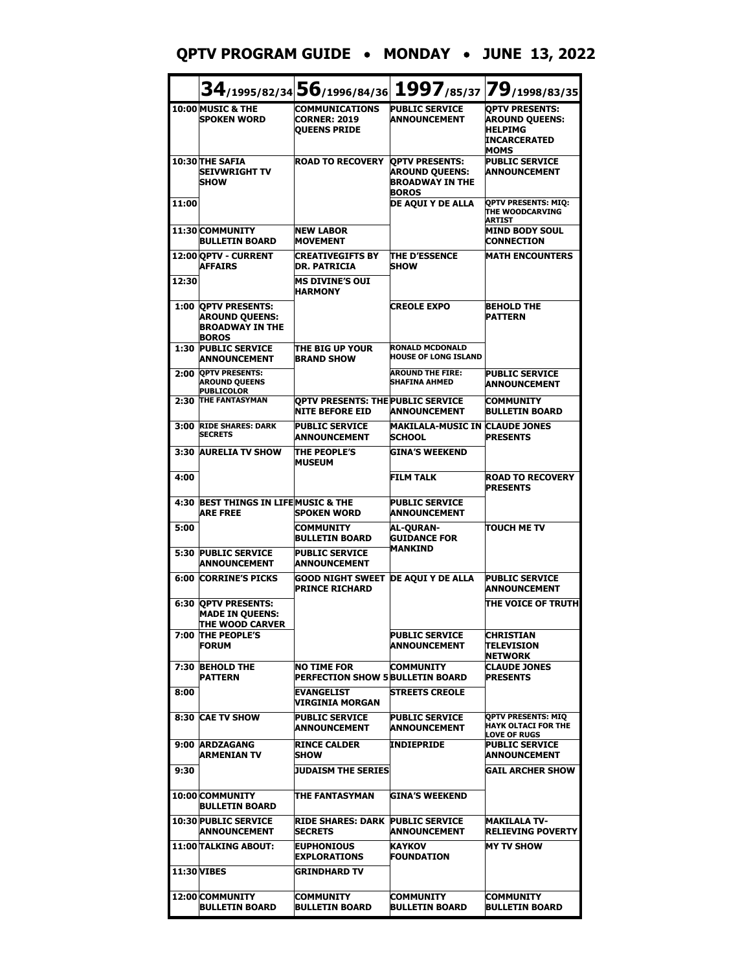#### **QPTV PROGRAM GUIDE** • **MONDAY** • **JUNE 13, 2022**

|                    |                                                                                          | 34/1995/82/34 56/1996/84/36 1997/85/37 79/1998/83/35                |                                                                                          |                                                                                                        |
|--------------------|------------------------------------------------------------------------------------------|---------------------------------------------------------------------|------------------------------------------------------------------------------------------|--------------------------------------------------------------------------------------------------------|
|                    | 10:00 MUSIC & THE<br><b>SPOKEN WORD</b>                                                  | <b>COMMUNICATIONS</b><br><b>CORNER: 2019</b><br><b>OUEENS PRIDE</b> | <b>PUBLIC SERVICE</b><br><b>ANNOUNCEMENT</b>                                             | <b>OPTV PRESENTS:</b><br><b>AROUND QUEENS:</b><br><b>HELPIMG</b><br><b>INCARCERATED</b><br><b>MOMS</b> |
|                    | 10:30 THE SAFIA<br><b>SEIVWRIGHT TV</b><br><b>SHOW</b>                                   | <b>ROAD TO RECOVERY</b>                                             | <b>OPTV PRESENTS:</b><br><b>AROUND QUEENS:</b><br><b>BROADWAY IN THE</b><br><b>BOROS</b> | <b>PUBLIC SERVICE</b><br><b>ANNOUNCEMENT</b>                                                           |
| 11:00              |                                                                                          |                                                                     | DE AQUI Y DE ALLA                                                                        | <b>OPTV PRESENTS: MIQ:</b><br>THE WOODCARVING<br><b>ARTIST</b>                                         |
|                    | 11:30 COMMUNITY<br><b>BULLETIN BOARD</b>                                                 | <b>NEW LABOR</b><br><b>MOVEMENT</b>                                 |                                                                                          | <b>MIND BODY SOUL</b><br><b>CONNECTION</b>                                                             |
|                    | 12:00 OPTV - CURRENT<br><b>AFFAIRS</b>                                                   | <b>CREATIVEGIFTS BY</b><br><b>DR. PATRICIA</b>                      | <b>THE D'ESSENCE</b><br><b>SHOW</b>                                                      | <b>MATH ENCOUNTERS</b>                                                                                 |
| 12:30              |                                                                                          | <b>MS DIVINE'S OUI</b><br><b>HARMONY</b>                            |                                                                                          |                                                                                                        |
| 1:00               | <b>OPTV PRESENTS:</b><br><b>AROUND QUEENS:</b><br><b>BROADWAY IN THE</b><br><b>BOROS</b> |                                                                     | <b>CREOLE EXPO</b>                                                                       | <b>BEHOLD THE</b><br><b>PATTERN</b>                                                                    |
| 1:30               | <b>PUBLIC SERVICE</b><br><b>ANNOUNCEMENT</b>                                             | THE BIG UP YOUR<br><b>BRAND SHOW</b>                                | <b>RONALD MCDONALD</b><br><b>HOUSE OF LONG ISLAND</b>                                    |                                                                                                        |
| 2:00               | <b>OPTV PRESENTS:</b><br><b>AROUND QUEENS</b><br><b>PUBLICOLOR</b>                       |                                                                     | <b>AROUND THE FIRE:</b><br><b>SHAFINA AHMED</b>                                          | <b>PUBLIC SERVICE</b><br><b>ANNOUNCEMENT</b>                                                           |
| 2:30               | <b>THE FANTASYMAN</b>                                                                    | <b>OPTV PRESENTS: THE PUBLIC SERVICE</b><br><b>NITE BEFORE EID</b>  | <b>ANNOUNCEMENT</b>                                                                      | <b>COMMUNITY</b><br><b>BULLETIN BOARD</b>                                                              |
| 3:00               | <b>RIDE SHARES: DARK</b><br><b>SECRETS</b>                                               | <b>PUBLIC SERVICE</b><br>ANNOUNCEMENT                               | <b>MAKILALA-MUSIC IN</b><br><b>SCHOOL</b>                                                | <b>CLAUDE JONES</b><br><b>PRESENTS</b>                                                                 |
|                    | 3:30 AURELIA TV SHOW                                                                     | <b>THE PEOPLE'S</b><br><b>MUSEUM</b>                                | <b>GINA'S WEEKEND</b>                                                                    |                                                                                                        |
| 4:00               |                                                                                          |                                                                     | <b>FILM TALK</b>                                                                         | <b>ROAD TO RECOVERY</b><br><b>PRESENTS</b>                                                             |
| 4:30               | BEST THINGS IN LIFE MUSIC & THE<br><b>ARE FREE</b>                                       | <b>SPOKEN WORD</b>                                                  | <b>PUBLIC SERVICE</b><br>ANNOUNCEMENT                                                    |                                                                                                        |
| 5:00               |                                                                                          | <b>COMMUNITY</b><br><b>BULLETIN BOARD</b>                           | <b>AL-OURAN-</b><br><b>GUIDANCE FOR</b><br><b>MANKIND</b>                                | <b>TOUCH ME TV</b>                                                                                     |
| 5:30               | <b>PUBLIC SERVICE</b><br><b>ANNOUNCEMENT</b>                                             | <b>PUBLIC SERVICE</b><br><b>ANNOUNCEMENT</b>                        |                                                                                          |                                                                                                        |
| 6:00               | <b>CORRINE'S PICKS</b>                                                                   | <b>GOOD NIGHT SWEET</b><br><b>PRINCE RICHARD</b>                    | <b>DE AQUI Y DE ALLA</b>                                                                 | <b>PUBLIC SERVICE</b><br><b>ANNOUNCEMENT</b>                                                           |
| 6:30               | <b>OPTV PRESENTS:</b><br><b>MADE IN QUEENS:</b><br>THE WOOD CARVER                       |                                                                     |                                                                                          | THE VOICE OF TRUTH                                                                                     |
|                    | 7:00 THE PEOPLE'S<br><b>FORUM</b>                                                        |                                                                     | <b>PUBLIC SERVICE</b><br>ANNOUNCEMENT                                                    | <b>CHRISTIAN</b><br>TELEVISION<br><b>NETWORK</b>                                                       |
| 7:30               | <b>BEHOLD THE</b><br><b>PATTERN</b>                                                      | NO TIME FOR<br><b>PERFECTION SHOW 5 BULLETIN BOARD</b>              | COMMUNITY                                                                                | <b>CLAUDE JONES</b><br><b>PRESENTS</b>                                                                 |
| 8:00               |                                                                                          | <b>EVANGELIST</b><br>VIRGINIA MORGAN                                | <b>STREETS CREOLE</b>                                                                    |                                                                                                        |
| 8:30               | <b>CAE TV SHOW</b>                                                                       | <b>PUBLIC SERVICE</b><br><b>ANNOUNCEMENT</b>                        | <b>PUBLIC SERVICE</b><br>ANNOUNCEMENT                                                    | <b>OPTV PRESENTS: MIQ</b><br><b>HAYK OLTACI FOR THE</b><br><b>LOVE OF RUGS</b>                         |
|                    | 9:00 ARDZAGANG<br>ARMENIAN TV                                                            | <b>RINCE CALDER</b><br><b>ISHOW</b>                                 | INDIEPRIDE                                                                               | <b>PUBLIC SERVICE</b><br>ANNOUNCEMENT                                                                  |
| 9:30               |                                                                                          | JUDAISM THE SERIES                                                  |                                                                                          | <b>GAIL ARCHER SHOW</b>                                                                                |
|                    | 10:00 COMMUNITY<br><b>BULLETIN BOARD</b>                                                 | ITHE FANTASYMAN                                                     | <b>GINA'S WEEKEND</b>                                                                    |                                                                                                        |
|                    | <b>10:30 PUBLIC SERVICE</b><br><b>ANNOUNCEMENT</b>                                       | RIDE SHARES: DARK<br><b>SECRETS</b>                                 | <b>PUBLIC SERVICE</b><br><b>ANNOUNCEMENT</b>                                             | <b>MAKILALA TV-</b><br>RELIEVING POVERTY                                                               |
|                    | 11:00 TALKING ABOUT:                                                                     | <b>IEUPHONIOUS</b><br><b>EXPLORATIONS</b>                           | KAYKOV<br>FOUNDATION                                                                     | <b>MY TV SHOW</b>                                                                                      |
| <b>11:30 VIBES</b> |                                                                                          | <b>GRINDHARD TV</b>                                                 |                                                                                          |                                                                                                        |
|                    | 12:00 COMMUNITY<br><b>BULLETIN BOARD</b>                                                 | <b>COMMUNITY</b><br><b>BULLETIN BOARD</b>                           | COMMUNITY<br><b>BULLETIN BOARD</b>                                                       | COMMUNITY<br><b>BULLETIN BOARD</b>                                                                     |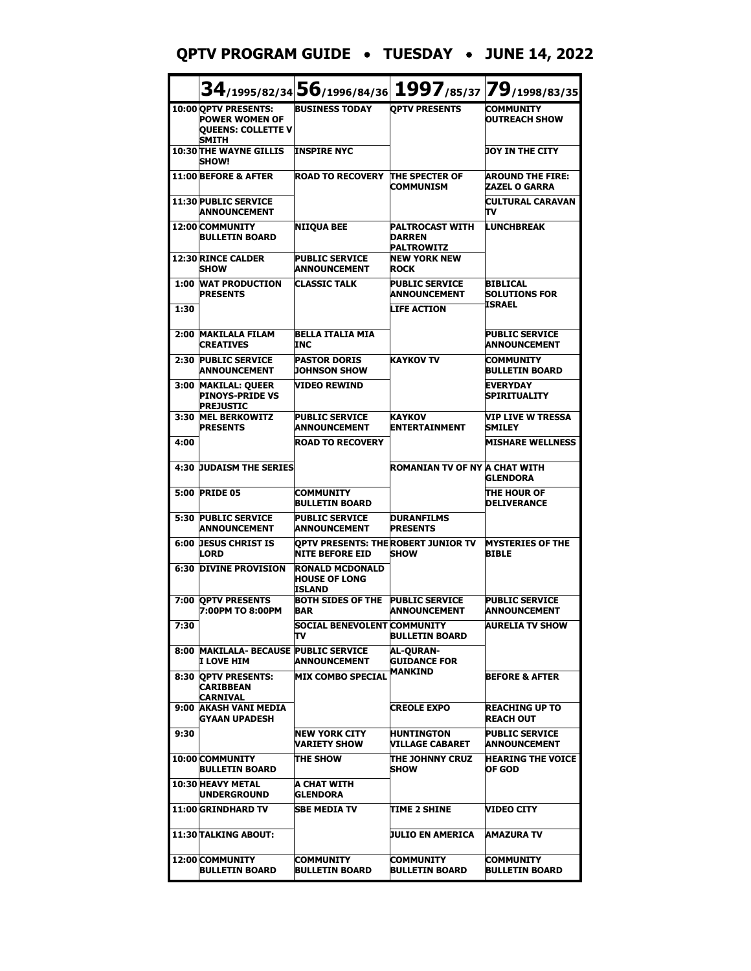#### **QPTV PROGRAM GUIDE** • **TUESDAY** • **JUNE 14, 2022**

|      |                                                                                            | 34/1995/82/34 56/1996/84/36 1997/85/37 79/1998/83/35          |                                                              |                                                 |
|------|--------------------------------------------------------------------------------------------|---------------------------------------------------------------|--------------------------------------------------------------|-------------------------------------------------|
|      | 10:00 OPTV PRESENTS:<br><b>POWER WOMEN OF</b><br><b>QUEENS: COLLETTE V</b><br><b>SMITH</b> | <b>BUSINESS TODAY</b>                                         | <b>OPTV PRESENTS</b>                                         | <b>COMMUNITY</b><br><b>OUTREACH SHOW</b>        |
|      | <b>10:30 THE WAYNE GILLIS</b><br><b>SHOW!</b>                                              | <b>INSPIRE NYC</b>                                            |                                                              | <b>JOY IN THE CITY</b>                          |
|      | 11:00 BEFORE & AFTER                                                                       | <b>ROAD TO RECOVERY</b>                                       | <b>THE SPECTER OF</b><br><b>COMMUNISM</b>                    | <b>AROUND THE FIRE:</b><br><b>ZAZEL O GARRA</b> |
|      | <b>11:30 PUBLIC SERVICE</b><br><b>ANNOUNCEMENT</b>                                         |                                                               |                                                              | <b>CULTURAL CARAVAN</b><br>Tν                   |
|      | 12:00 COMMUNITY<br><b>BULLETIN BOARD</b>                                                   | <b>NIIQUA BEE</b>                                             | <b>PALTROCAST WITH</b><br><b>DARREN</b><br><b>PALTROWITZ</b> | <b>LUNCHBREAK</b>                               |
|      | 12:30 RINCE CALDER<br><b>SHOW</b>                                                          | <b>PUBLIC SERVICE</b><br><b>ANNOUNCEMENT</b>                  | <b>NEW YORK NEW</b><br><b>ROCK</b>                           |                                                 |
|      | <b>1:00 WAT PRODUCTION</b><br><b>PRESENTS</b>                                              | <b>CLASSIC TALK</b>                                           | <b>PUBLIC SERVICE</b><br><b>ANNOUNCEMENT</b>                 | <b>BIBLICAL</b><br><b>SOLUTIONS FOR</b>         |
| 1:30 |                                                                                            |                                                               | <b>LIFE ACTION</b>                                           | ISRAEL                                          |
| 2:00 | <b>MAKILALA FILAM</b><br><b>CREATIVES</b>                                                  | <b>BELLA ITALIA MIA</b><br><b>TNC</b>                         |                                                              | <b>PUBLIC SERVICE</b><br><b>ANNOUNCEMENT</b>    |
|      | 2:30 PUBLIC SERVICE<br><b>ANNOUNCEMENT</b>                                                 | <b>PASTOR DORIS</b><br><b>JOHNSON SHOW</b>                    | <b>KAYKOV TV</b>                                             | COMMUNITY<br><b>BULLETIN BOARD</b>              |
|      | 3:00 MAKILAL: QUEER<br><b>PINOYS-PRIDE VS</b><br><b>PREJUSTIC</b>                          | <b>VIDEO REWIND</b>                                           |                                                              | <b>EVERYDAY</b><br><b>SPIRITUALITY</b>          |
|      | 3:30 MEL BERKOWITZ<br><b>PRESENTS</b>                                                      | <b>PUBLIC SERVICE</b><br><b>ANNOUNCEMENT</b>                  | <b>KAYKOV</b><br><b>ENTERTAINMENT</b>                        | <b>VIP LIVE W TRESSA</b><br><b>SMILEY</b>       |
| 4:00 |                                                                                            | <b>ROAD TO RECOVERY</b>                                       |                                                              | <b>MISHARE WELLNESS</b>                         |
|      | <b>4:30 JUDAISM THE SERIES</b>                                                             |                                                               | ROMANIAN TV OF NY A CHAT WITH                                | <b>GLENDORA</b>                                 |
|      | 5:00 PRIDE 05                                                                              | <b>COMMUNITY</b><br><b>BULLETIN BOARD</b>                     |                                                              | THE HOUR OF<br><b>DELIVERANCE</b>               |
| 5:30 | <b>PUBLIC SERVICE</b><br><b>ANNOUNCEMENT</b>                                               | <b>PUBLIC SERVICE</b><br><b>ANNOUNCEMENT</b>                  | <b>DURANFILMS</b><br><b>PRESENTS</b>                         |                                                 |
|      | <b>6:00 DESUS CHRIST IS</b><br><b>LORD</b>                                                 | OPTV PRESENTS: THE ROBERT JUNIOR TV<br><b>NITE BEFORE EID</b> | <b>SHOW</b>                                                  | <b>MYSTERIES OF THE</b><br><b>BIBLE</b>         |
| 6:30 | <b>DIVINE PROVISION</b>                                                                    | <b>RONALD MCDONALD</b><br><b>HOUSE OF LONG</b><br>ISLAND      |                                                              |                                                 |
| 7:00 | <b>OPTV PRESENTS</b><br>7:00PM TO 8:00PM                                                   | <b>BOTH SIDES OF THE</b><br><b>BAR</b>                        | <b>PUBLIC SERVICE</b><br><b>ANNOUNCEMENT</b>                 | <b>PUBLIC SERVICE</b><br><b>ANNOUNCEMENT</b>    |
| 7:30 |                                                                                            | SOCIAL BENEVOLENT COMMUNITY<br>Tν                             | <b>BULLETIN BOARD</b>                                        | <b>AURELIA TV SHOW</b>                          |
| 8:00 | <b>MAKILALA- BECAUSE PUBLIC SERVICE</b><br>I LOVE HIM                                      | <b>ANNOUNCEMENT</b>                                           | <b>AL-OURAN-</b><br><b>GUIDANCE FOR</b>                      |                                                 |
|      | 8:30 OPTV PRESENTS:<br><b>CARIBBEAN</b><br><b>CARNIVAL</b>                                 | <b>MIX COMBO SPECIAL</b>                                      | MANKIND                                                      | BEFORE & AFTER                                  |
| 9:00 | <b>AKASH VANI MEDIA</b><br><b>GYAAN UPADESH</b>                                            |                                                               | <b>CREOLE EXPO</b>                                           | <b>REACHING UP TO</b><br>REACH OUT              |
| 9:30 |                                                                                            | <b>NEW YORK CITY</b><br>VARIETY SHOW                          | <b>HUNTINGTON</b><br><b>VILLAGE CABARET</b>                  | <b>PUBLIC SERVICE</b><br><b>ANNOUNCEMENT</b>    |
|      | 10:00 COMMUNITY<br><b>BULLETIN BOARD</b>                                                   | <b>THE SHOW</b>                                               | THE JOHNNY CRUZ<br><b>SHOW</b>                               | <b>HEARING THE VOICE</b><br><b>OF GOD</b>       |
|      | 10:30 HEAVY METAL<br><b>UNDERGROUND</b>                                                    | A CHAT WITH<br><b>GLENDORA</b>                                |                                                              |                                                 |
|      | 11:00 GRINDHARD TV                                                                         | <b>SBE MEDIA TV</b>                                           | ITIME 2 SHINE                                                | VIDEO CITY                                      |
|      | 11:30 TALKING ABOUT:                                                                       |                                                               | UULIO EN AMERICA                                             | <b>AMAZURA TV</b>                               |
|      | 12:00 COMMUNITY<br><b>BULLETIN BOARD</b>                                                   | COMMUNITY<br><b>BULLETIN BOARD</b>                            | <b>COMMUNITY</b><br><b>BULLETIN BOARD</b>                    | COMMUNITY<br><b>BULLETIN BOARD</b>              |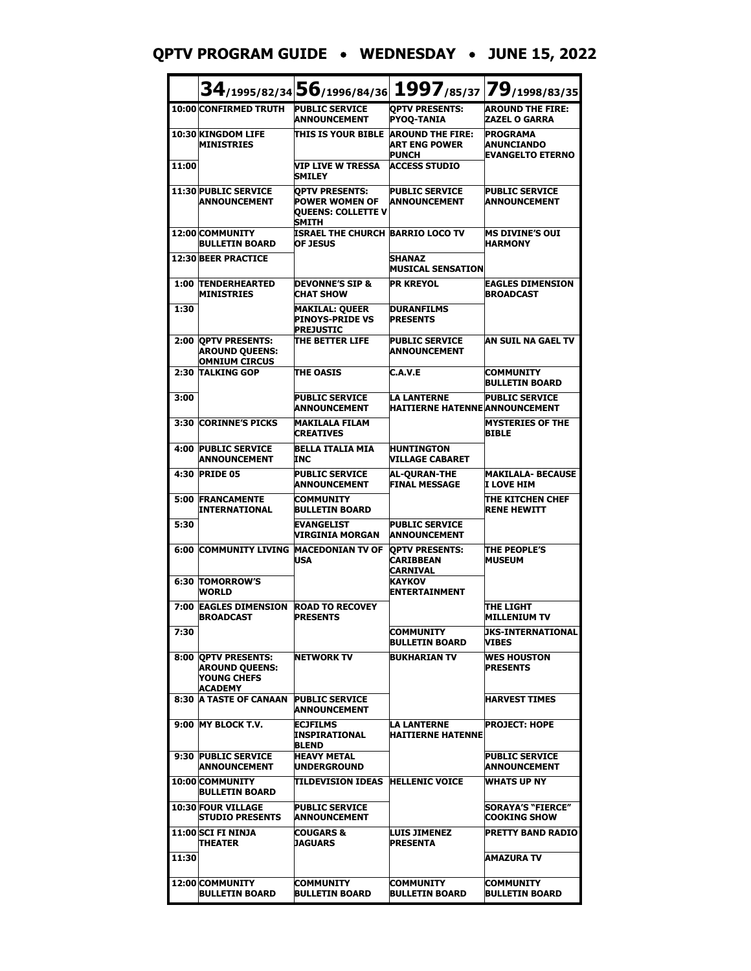#### **QPTV PROGRAM GUIDE** • **WEDNESDAY** • **JUNE 15, 2022**

|       |                                                                                      | $34$ /1995/82/34 56/1996/84/36                                                              |                                                                 | 1997/85/37 79/1998/83/35                                        |
|-------|--------------------------------------------------------------------------------------|---------------------------------------------------------------------------------------------|-----------------------------------------------------------------|-----------------------------------------------------------------|
|       | 10:00 CONFIRMED TRUTH                                                                | <b>PUBLIC SERVICE</b><br><b>ANNOUNCEMENT</b>                                                | <b>QPTV PRESENTS:</b><br><b>PYOQ-TANIA</b>                      | <b>AROUND THE FIRE:</b><br><b>ZAZEL O GARRA</b>                 |
|       | 10:30 KINGDOM LIFE<br><b>MINISTRIES</b>                                              | <b>THIS IS YOUR BIBLE</b>                                                                   | <b>AROUND THE FIRE:</b><br><b>ART ENG POWER</b><br><b>PUNCH</b> | <b>PROGRAMA</b><br><b>ANUNCIANDO</b><br><b>EVANGELTO ETERNO</b> |
| 11:00 |                                                                                      | VIP LIVE W TRESSA<br>SMILEY                                                                 | <b>ACCESS STUDIO</b>                                            |                                                                 |
|       | 11:30 PUBLIC SERVICE<br><b>ANNOUNCEMENT</b>                                          | <b>OPTV PRESENTS:</b><br><b>POWER WOMEN OF</b><br><b>OUEENS: COLLETTE V</b><br><b>SMITH</b> | <b>PUBLIC SERVICE</b><br><b>ANNOUNCEMENT</b>                    | <b>PUBLIC SERVICE</b><br><b>ANNOUNCEMENT</b>                    |
|       | 12:00 COMMUNITY<br><b>BULLETIN BOARD</b>                                             | ISRAEL THE CHURCH BARRIO LOCO TV<br><b>OF JESUS</b>                                         |                                                                 | IMS DIVINE'S OUI<br><b>HARMONY</b>                              |
|       | <b>12:30 BEER PRACTICE</b>                                                           |                                                                                             | <b>SHANAZ</b><br><b>MUSICAL SENSATION</b>                       |                                                                 |
|       | <b>1:00 TENDERHEARTED</b><br><b>MINISTRIES</b>                                       | <b>DEVONNE'S SIP &amp;</b><br><b>CHAT SHOW</b>                                              | <b>PR KREYOL</b>                                                | <b>EAGLES DIMENSION</b><br><b>BROADCAST</b>                     |
| 1:30  |                                                                                      | <b>MAKILAL: QUEER</b><br><b>PINOYS-PRIDE VS</b><br><b>PREJUSTIC</b>                         | <b>DURANFILMS</b><br><b>PRESENTS</b>                            |                                                                 |
|       | 2:00 QPTV PRESENTS:<br><b>AROUND QUEENS:</b><br><b>OMNIUM CIRCUS</b>                 | THE BETTER LIFE                                                                             | <b>PUBLIC SERVICE</b><br><b>ANNOUNCEMENT</b>                    | AN SUIL NA GAEL TV                                              |
|       | 2:30 TALKING GOP                                                                     | THE OASIS                                                                                   | C.A.V.E                                                         | <b>COMMUNITY</b><br><b>BULLETIN BOARD</b>                       |
| 3:00  |                                                                                      | <b>PUBLIC SERVICE</b><br><b>ANNOUNCEMENT</b>                                                | <b>LA LANTERNE</b><br><b>HAITIERNE HATENNE ANNOUNCEMENT</b>     | <b>PUBLIC SERVICE</b>                                           |
|       | 3:30 CORINNE'S PICKS                                                                 | <b>MAKILALA FILAM</b><br><b>CREATIVES</b>                                                   |                                                                 | <b>MYSTERIES OF THE</b><br><b>BIBLE</b>                         |
|       | <b>4:00 PUBLIC SERVICE</b><br><b>ANNOUNCEMENT</b>                                    | <b>BELLA ITALIA MIA</b><br><b>INC</b>                                                       | <b>HUNTINGTON</b><br><b>VILLAGE CABARET</b>                     |                                                                 |
|       | 4:30 PRIDE 05                                                                        | <b>PUBLIC SERVICE</b><br><b>ANNOUNCEMENT</b>                                                | <b>AL-QURAN-THE</b><br><b>FINAL MESSAGE</b>                     | <b>MAKILALA- BECAUSE</b><br>I LOVE HIM                          |
| 5:00  | <b>FRANCAMENTE</b><br><b>INTERNATIONAL</b>                                           | <b>COMMUNITY</b><br><b>BULLETIN BOARD</b>                                                   |                                                                 | THE KITCHEN CHEF<br><b>RENE HEWITT</b>                          |
| 5:30  |                                                                                      | <b>EVANGELIST</b><br>VIRGINIA MORGAN                                                        | <b>PUBLIC SERVICE</b><br><b>ANNOUNCEMENT</b>                    |                                                                 |
|       | <b>6:00 COMMUNITY LIVING</b>                                                         | <b>MACEDONIAN TV OF</b><br><b>USA</b>                                                       | <b>OPTV PRESENTS:</b><br><b>CARIBBEAN</b><br>CARNIVAL           | <b>THE PEOPLE'S</b><br><b>MUSEUM</b>                            |
|       | <b>6:30 TOMORROW'S</b><br><b>WORLD</b>                                               |                                                                                             | KAYKOV<br><b>ENTERTAINMENT</b>                                  |                                                                 |
| 7:00  | <b>EAGLES DIMENSION</b><br><b>BROADCAST</b>                                          | <b>ROAD TO RECOVEY</b><br><b>PRESENTS</b>                                                   |                                                                 | THE LIGHT<br><b>MILLENIUM TV</b>                                |
| 7:30  |                                                                                      |                                                                                             | <b>COMMUNITY</b><br><b>BULLETIN BOARD</b>                       | <b>UKS-INTERNATIONAL</b><br>VIBES                               |
|       | 8:00 OPTV PRESENTS:<br><b>AROUND QUEENS:</b><br><b>YOUNG CHEFS</b><br><b>ACADEMY</b> | <b>NETWORK TV</b>                                                                           | <b>BUKHARIAN TV</b>                                             | <b>WES HOUSTON</b><br><b>PRESENTS</b>                           |
| 8:30  | <b>A TASTE OF CANAAN</b>                                                             | <b>PUBLIC SERVICE</b><br><b>ANNOUNCEMENT</b>                                                |                                                                 | <b>HARVEST TIMES</b>                                            |
|       | 9:00 MY BLOCK T.V.                                                                   | <b>ECJFILMS</b><br><b>INSPIRATIONAL</b><br><b>BLEND</b>                                     | LA LANTERNE<br><b>HAITIERNE HATENNE</b>                         | <b>IPROJECT: HOPE</b>                                           |
|       | 9:30 PUBLIC SERVICE<br><b>ANNOUNCEMENT</b>                                           | <b>HEAVY METAL</b><br><b>UNDERGROUND</b>                                                    |                                                                 | <b>PUBLIC SERVICE</b><br><b>ANNOUNCEMENT</b>                    |
|       | 10:00 COMMUNITY<br><b>BULLETIN BOARD</b>                                             | TILDEVISION IDEAS HELLENIC VOICE                                                            |                                                                 | <b>WHATS UP NY</b>                                              |
|       | <b>10:30 FOUR VILLAGE</b><br><b>STUDIO PRESENTS</b>                                  | <b>PUBLIC SERVICE</b><br>ANNOUNCEMENT                                                       |                                                                 | <b>SORAYA'S "FIERCE"</b><br><b>COOKING SHOW</b>                 |
|       | 11:00 SCI FI NINJA<br><b>THEATER</b>                                                 | <b>COUGARS &amp;</b><br><b>JAGUARS</b>                                                      | <b>LUIS JIMENEZ</b><br><b>PRESENTA</b>                          | <b>PRETTY BAND RADIO</b>                                        |
| 11:30 |                                                                                      |                                                                                             |                                                                 | <b>AMAZURA TV</b>                                               |
|       | 12:00 COMMUNITY<br><b>BULLETIN BOARD</b>                                             | COMMUNITY<br><b>BULLETIN BOARD</b>                                                          | COMMUNITY<br>BULLETIN BOARD                                     | COMMUNITY<br><b>BULLETIN BOARD</b>                              |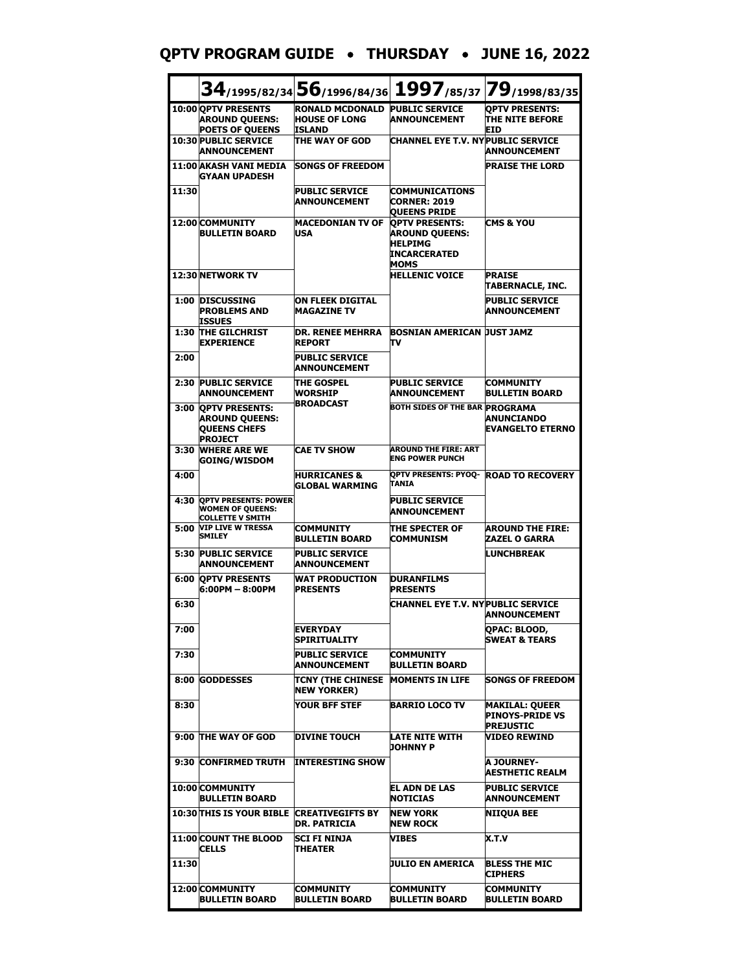#### **QPTV PROGRAM GUIDE** • **THURSDAY** • **JUNE 16, 2022**

|       |                                                                                         |                                                                         | 34/1995/82/34 56/1996/84/36 1997/85/37 79/1998/83/35                                            |                                                                     |
|-------|-----------------------------------------------------------------------------------------|-------------------------------------------------------------------------|-------------------------------------------------------------------------------------------------|---------------------------------------------------------------------|
|       | 10:00 OPTV PRESENTS<br><b>AROUND QUEENS:</b><br><b>POETS OF QUEENS</b>                  | <b>RONALD MCDONALD PUBLIC SERVICE</b><br><b>HOUSE OF LONG</b><br>ISLAND | <b>ANNOUNCEMENT</b>                                                                             | <b>OPTV PRESENTS:</b><br><b>THE NITE BEFORE</b><br>EID              |
|       | <b>10:30 PUBLIC SERVICE</b><br><b>ANNOUNCEMENT</b>                                      | THE WAY OF GOD                                                          | CHANNEL EYE T.V. NYPUBLIC SERVICE                                                               | <b>ANNOUNCEMENT</b>                                                 |
|       | <b>11:00 AKASH VANI MEDIA</b><br>GYAAN UPADESH                                          | <b>SONGS OF FREEDOM</b>                                                 |                                                                                                 | <b>PRAISE THE LORD</b>                                              |
| 11:30 |                                                                                         | <b>PUBLIC SERVICE</b><br><b>ANNOUNCEMENT</b>                            | <b>COMMUNICATIONS</b><br><b>CORNER: 2019</b><br><b>QUEENS PRIDE</b>                             |                                                                     |
|       | 12:00 COMMUNITY<br><b>BULLETIN BOARD</b>                                                | <b>MACEDONIAN TV OF</b><br>USA                                          | <b>OPTV PRESENTS:</b><br><b>AROUND QUEENS:</b><br><b>HELPIMG</b><br><b>INCARCERATED</b><br>MOMS | <b>CMS &amp; YOU</b>                                                |
|       | 12:30 NETWORK TV                                                                        |                                                                         | <b>HELLENIC VOICE</b>                                                                           | <b>PRAISE</b><br>TABERNACLE, INC.                                   |
|       | 1:00 DISCUSSING<br><b>PROBLEMS AND</b><br>ISSUES                                        | <b>ON FLEEK DIGITAL</b><br><b>MAGAZINE TV</b>                           |                                                                                                 | <b>PUBLIC SERVICE</b><br><b>ANNOUNCEMENT</b>                        |
| 1:30  | THE GILCHRIST<br><b>EXPERTENCE</b>                                                      | <b>DR. RENEE MEHRRA</b><br><b>REPORT</b>                                | BOSNIAN AMERICAN JUST JAMZ<br>πv                                                                |                                                                     |
| 2:00  |                                                                                         | <b>PUBLIC SERVICE</b><br>ANNOUNCEMENT                                   |                                                                                                 |                                                                     |
|       | 2:30 PUBLIC SERVICE<br><b>ANNOUNCEMENT</b>                                              | THE GOSPEL<br>WORSHIP                                                   | <b>PUBLIC SERVICE</b><br><b>ANNOUNCEMENT</b>                                                    | <b>COMMUNITY</b><br><b>BULLETIN BOARD</b>                           |
| 3:00  | <b>OPTV PRESENTS:</b><br><b>AROUND QUEENS:</b><br><b>QUEENS CHEFS</b><br><b>PROJECT</b> | <b>BROADCAST</b>                                                        | <b>BOTH SIDES OF THE BAR PROGRAMA</b>                                                           | <b>ANUNCIANDO</b><br><b>EVANGELTO ETERNO</b>                        |
| 3:30  | <b>WHERE ARE WE</b><br><b>GOING/WISDOM</b>                                              | <b>CAE TV SHOW</b>                                                      | <b>AROUND THE FIRE: ART</b><br><b>ENG POWER PUNCH</b>                                           |                                                                     |
| 4:00  |                                                                                         | <b>HURRICANES &amp;</b><br><b>GLOBAL WARMING</b>                        | OPTV PRESENTS: PYOQ- ROAD TO RECOVERY<br>TANIA                                                  |                                                                     |
| 4:30  | <b>QPTV PRESENTS: POWER</b><br><b>WOMEN OF QUEENS:</b><br><b>COLLETTE V SMITH</b>       |                                                                         | <b>PUBLIC SERVICE</b><br><b>ANNOUNCEMENT</b>                                                    |                                                                     |
| 5:00  | <b>VIP LIVE W TRESSA</b><br><b>SMILEY</b>                                               | <b>COMMUNITY</b><br><b>BULLETIN BOARD</b>                               | THE SPECTER OF<br><b>COMMUNISM</b>                                                              | <b>AROUND THE FIRE:</b><br><b>ZAZEL O GARRA</b>                     |
| 5:30  | <b>PUBLIC SERVICE</b><br><b>ANNOUNCEMENT</b>                                            | <b>PUBLIC SERVICE</b><br>ANNOUNCEMENT                                   |                                                                                                 | <b>LUNCHBREAK</b>                                                   |
|       | <b>6:00 OPTV PRESENTS</b><br>6:00PM - 8:00PM                                            | <b>WAT PRODUCTION</b><br><b>PRESENTS</b>                                | <b>DURANFILMS</b><br><b>PRESENTS</b>                                                            |                                                                     |
| 6:30  |                                                                                         |                                                                         | CHANNEL EYE T.V. NYPUBLIC SERVICE                                                               | <b>ANNOUNCEMENT</b>                                                 |
| 7:00  |                                                                                         | <b>EVERYDAY</b><br>SPIRITUALITY                                         |                                                                                                 | QPAC: BLOOD,<br><b>SWEAT &amp; TEARS</b>                            |
| 7:30  |                                                                                         | <b>PUBLIC SERVICE</b><br><b>ANNOUNCEMENT</b>                            | <b>COMMUNITY</b><br><b>BULLETIN BOARD</b>                                                       |                                                                     |
|       | 8:00 GODDESSES                                                                          | TCNY (THE CHINESE<br><b>NEW YORKER)</b>                                 | <b>MOMENTS IN LIFE</b>                                                                          | <b>SONGS OF FREEDOM</b>                                             |
| 8:30  |                                                                                         | YOUR BFF STEF                                                           | <b>BARRIO LOCO TV</b>                                                                           | <b>MAKILAL: QUEER</b><br><b>PINOYS-PRIDE VS</b><br><b>PREJUSTIC</b> |
|       | 9:00 THE WAY OF GOD                                                                     | <b>DIVINE TOUCH</b>                                                     | LATE NITE WITH<br><b>JOHNNY P</b>                                                               | VIDEO REWIND                                                        |
|       | 9:30 CONFIRMED TRUTH                                                                    | <b>INTERESTING SHOW</b>                                                 |                                                                                                 | A JOURNEY-<br><b>AESTHETIC REALM</b>                                |
|       | 10:00 COMMUNITY<br><b>BULLETIN BOARD</b>                                                |                                                                         | EL ADN DE LAS<br><b>NOTICIAS</b>                                                                | <b>PUBLIC SERVICE</b><br><b>ANNOUNCEMENT</b>                        |
|       | <b>10:30 THIS IS YOUR BIBLE CREATIVEGIFTS BY</b>                                        | DR. PATRICIA                                                            | <b>NEW YORK</b><br><b>NEW ROCK</b>                                                              | NIIQUA BEE                                                          |
|       | <b>11:00 COUNT THE BLOOD</b><br><b>CELLS</b>                                            | SCI FI NINJA<br>THEATER                                                 | VIBES                                                                                           | X.T.V                                                               |
| 11:30 |                                                                                         |                                                                         | JULIO EN AMERICA                                                                                | <b>BLESS THE MIC</b><br><b>CIPHERS</b>                              |
|       | 12:00 COMMUNITY<br><b>BULLETIN BOARD</b>                                                | COMMUNITY<br><b>BULLETIN BOARD</b>                                      | COMMUNITY<br><b>BULLETIN BOARD</b>                                                              | <b>COMMUNITY</b><br><b>BULLETIN BOARD</b>                           |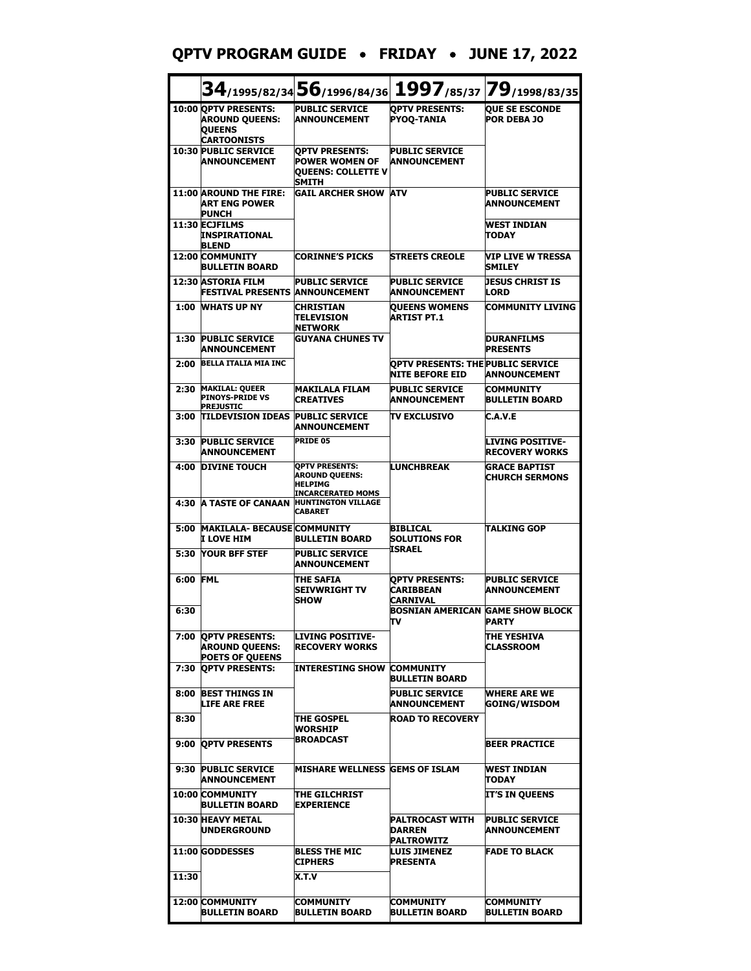#### **QPTV PROGRAM GUIDE** • **FRIDAY** • **JUNE 17, 2022**

|          |                                                                                      | $34$ /1995/82/34 56/1996/84/36                                                               |                                                                    | 1997/85/37 79/1998/83/35                      |
|----------|--------------------------------------------------------------------------------------|----------------------------------------------------------------------------------------------|--------------------------------------------------------------------|-----------------------------------------------|
|          | 10:00 OPTV PRESENTS:<br><b>AROUND QUEENS:</b><br><b>QUEENS</b><br><b>CARTOONISTS</b> | <b>PUBLIC SERVICE</b><br><b>ANNOUNCEMENT</b>                                                 | <b>OPTV PRESENTS:</b><br><b>PYOQ-TANIA</b>                         | <b>QUE SE ESCONDE</b><br><b>POR DEBA JO</b>   |
|          | <b>10:30 PUBLIC SERVICE</b><br><b>ANNOUNCEMENT</b>                                   | <b>OPTV PRESENTS:</b><br><b>POWER WOMEN OF</b><br><b>OUEENS: COLLETTE V</b><br>SMITH         | <b>PUBLIC SERVICE</b><br><b>ANNOUNCEMENT</b>                       |                                               |
|          | <b>11:00 AROUND THE FIRE:</b><br><b>ART ENG POWER</b><br><b>PUNCH</b>                | <b>GAIL ARCHER SHOW</b>                                                                      | <b>ATV</b>                                                         | <b>PUBLIC SERVICE</b><br><b>ANNOUNCEMENT</b>  |
|          | 11:30 ECJFILMS<br>INSPIRATIONAL<br><b>BLEND</b>                                      |                                                                                              |                                                                    | <b>WEST INDIAN</b><br>TODAY                   |
|          | <b>12:00 COMMUNITY</b><br><b>BULLETIN BOARD</b>                                      | <b>CORINNE'S PICKS</b>                                                                       | <b>STREETS CREOLE</b>                                              | VIP LIVE W TRESSA<br><b>SMILEY</b>            |
|          | 12:30 ASTORIA FILM<br><b>FESTIVAL PRESENTS</b>                                       | <b>PUBLIC SERVICE</b><br><b>ANNOUNCEMENT</b>                                                 | <b>PUBLIC SERVICE</b><br><b>ANNOUNCEMENT</b>                       | JESUS CHRIST IS<br>LORD                       |
| 1:00     | <b>WHATS UP NY</b>                                                                   | <b>CHRISTIAN</b><br><b>TELEVISION</b><br><b>NETWORK</b>                                      | <b>QUEENS WOMENS</b><br><b>ARTIST PT.1</b>                         | <b>COMMUNITY LIVING</b>                       |
| 1:30     | <b>PUBLIC SERVICE</b><br><b>ANNOUNCEMENT</b>                                         | <b>GUYANA CHUNES TV</b>                                                                      |                                                                    | <b>DURANFILMS</b><br><b>PRESENTS</b>          |
| 2:00     | <b>BELLA ITALIA MIA INC</b>                                                          |                                                                                              | <b>OPTV PRESENTS: THE PUBLIC SERVICE</b><br><b>NITE BEFORE EID</b> | <b>ANNOUNCEMENT</b>                           |
| 2:30     | <b>MAKILAL: QUEER</b><br><b>PINOYS-PRIDE VS</b><br><b>PREJUSTIC</b>                  | <b>MAKILALA FILAM</b><br><b>CREATIVES</b>                                                    | <b>PUBLIC SERVICE</b><br><b>ANNOUNCEMENT</b>                       | <b>COMMUNITY</b><br><b>BULLETIN BOARD</b>     |
|          | 3:00 TILDEVISION IDEAS                                                               | <b>PUBLIC SERVICE</b><br><b>ANNOUNCEMENT</b>                                                 | <b>TV EXCLUSIVO</b>                                                | C.A.V.E                                       |
| 3:30     | <b>PUBLIC SERVICE</b><br><b>ANNOUNCEMENT</b>                                         | <b>PRIDE 05</b>                                                                              |                                                                    | LIVING POSITIVE-<br><b>RECOVERY WORKS</b>     |
| 4:00     | <b>DIVINE TOUCH</b>                                                                  | <b>OPTV PRESENTS:</b><br><b>AROUND QUEENS:</b><br><b>HELPIMG</b><br><b>INCARCERATED MOMS</b> | <b>LUNCHBREAK</b>                                                  | <b>GRACE BAPTIST</b><br><b>CHURCH SERMONS</b> |
| 4:30     | <b>A TASTE OF CANAAN</b>                                                             | <b>HUNTINGTON VILLAGE</b><br><b>CABARET</b>                                                  |                                                                    |                                               |
| 5:00     | <b>MAKILALA- BECAUSE COMMUNITY</b><br>I LOVE HIM                                     | <b>BULLETIN BOARD</b>                                                                        | <b>BIBLICAL</b><br><b>SOLUTIONS FOR</b><br><b>ISRAEL</b>           | <b>TALKING GOP</b>                            |
| 5:30     | <b>YOUR BFF STEF</b>                                                                 | <b>PUBLIC SERVICE</b><br><b>ANNOUNCEMENT</b>                                                 |                                                                    |                                               |
| 6:00 FML |                                                                                      | <b>THE SAFIA</b><br><b>SEIVWRIGHT TV</b><br><b>ISHOW</b>                                     | <b>OPTV PRESENTS:</b><br><b>CARIBBEAN</b><br>CARNIVAL              | <b>PUBLIC SERVICE</b><br><b>ANNOUNCEMENT</b>  |
| 6:30     |                                                                                      |                                                                                              | <b>BOSNIAN AMERICAN</b><br>Tν                                      | <b>GAME SHOW BLOCK</b><br><b>PARTY</b>        |
|          | 7:00 QPTV PRESENTS:<br><b>AROUND QUEENS:</b><br><b>POETS OF QUEENS</b>               | <b>LIVING POSITIVE-</b><br><b>RECOVERY WORKS</b>                                             |                                                                    | <b>THE YESHIVA</b><br><b>CLASSROOM</b>        |
| 7:30     | <b>OPTV PRESENTS:</b>                                                                | <b>INTERESTING SHOW COMMUNITY</b>                                                            | <b>BULLETIN BOARD</b>                                              |                                               |
| 8:00     | <b>BEST THINGS IN</b><br><b>LIFE ARE FREE</b>                                        |                                                                                              | <b>PUBLIC SERVICE</b><br><b>ANNOUNCEMENT</b>                       | <b>WHERE ARE WE</b><br><b>GOING/WISDOM</b>    |
| 8:30     |                                                                                      | <b>THE GOSPEL</b><br>WORSHIP                                                                 | <b>ROAD TO RECOVERY</b>                                            |                                               |
|          | 9:00 QPTV PRESENTS                                                                   | BROADCAST                                                                                    |                                                                    | <b>BEER PRACTICE</b>                          |
| 9:30     | <b>PUBLIC SERVICE</b><br><b>ANNOUNCEMENT</b>                                         | <b>MISHARE WELLNESS GEMS OF ISLAM</b>                                                        |                                                                    | WEST INDIAN<br>TODAY                          |
|          | <b>10:00 COMMUNITY</b><br><b>BULLETIN BOARD</b>                                      | THE GILCHRIST<br><b>EXPERIENCE</b>                                                           |                                                                    | IT'S IN QUEENS                                |
|          | <b>10:30 HEAVY METAL</b><br><b>UNDERGROUND</b>                                       |                                                                                              | <b>PALTROCAST WITH</b><br>DARREN<br><b>PALTROWITZ</b>              | <b>PUBLIC SERVICE</b><br><b>ANNOUNCEMENT</b>  |
|          | 11:00 GODDESSES                                                                      | <b>BLESS THE MIC</b><br><b>CIPHERS</b>                                                       | <b>LUIS JIMENEZ</b><br>PRESENTA                                    | <b>FADE TO BLACK</b>                          |
| 11:30    |                                                                                      | X.T.V                                                                                        |                                                                    |                                               |
|          | <b>12:00 COMMUNITY</b><br><b>BULLETIN BOARD</b>                                      | <b>COMMUNITY</b><br><b>BULLETIN BOARD</b>                                                    | <b>COMMUNITY</b><br><b>BULLETIN BOARD</b>                          | COMMUNITY<br><b>BULLETIN BOARD</b>            |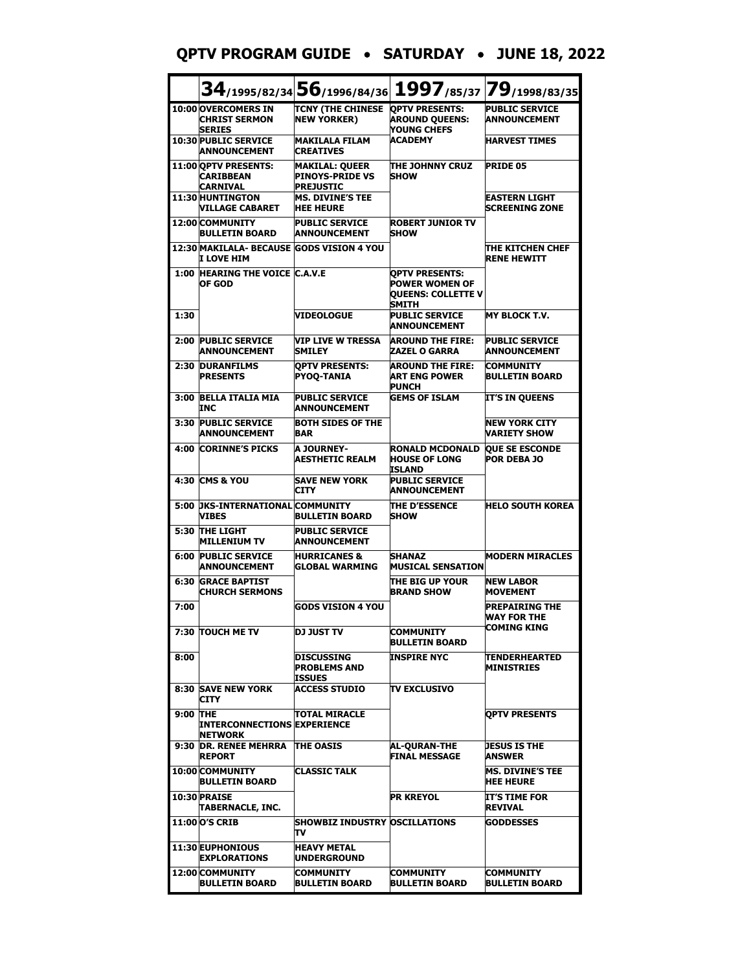#### **QPTV PROGRAM GUIDE** • **SATURDAY** • **JUNE 18, 2022**

|          |                                                              |                                                                     | 34/1995/82/34 56/1996/84/36 1997/85/37 79/1998/83/35                                 |                                                            |
|----------|--------------------------------------------------------------|---------------------------------------------------------------------|--------------------------------------------------------------------------------------|------------------------------------------------------------|
|          | 10:00 OVERCOMERS IN<br><b>CHRIST SERMON</b><br><b>SERIES</b> | TCNY (THE CHINESE OPTV PRESENTS:<br><b>NEW YORKER)</b>              | <b>AROUND QUEENS:</b><br>YOUNG CHEFS                                                 | <b>PUBLIC SERVICE</b><br><b>ANNOUNCEMENT</b>               |
|          | <b>10:30 PUBLIC SERVICE</b><br><b>ANNOUNCEMENT</b>           | <b>MAKILALA FILAM</b><br><b>CREATIVES</b>                           | <b>ACADEMY</b>                                                                       | <b>HARVEST TIMES</b>                                       |
|          | 11:00 OPTV PRESENTS:<br><b>CARIBBEAN</b><br><b>CARNIVAL</b>  | <b>MAKILAL: QUEER</b><br><b>PINOYS-PRIDE VS</b><br><b>PREJUSTIC</b> | THE JOHNNY CRUZ<br><b>SHOW</b>                                                       | <b>PRIDE 05</b>                                            |
|          | 11:30 HUNTINGTON<br><b>VILLAGE CABARET</b>                   | <b>MS. DIVINE'S TEE</b><br><b>HEE HEURE</b>                         |                                                                                      | <b>EASTERN LIGHT</b><br><b>SCREENING ZONE</b>              |
|          | 12:00 COMMUNITY<br><b>BULLETIN BOARD</b>                     | <b>PUBLIC SERVICE</b><br><b>ANNOUNCEMENT</b>                        | <b>ROBERT JUNIOR TV</b><br><b>SHOW</b>                                               |                                                            |
|          | 12:30 MAKILALA- BECAUSE GODS VISION 4 YOU<br>I LOVE HIM      |                                                                     |                                                                                      | THE KITCHEN CHEF<br><b>RENE HEWITT</b>                     |
| 1:00     | <b>HEARING THE VOICE C.A.V.E</b><br>OF GOD                   |                                                                     | <b>OPTV PRESENTS:</b><br><b>POWER WOMEN OF</b><br><b>QUEENS: COLLETTE V</b><br>SMITH |                                                            |
| 1:30     |                                                              | <b>VIDEOLOGUE</b>                                                   | <b>PUBLIC SERVICE</b><br>ANNOUNCEMENT                                                | <b>MY BLOCK T.V.</b>                                       |
| 2:00     | <b>PUBLIC SERVICE</b><br><b>ANNOUNCEMENT</b>                 | <b>VIP LIVE W TRESSA</b><br>SMILEY                                  | <b>AROUND THE FIRE:</b><br><b>ZAZEL O GARRA</b>                                      | <b>PUBLIC SERVICE</b><br><b>ANNOUNCEMENT</b>               |
| 2:30     | <b>DURANFILMS</b><br><b>PRESENTS</b>                         | <b>OPTV PRESENTS:</b><br><b>PYOO-TANIA</b>                          | <b>AROUND THE FIRE:</b><br>ART ENG POWER<br><b>PUNCH</b>                             | <b>COMMUNITY</b><br><b>BULLETIN BOARD</b>                  |
|          | 3:00 BELLA ITALIA MIA<br>INC                                 | <b>PUBLIC SERVICE</b><br><b>ANNOUNCEMENT</b>                        | <b>GEMS OF ISLAM</b>                                                                 | <b>IT'S IN QUEENS</b>                                      |
| 3:30     | <b>PUBLIC SERVICE</b><br><b>ANNOUNCEMENT</b>                 | <b>BOTH SIDES OF THE</b><br><b>BAR</b>                              |                                                                                      | <b>NEW YORK CITY</b><br><b>VARIETY SHOW</b>                |
|          | <b>4:00 CORINNE'S PICKS</b>                                  | <b>A JOURNEY-</b><br><b>AESTHETIC REALM</b>                         | <b>RONALD MCDONALD</b><br><b>HOUSE OF LONG</b><br>ISLAND                             | <b>QUE SE ESCONDE</b><br><b>POR DEBA JO</b>                |
|          | <b>4:30 CMS &amp; YOU</b>                                    | <b>SAVE NEW YORK</b><br><b>CITY</b>                                 | <b>PUBLIC SERVICE</b><br><b>ANNOUNCEMENT</b>                                         |                                                            |
|          | 5:00 DKS-INTERNATIONAL COMMUNITY<br><b>VIBES</b>             | <b>BULLETIN BOARD</b>                                               | <b>THE D'ESSENCE</b><br><b>SHOW</b>                                                  | <b>HELO SOUTH KOREA</b>                                    |
| 5:30     | THE LIGHT<br><b>MILLENIUM TV</b>                             | <b>PUBLIC SERVICE</b><br><b>ANNOUNCEMENT</b>                        |                                                                                      |                                                            |
|          | <b>6:00 PUBLIC SERVICE</b><br><b>ANNOUNCEMENT</b>            | <b>HURRICANES &amp;</b><br><b>GLOBAL WARMING</b>                    | <b>SHANAZ</b><br><b>MUSICAL SENSATION</b>                                            | <b>MODERN MIRACLES</b>                                     |
| 6:30     | <b>GRACE BAPTIST</b><br><b>CHURCH SERMONS</b>                |                                                                     | THE BIG UP YOUR<br><b>BRAND SHOW</b>                                                 | <b>NEW LABOR</b><br><b>MOVEMENT</b>                        |
| 7:00     |                                                              | <b>GODS VISION 4 YOU</b>                                            |                                                                                      | <b>PREPAIRING THE</b><br><b>WAY FOR THE</b><br>COMING KING |
|          | 7:30 TOUCH ME TV                                             | DJ JUST TV                                                          | COMMUNITY<br><b>BULLETIN BOARD</b>                                                   |                                                            |
| 8:00     |                                                              | DISCUSSING<br>PROBLEMS AND<br><b>ISSUES</b>                         | <b>INSPIRE NYC</b>                                                                   | <b>TENDERHEARTED</b><br><b>MINISTRIES</b>                  |
|          | <b>8:30 SAVE NEW YORK</b><br><b>CITY</b>                     | <b>ACCESS STUDIO</b>                                                | <b>TV EXCLUSIVO</b>                                                                  |                                                            |
| 9:00 THE | <b>INTERCONNECTIONS EXPERIENCE</b><br>NETWORK                | TOTAL MIRACLE                                                       |                                                                                      | <b>OPTV PRESENTS</b>                                       |
|          | 9:30 DR. RENEE MEHRRA<br><b>REPORT</b>                       | <b>THE OASIS</b>                                                    | <b>AL-QURAN-THE</b><br><b>FINAL MESSAGE</b>                                          | <b>JESUS IS THE</b><br><b>ANSWER</b>                       |
|          | 10:00 COMMUNITY<br>BULLETIN BOARD                            | <b>CLASSIC TALK</b>                                                 |                                                                                      | MS. DIVINE'S TEE<br><b>HEE HEURE</b>                       |
|          | 10:30 PRAISE<br>TABERNACLE, INC.                             |                                                                     | PR KREYOL                                                                            | IT'S TIME FOR<br><b>REVIVAL</b>                            |
|          | 11:00 O'S CRIB                                               | <b>SHOWBIZ INDUSTRY OSCILLATIONS</b><br>TV                          |                                                                                      | <b>GODDESSES</b>                                           |
|          | <b>11:30 EUPHONIOUS</b><br><b>EXPLORATIONS</b>               | <b>HEAVY METAL</b><br><b>UNDERGROUND</b>                            |                                                                                      |                                                            |
|          | 12:00 COMMUNITY<br><b>BULLETIN BOARD</b>                     | <b>COMMUNITY</b><br><b>BULLETIN BOARD</b>                           | <b>COMMUNITY</b><br><b>BULLETIN BOARD</b>                                            | <b>COMMUNITY</b><br><b>BULLETIN BOARD</b>                  |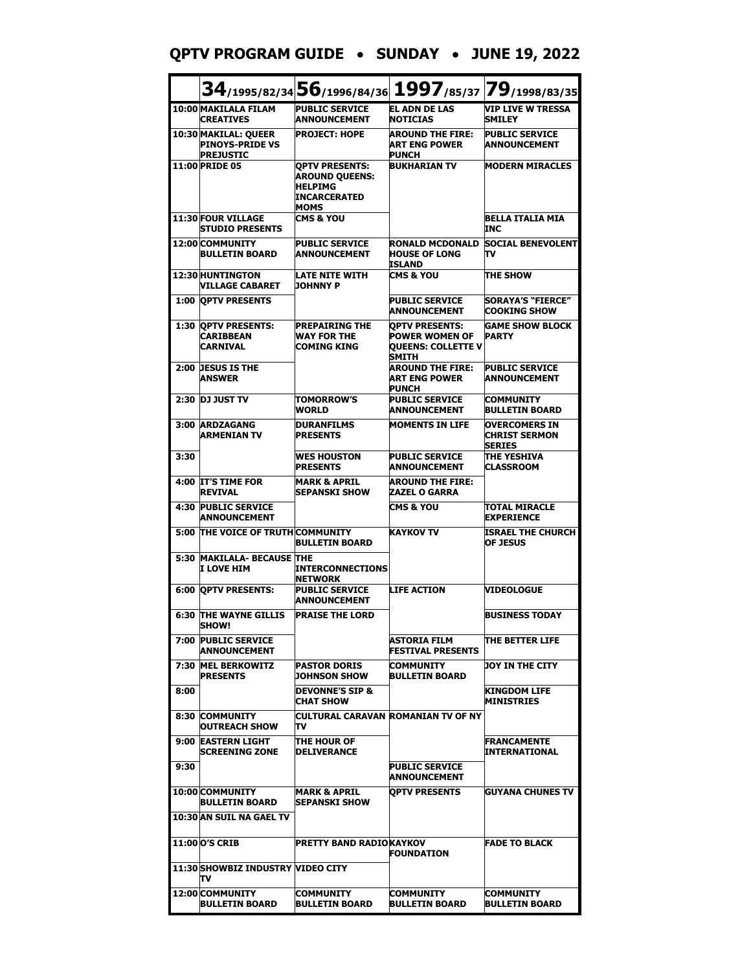#### **QPTV PROGRAM GUIDE** • **SUNDAY** • **JUNE 19, 2022**

|      |                                                                    | $34$ /1995/82/34 $56$ /1996/84/36                                                               |                                                                                             | 1997/85/37 79/1998/83/35                                      |
|------|--------------------------------------------------------------------|-------------------------------------------------------------------------------------------------|---------------------------------------------------------------------------------------------|---------------------------------------------------------------|
|      | 10:00 MAKILALA FILAM<br><b>CREATIVES</b>                           | <b>PUBLIC SERVICE</b><br><b>ANNOUNCEMENT</b>                                                    | <b>EL ADN DE LAS</b><br><b>NOTICIAS</b>                                                     | VIP LIVE W TRESSA<br>SMILEY                                   |
|      | 10:30 MAKILAL: QUEER<br><b>PINOYS-PRIDE VS</b><br><b>PREJUSTIC</b> | <b>PROJECT: HOPE</b>                                                                            | <b>AROUND THE FIRE:</b><br><b>ART ENG POWER</b><br><b>PUNCH</b>                             | <b>PUBLIC SERVICE</b><br><b>ANNOUNCEMENT</b>                  |
|      | <b>11:00 PRIDE 05</b>                                              | <b>OPTV PRESENTS:</b><br><b>AROUND QUEENS:</b><br><b>HELPIMG</b><br><b>INCARCERATED</b><br>MOMS | <b>BUKHARIAN TV</b>                                                                         | <b>MODERN MIRACLES</b>                                        |
|      | <b>11:30 FOUR VILLAGE</b><br><b>STUDIO PRESENTS</b>                | <b>CMS &amp; YOU</b>                                                                            |                                                                                             | BELLA ITALIA MIA<br>INC                                       |
|      | 12:00 COMMUNITY<br><b>BULLETIN BOARD</b>                           | <b>PUBLIC SERVICE</b><br><b>ANNOUNCEMENT</b>                                                    | <b>RONALD MCDONALD</b><br><b>HOUSE OF LONG</b><br>ISLAND                                    | <b>SOCIAL BENEVOLENT</b><br>Tν                                |
|      | <b>12:30 HUNTINGTON</b><br><b>VILLAGE CABARET</b>                  | LATE NITE WITH<br><b>JOHNNY P</b>                                                               | <b>CMS &amp; YOU</b>                                                                        | <b>THE SHOW</b>                                               |
|      | <b>1:00 OPTV PRESENTS</b>                                          |                                                                                                 | <b>PUBLIC SERVICE</b><br><b>ANNOUNCEMENT</b>                                                | <b>SORAYA'S "FIERCE"</b><br><b>COOKING SHOW</b>               |
|      | 1:30 OPTV PRESENTS:<br><b>CARIBBEAN</b><br><b>CARNIVAL</b>         | <b>PREPAIRING THE</b><br><b>WAY FOR THE</b><br><b>COMING KING</b>                               | <b>OPTV PRESENTS:</b><br><b>POWER WOMEN OF</b><br><b>QUEENS: COLLETTE V</b><br><b>SMITH</b> | <b>GAME SHOW BLOCK</b><br><b>PARTY</b>                        |
|      | 2:00 DESUS IS THE<br><b>ANSWER</b>                                 |                                                                                                 | <b>AROUND THE FIRE:</b><br><b>ART ENG POWER</b><br><b>PUNCH</b>                             | <b>PUBLIC SERVICE</b><br><b>ANNOUNCEMENT</b>                  |
| 2:30 | <b>DJ JUST TV</b>                                                  | <b>TOMORROW'S</b><br><b>WORLD</b>                                                               | <b>PUBLIC SERVICE</b><br>ANNOUNCEMENT                                                       | <b>COMMUNITY</b><br><b>BULLETIN BOARD</b>                     |
|      | 3:00 ARDZAGANG<br><b>ARMENIAN TV</b>                               | <b>DURANFILMS</b><br><b>PRESENTS</b>                                                            | <b>MOMENTS IN LIFE</b>                                                                      | <b>OVERCOMERS IN</b><br><b>CHRIST SERMON</b><br><b>SERIES</b> |
| 3:30 |                                                                    | <b>WES HOUSTON</b><br><b>PRESENTS</b>                                                           | <b>PUBLIC SERVICE</b><br><b>ANNOUNCEMENT</b>                                                | THE YESHIVA<br>CLASSROOM                                      |
|      | 4:00 IT'S TIME FOR<br><b>REVIVAL</b>                               | <b>MARK &amp; APRIL</b><br><b>SEPANSKI SHOW</b>                                                 | <b>AROUND THE FIRE:</b><br><b>ZAZEL O GARRA</b>                                             |                                                               |
| 4:30 | <b>PUBLIC SERVICE</b><br><b>ANNOUNCEMENT</b>                       |                                                                                                 | <b>CMS &amp; YOU</b>                                                                        | TOTAL MIRACLE<br><b>EXPERIENCE</b>                            |
| 5:00 | THE VOICE OF TRUTH COMMUNITY                                       | <b>BULLETIN BOARD</b>                                                                           | <b>KAYKOV TV</b>                                                                            | <b>ISRAEL THE CHURCH</b><br><b>OF JESUS</b>                   |
| 5:30 | <b>MAKILALA- BECAUSE THE</b><br>I LOVE HIM                         | <b>INTERCONNECTIONS</b><br><b>NETWORK</b>                                                       |                                                                                             |                                                               |
|      | <b>6:00 OPTV PRESENTS:</b>                                         | <b>PUBLIC SERVICE</b><br>ANNOUNCEMENT                                                           | <b>LIFE ACTION</b>                                                                          | <b>VIDEOLOGUE</b>                                             |
|      | <b>6:30 THE WAYNE GILLIS</b><br>SHUW!                              | <b>PRAISE THE LORD</b>                                                                          |                                                                                             | <b>BUSINESS TODAY</b>                                         |
| 7:00 | <b>PUBLIC SERVICE</b><br><b>ANNOUNCEMENT</b>                       |                                                                                                 | ASTORIA FILM<br><b>FESTIVAL PRESENTS</b>                                                    | THE BETTER LIFE                                               |
|      | 7:30 MEL BERKOWITZ<br><b>PRESENTS</b>                              | <b>PASTOR DORIS</b><br><b>JOHNSON SHOW</b>                                                      | <b>COMMUNITY</b><br><b>BULLETIN BOARD</b>                                                   | DOY IN THE CITY                                               |
| 8:00 |                                                                    | <b>DEVONNE'S SIP &amp;</b><br>CHAT SHOW                                                         |                                                                                             | KINGDOM LIFE<br><b>MINISTRIES</b>                             |
|      | <b>8:30 COMMUNITY</b><br><b>OUTREACH SHOW</b>                      | Tν                                                                                              | CULTURAL CARAVAN ROMANIAN TV OF NY                                                          |                                                               |
|      | 9:00 EASTERN LIGHT<br><b>SCREENING ZONE</b>                        | ITHE HOUR OF<br><b>DELIVERANCE</b>                                                              |                                                                                             | <b>FRANCAMENTE</b><br><b>INTERNATIONAL</b>                    |
| 9:30 |                                                                    |                                                                                                 | <b>PUBLIC SERVICE</b><br><b>ANNOUNCEMENT</b>                                                |                                                               |
|      | 10:00 COMMUNITY<br><b>BULLETIN BOARD</b>                           | MARK & APRIL<br><b>ISEPANSKI SHOW</b>                                                           | <b>OPTV PRESENTS</b>                                                                        | GUYANA CHUNES TV                                              |
|      | 10:30 AN SUIL NA GAEL TV                                           |                                                                                                 |                                                                                             |                                                               |
|      | 11:00 O'S CRIB                                                     | PRETTY BAND RADIOKAYKOV                                                                         | <b>FOUNDATION</b>                                                                           | <b>FADE TO BLACK</b>                                          |
|      | 11:30 SHOWBIZ INDUSTRY VIDEO CITY<br>Tν                            |                                                                                                 |                                                                                             |                                                               |
|      | 12:00 COMMUNITY<br><b>BULLETIN BOARD</b>                           | COMMUNITY<br><b>BULLETIN BOARD</b>                                                              | <b>COMMUNITY</b><br>BULLETIN BOARD                                                          | <b>COMMUNITY</b><br><b>BULLETIN BOARD</b>                     |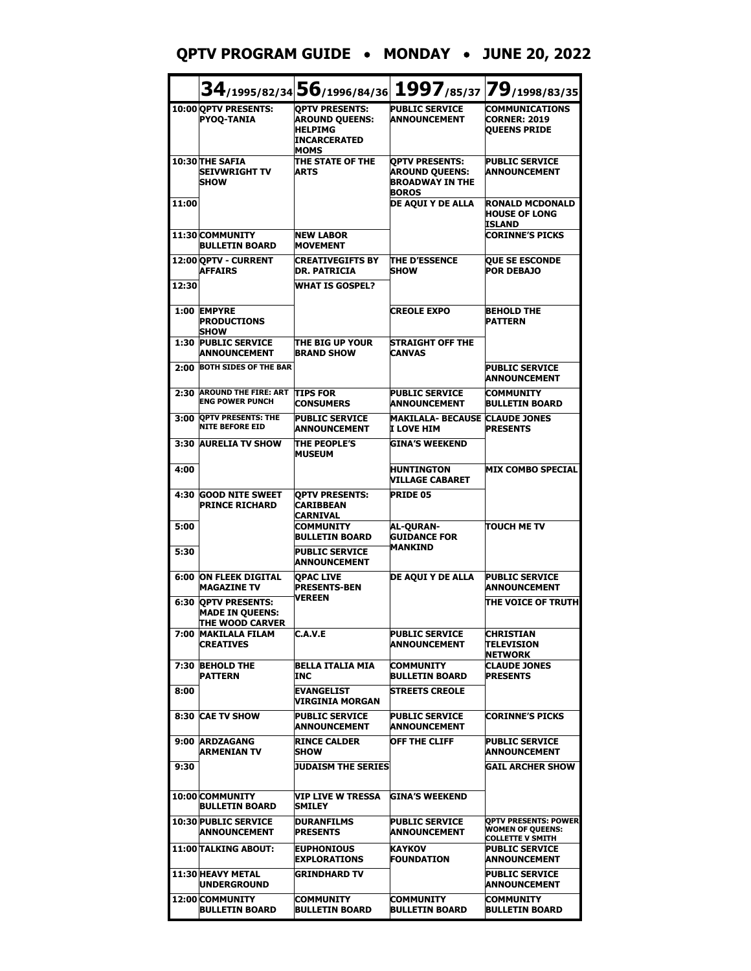# **QPTV PROGRAM GUIDE** • **MONDAY** • **JUNE 20, 2022**

|       |                                                                    | 34/1995/82/34 56/1996/84/36 1997/85/37 79/1998/83/35                                                   |                                                                                          |                                                                                   |
|-------|--------------------------------------------------------------------|--------------------------------------------------------------------------------------------------------|------------------------------------------------------------------------------------------|-----------------------------------------------------------------------------------|
|       | 10:00 OPTV PRESENTS:<br><b>PYOQ-TANIA</b>                          | <b>OPTV PRESENTS:</b><br><b>AROUND QUEENS:</b><br><b>HELPIMG</b><br><b>INCARCERATED</b><br><b>MOMS</b> | <b>PUBLIC SERVICE</b><br><b>ANNOUNCEMENT</b>                                             | <b>COMMUNICATIONS</b><br><b>CORNER: 2019</b><br><b>QUEENS PRIDE</b>               |
|       | 10:30 THE SAFIA<br><b>SEIVWRIGHT TV</b><br><b>SHOW</b>             | THE STATE OF THE<br><b>ARTS</b>                                                                        | <b>OPTV PRESENTS:</b><br><b>AROUND QUEENS:</b><br><b>BROADWAY IN THE</b><br><b>BOROS</b> | <b>PUBLIC SERVICE</b><br><b>ANNOUNCEMENT</b>                                      |
| 11:00 |                                                                    |                                                                                                        | DE AQUI Y DE ALLA                                                                        | <b>RONALD MCDONALD</b><br><b>HOUSE OF LONG</b><br>ISLAND                          |
|       | 11:30 COMMUNITY<br><b>BULLETIN BOARD</b>                           | <b>NEW LABOR</b><br><b>MOVEMENT</b>                                                                    |                                                                                          | <b>CORINNE'S PICKS</b>                                                            |
|       | 12:00 OPTV - CURRENT<br><b>AFFAIRS</b>                             | <b>CREATIVEGIFTS BY</b><br><b>DR. PATRICIA</b>                                                         | <b>THE D'ESSENCE</b><br><b>SHOW</b>                                                      | <b>QUE SE ESCONDE</b><br><b>POR DEBAJO</b>                                        |
| 12:30 |                                                                    | <b>WHAT IS GOSPEL?</b>                                                                                 |                                                                                          |                                                                                   |
|       | 1:00 EMPYRE<br><b>PRODUCTIONS</b><br><b>SHOW</b>                   |                                                                                                        | <b>CREOLE EXPO</b>                                                                       | <b>BEHOLD THE</b><br><b>PATTERN</b>                                               |
|       | <b>1:30 PUBLIC SERVICE</b><br><b>ANNOUNCEMENT</b>                  | <b>THE BIG UP YOUR</b><br><b>BRAND SHOW</b>                                                            | <b>STRAIGHT OFF THE</b><br><b>CANVAS</b>                                                 |                                                                                   |
| 2:00  | <b>BOTH SIDES OF THE BAR</b>                                       |                                                                                                        |                                                                                          | <b>PUBLIC SERVICE</b><br>ANNOUNCEMENT                                             |
| 2:30  | <b>AROUND THE FIRE: ART</b><br><b>ENG POWER PUNCH</b>              | <b>TIPS FOR</b><br><b>CONSUMERS</b>                                                                    | <b>PUBLIC SERVICE</b><br><b>ANNOUNCEMENT</b>                                             | <b>COMMUNITY</b><br><b>BULLETIN BOARD</b>                                         |
| 3:00  | <b>QPTV PRESENTS: THE</b><br><b>NITE BEFORE EID</b>                | <b>PUBLIC SERVICE</b><br><b>ANNOUNCEMENT</b>                                                           | <b>MAKILALA- BECAUSE CLAUDE JONES</b><br>I LOVE HIM                                      | <b>PRESENTS</b>                                                                   |
|       | 3:30 AURELIA TV SHOW                                               | <b>THE PEOPLE'S</b><br><b>MUSEUM</b>                                                                   | <b>GINA'S WEEKEND</b>                                                                    |                                                                                   |
| 4:00  |                                                                    |                                                                                                        | <b>HUNTINGTON</b><br><b>VILLAGE CABARET</b>                                              | <b>MIX COMBO SPECIAL</b>                                                          |
| 4:30  | <b>GOOD NITE SWEET</b><br><b>PRINCE RICHARD</b>                    | <b>OPTV PRESENTS:</b><br><b>CARIBBEAN</b><br>CARNIVAL                                                  | <b>PRIDE 05</b>                                                                          |                                                                                   |
| 5:00  |                                                                    | <b>COMMUNITY</b><br><b>BULLETIN BOARD</b>                                                              | <b>AL-QURAN-</b><br><b>GUIDANCE FOR</b>                                                  | <b>TOUCH ME TV</b>                                                                |
| 5:30  |                                                                    | <b>PUBLIC SERVICE</b><br><b>ANNOUNCEMENT</b>                                                           | <b>MANKIND</b>                                                                           |                                                                                   |
| 6:00  | <b>ON FLEEK DIGITAL</b><br><b>MAGAZINE TV</b>                      | <b>OPAC LIVE</b><br><b>PRESENTS-BEN</b><br><b>VEREEN</b>                                               | DE AQUI Y DE ALLA                                                                        | <b>PUBLIC SERVICE</b><br><b>ANNOUNCEMENT</b>                                      |
| 6:30  | <b>OPTV PRESENTS:</b><br><b>MADE IN QUEENS:</b><br>THE WOOD CARVER |                                                                                                        |                                                                                          | THE VOICE OF TRUTH                                                                |
|       | 7:00 MAKILALA FILAM<br><b>CREATIVES</b>                            | C.A.V.E                                                                                                | <b>PUBLIC SERVICE</b><br><b>ANNOUNCEMENT</b>                                             | <b>CHRISTIAN</b><br>TELEVISION<br><b>NETWORK</b>                                  |
| 7:30  | <b>BEHOLD THE</b><br><b>PATTERN</b>                                | BELLA ITALIA MIA<br>INC                                                                                | <b>COMMUNITY</b><br><b>BULLETIN BOARD</b>                                                | <b>CLAUDE JONES</b><br><b>PRESENTS</b>                                            |
| 8:00  |                                                                    | <b>EVANGELIST</b><br>VIRGINIA MORGAN                                                                   | <b>STREETS CREOLE</b>                                                                    |                                                                                   |
| 8:30  | <b>CAE TV SHOW</b>                                                 | <b>PUBLIC SERVICE</b><br><b>ANNOUNCEMENT</b>                                                           | <b>PUBLIC SERVICE</b><br><b>ANNOUNCEMENT</b>                                             | <b>CORINNE'S PICKS</b>                                                            |
|       | 9:00 ARDZAGANG<br><b>ARMENIAN TV</b>                               | <b>RINCE CALDER</b><br><b>ISHOW</b>                                                                    | <b>OFF THE CLIFF</b>                                                                     | <b>PUBLIC SERVICE</b><br><b>ANNOUNCEMENT</b>                                      |
| 9:30  |                                                                    | <b>JUDAISM THE SERIES</b>                                                                              |                                                                                          | <b>GAIL ARCHER SHOW</b>                                                           |
|       | 10:00 COMMUNITY<br><b>BULLETIN BOARD</b>                           | VIP LIVE W TRESSA<br>SMILEY                                                                            | GINA'S WEEKEND                                                                           |                                                                                   |
|       | <b>10:30 PUBLIC SERVICE</b><br><b>ANNOUNCEMENT</b>                 | <b>DURANFILMS</b><br><b>PRESENTS</b>                                                                   | <b>PUBLIC SERVICE</b><br><b>ANNOUNCEMENT</b>                                             | <b>OPTV PRESENTS: POWER</b><br><b>WOMEN OF QUEENS:</b><br><b>COLLETTE V SMITH</b> |
|       | <b>11:00 TALKING ABOUT:</b>                                        | <b>EUPHONIOUS</b><br><b>EXPLORATIONS</b>                                                               | <b>KAYKOV</b><br><b>FOUNDATION</b>                                                       | <b>PUBLIC SERVICE</b><br><b>ANNOUNCEMENT</b>                                      |
|       | 11:30 HEAVY METAL<br><b>IUNDERGROUND</b>                           | <b>GRINDHARD TV</b>                                                                                    |                                                                                          | <b>PUBLIC SERVICE</b><br>ANNOUNCEMENT                                             |
|       | 12:00 COMMUNITY<br><b>BULLETIN BOARD</b>                           | <b>COMMUNITY</b><br><b>BULLETIN BOARD</b>                                                              | <b>COMMUNITY</b><br><b>BULLETIN BOARD</b>                                                | <b>COMMUNITY</b><br><b>BULLETIN BOARD</b>                                         |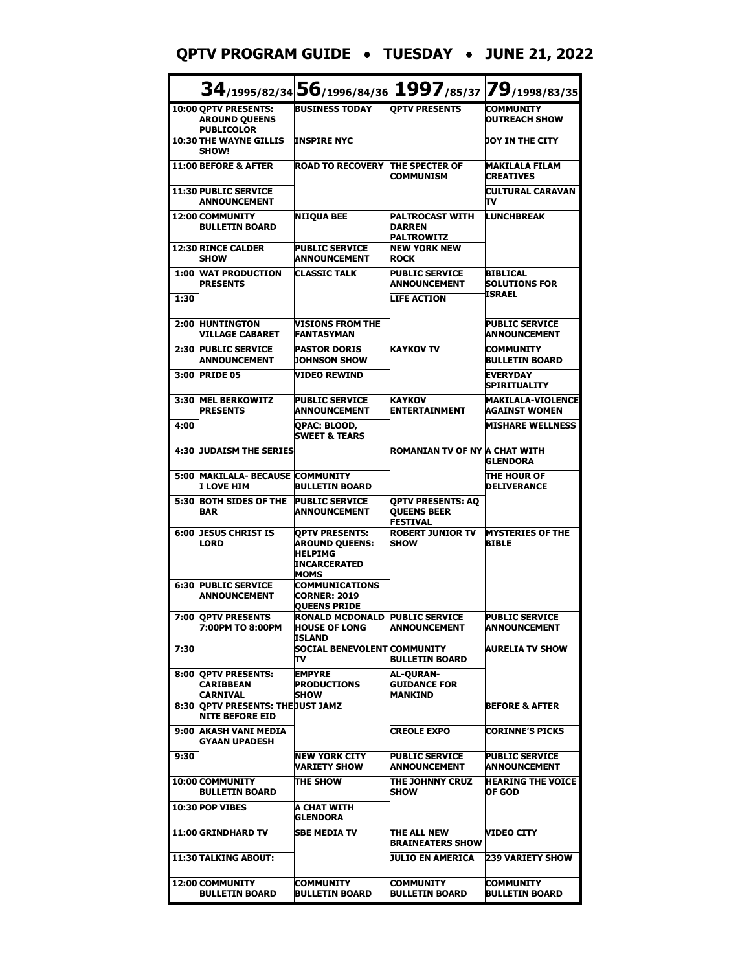#### **QPTV PROGRAM GUIDE** • **TUESDAY** • **JUNE 21, 2022**

|      |                                                                   | $34$ /1995/82/34 $56$ /1996/84/36 1997/85/37 79/1998/83/35                                      |                                                                   |                                                   |
|------|-------------------------------------------------------------------|-------------------------------------------------------------------------------------------------|-------------------------------------------------------------------|---------------------------------------------------|
|      | 10:00 OPTV PRESENTS:<br><b>AROUND QUEENS</b><br><b>PUBLICOLOR</b> | <b>BUSINESS TODAY</b>                                                                           | <b>OPTV PRESENTS</b>                                              | <b>COMMUNITY</b><br><b>OUTREACH SHOW</b>          |
|      | <b>10:30 THE WAYNE GILLIS</b><br><b>SHOW!</b>                     | <b>INSPIRE NYC</b>                                                                              |                                                                   | <b>JOY IN THE CITY</b>                            |
|      | 11:00 BEFORE & AFTER                                              | <b>ROAD TO RECOVERY</b>                                                                         | THE SPECTER OF<br><b>COMMUNISM</b>                                | <b>MAKILALA FILAM</b><br><b>CREATIVES</b>         |
|      | 11:30 PUBLIC SERVICE<br><b>ANNOUNCEMENT</b>                       |                                                                                                 |                                                                   | <b>CULTURAL CARAVAN</b><br>Tν                     |
|      | 12:00 COMMUNITY<br><b>BULLETIN BOARD</b>                          | <b>NIIOUA BEE</b>                                                                               | <b>PALTROCAST WITH</b><br><b>DARREN</b><br><b>PALTROWITZ</b>      | <b>LUNCHBREAK</b>                                 |
|      | 12:30 RINCE CALDER<br><b>SHOW</b>                                 | <b>PUBLIC SERVICE</b><br><b>ANNOUNCEMENT</b>                                                    | <b>NEW YORK NEW</b><br><b>ROCK</b>                                |                                                   |
|      | <b>1:00 WAT PRODUCTION</b><br><b>PRESENTS</b>                     | <b>CLASSIC TALK</b>                                                                             | <b>PUBLIC SERVICE</b><br>ANNOUNCEMENT                             | <b>BIBLICAL</b><br><b>SOLUTIONS FOR</b><br>ISRAEL |
| 1:30 |                                                                   |                                                                                                 | <b>LIFE ACTION</b>                                                |                                                   |
|      | 2:00 HUNTINGTON<br>VILLAGE CABARET                                | <b>VISIONS FROM THE</b><br><b>FANTASYMAN</b>                                                    |                                                                   | <b>PUBLIC SERVICE</b><br><b>ANNOUNCEMENT</b>      |
| 2:30 | <b>PUBLIC SERVICE</b><br><b>ANNOUNCEMENT</b>                      | <b>PASTOR DORIS</b><br>JOHNSON SHOW                                                             | <b>KAYKOV TV</b>                                                  | <b>COMMUNITY</b><br><b>BULLETIN BOARD</b>         |
|      | 3:00 PRIDE 05                                                     | <b>VIDEO REWIND</b>                                                                             |                                                                   | <b>EVERYDAY</b><br>SPIRITUALITY                   |
| 3:30 | <b>MEL BERKOWITZ</b><br><b>PRESENTS</b>                           | <b>PUBLIC SERVICE</b><br>ANNOUNCEMENT                                                           | <b>KAYKOV</b><br><b>ENTERTAINMENT</b>                             | <b>MAKILALA-VIOLENCE</b><br><b>AGAINST WOMEN</b>  |
| 4:00 |                                                                   | <b>OPAC: BLOOD,</b><br><b>SWEET &amp; TEARS</b>                                                 |                                                                   | <b>MISHARE WELLNESS</b>                           |
| 4:30 | <b>JUDAISM THE SERIES</b>                                         |                                                                                                 | ROMANIAN TV OF NY A CHAT WITH                                     | GLENDORA                                          |
|      | <b>5:00 MAKILALA- BECAUSE COMMUNITY</b><br>I LOVE HIM             | <b>BULLETIN BOARD</b>                                                                           |                                                                   | THE HOUR OF<br><b>DELIVERANCE</b>                 |
| 5:30 | <b>BOTH SIDES OF THE</b><br><b>BAR</b>                            | <b>PUBLIC SERVICE</b><br><b>ANNOUNCEMENT</b>                                                    | <b>OPTV PRESENTS: AQ</b><br><b>QUEENS BEER</b><br><b>FESTIVAL</b> |                                                   |
| 6:00 | <b>JESUS CHRIST IS</b><br>LORD                                    | <b>OPTV PRESENTS:</b><br><b>AROUND QUEENS:</b><br><b>HELPIMG</b><br>INCARCERATED<br><b>MOMS</b> | <b>ROBERT JUNIOR TV</b><br><b>SHOW</b>                            | <b>MYSTERIES OF THE</b><br><b>BIBLE</b>           |
| 6:30 | <b>PUBLIC SERVICE</b><br><b>ANNOUNCEMENT</b>                      | <b>COMMUNICATIONS</b><br><b>CORNER: 2019</b><br><b>QUEENS PRIDE</b>                             |                                                                   |                                                   |
|      | 7:00 QPTV PRESENTS<br>7:00PM TO 8:00PM                            | RONALD MCDONALD PUBLIC SERVICE<br><b>HOUSE OF LONG</b><br>ISLAND                                | <b>ANNOUNCEMENT</b>                                               | <b>PUBLIC SERVICE</b><br><b>ANNOUNCEMENT</b>      |
| 7:30 |                                                                   | <b>SOCIAL BENEVOLENT COMMUNITY</b><br>Tν                                                        | <b>BULLETIN BOARD</b>                                             | <b>AURELIA TV SHOW</b>                            |
| 8:00 | <b>OPTV PRESENTS:</b><br>CARIBBEAN<br>CARNIVAL                    | <b>EMPYRE</b><br><b>PRODUCTIONS</b><br><b>SHOW</b>                                              | AL-QURAN-<br><b>GUIDANCE FOR</b><br><b>MANKIND</b>                |                                                   |
|      | 8:30 OPTV PRESENTS: THE JUST JAMZ<br><b>NITE BEFORE EID</b>       |                                                                                                 |                                                                   | BEFORE & AFTER                                    |
|      | 9:00 AKASH VANI MEDIA<br>GYAAN UPADESH                            |                                                                                                 | <b>CREOLE EXPO</b>                                                | <b>CORINNE'S PICKS</b>                            |
| 9:30 |                                                                   | INEW YORK CITY<br>VARIETY SHOW                                                                  | <b>PUBLIC SERVICE</b><br>ANNOUNCEMENT                             | <b>PUBLIC SERVICE</b><br><b>ANNOUNCEMENT</b>      |
|      | 10:00 COMMUNITY<br><b>BULLETIN BOARD</b>                          | <b>THE SHOW</b>                                                                                 | THE JOHNNY CRUZ<br><b>SHOW</b>                                    | <b>HEARING THE VOICE</b><br>OF GOD                |
|      | 10:30 POP VIBES                                                   | A CHAT WITH<br><b>GLENDORA</b>                                                                  |                                                                   |                                                   |
|      | 11:00 GRINDHARD TV                                                | <b>SBE MEDIA TV</b>                                                                             | ITHE ALL NEW<br>BRAINEATERS SHOW                                  | VIDEO CITY                                        |
|      | <b>11:30 TALKING ABOUT:</b>                                       |                                                                                                 | JULIO EN AMERICA                                                  | <b>239 VARIETY SHOW</b>                           |
|      | 12:00 COMMUNITY<br><b>BULLETIN BOARD</b>                          | <b>COMMUNITY</b><br><b>BULLETIN BOARD</b>                                                       | COMMUNITY<br><b>BULLETIN BOARD</b>                                | COMMUNITY<br><b>BULLETIN BOARD</b>                |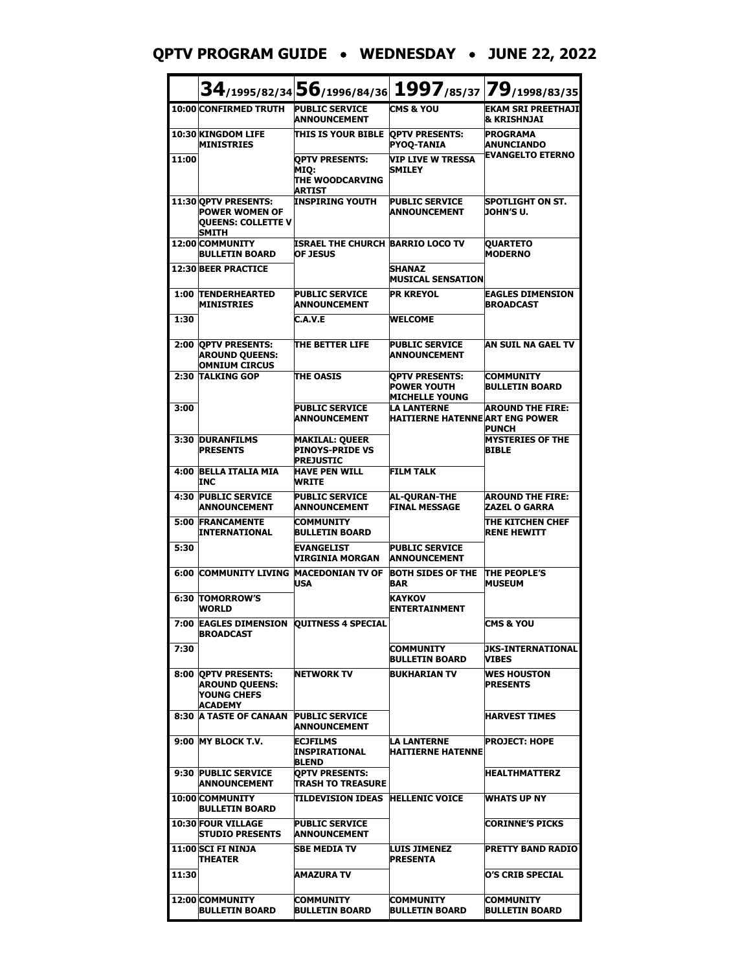#### **QPTV PROGRAM GUIDE** • **WEDNESDAY** • **JUNE 22, 2022**

|       |                                                                                      |                                                                     |                                                                      | 34/1995/82/34 56/1996/84/36 1997/85/37 79/1998/83/35 |
|-------|--------------------------------------------------------------------------------------|---------------------------------------------------------------------|----------------------------------------------------------------------|------------------------------------------------------|
|       | 10:00 CONFIRMED TRUTH                                                                | <b>PUBLIC SERVICE</b><br><b>ANNOUNCEMENT</b>                        | <b>CMS &amp; YOU</b>                                                 | <b>EKAM SRI PREETHAJI</b><br><b>&amp; KRISHNJAI</b>  |
|       | 10:30 KINGDOM LIFE<br><b>MINISTRIES</b>                                              | THIS IS YOUR BIBLE QPTV PRESENTS:                                   | <b>PYOQ-TANIA</b>                                                    | <b>PROGRAMA</b><br><b>ANUNCIANDO</b>                 |
| 11:00 |                                                                                      | <b>OPTV PRESENTS:</b><br>MIQ:<br>THE WOODCARVING<br><b>ARTIST</b>   | VIP LIVE W TRESSA<br><b>SMILEY</b>                                   | <b>EVANGELTO ETERNO</b>                              |
|       | 11:30 OPTV PRESENTS:<br><b>POWER WOMEN OF</b><br>QUEENS: COLLETTE V<br>SMITH         | <b>INSPIRING YOUTH</b>                                              | <b>PUBLIC SERVICE</b><br><b>ANNOUNCEMENT</b>                         | <b>SPOTLIGHT ON ST.</b><br>JOHN'S U.                 |
|       | 12:00 COMMUNITY<br><b>BULLETIN BOARD</b>                                             | ISRAEL THE CHURCH BARRIO LOCO TV<br><b>OF JESUS</b>                 |                                                                      | <b>QUARTETO</b><br><b>MODERNO</b>                    |
|       | <b>12:30 BEER PRACTICE</b>                                                           |                                                                     | <b>SHANAZ</b><br><b>MUSICAL SENSATION</b>                            |                                                      |
|       | 1:00 TENDERHEARTED<br><b>MINISTRIES</b>                                              | <b>PUBLIC SERVICE</b><br><b>ANNOUNCEMENT</b>                        | <b>PR KREYOL</b>                                                     | <b>EAGLES DIMENSION</b><br><b>BROADCAST</b>          |
| 1:30  |                                                                                      | C.A.V.E                                                             | <b>WELCOME</b>                                                       |                                                      |
|       | 2:00 QPTV PRESENTS:<br><b>AROUND OUEENS:</b><br><b>OMNIUM CIRCUS</b>                 | <b>THE BETTER LIFE</b>                                              | <b>PUBLIC SERVICE</b><br><b>ANNOUNCEMENT</b>                         | AN SUIL NA GAEL TV                                   |
| 2:30  | <b>TALKING GOP</b>                                                                   | <b>THE OASIS</b>                                                    | <b>OPTV PRESENTS:</b><br><b>POWER YOUTH</b><br><b>MICHELLE YOUNG</b> | <b>COMMUNITY</b><br><b>BULLETIN BOARD</b>            |
| 3:00  |                                                                                      | <b>PUBLIC SERVICE</b><br><b>ANNOUNCEMENT</b>                        | <b>LA LANTERNE</b><br><b>HAITIERNE HATENNEART ENG POWER</b>          | <b>AROUND THE FIRE:</b><br><b>PUNCH</b>              |
|       | <b>3:30 DURANFILMS</b><br><b>PRESENTS</b>                                            | <b>MAKILAL: QUEER</b><br><b>PINOYS-PRIDE VS</b><br><b>PREJUSTIC</b> |                                                                      | <b>MYSTERIES OF THE</b><br><b>BIBLE</b>              |
|       | 4:00 BELLA ITALIA MIA<br>INC                                                         | <b>HAVE PEN WILL</b><br><b>WRITE</b>                                | <b>FILM TALK</b>                                                     |                                                      |
| 4:30  | <b>PUBLIC SERVICE</b><br><b>ANNOUNCEMENT</b>                                         | <b>PUBLIC SERVICE</b><br><b>ANNOUNCEMENT</b>                        | <b>AL-OURAN-THE</b><br><b>FINAL MESSAGE</b>                          | <b>AROUND THE FIRE:</b><br><b>ZAZEL O GARRA</b>      |
| 5:00  | <b>FRANCAMENTE</b><br>INTERNATIONAL                                                  | <b>COMMUNITY</b><br><b>BULLETIN BOARD</b>                           |                                                                      | THE KITCHEN CHEF<br><b>RENE HEWITT</b>               |
| 5:30  |                                                                                      | <b>EVANGELIST</b><br>VIRGINIA MORGAN                                | <b>PUBLIC SERVICE</b><br><b>ANNOUNCEMENT</b>                         |                                                      |
| 6:00  | <b>COMMUNITY LIVING</b>                                                              | <b>MACEDONIAN TV OF</b><br><b>USA</b>                               | <b>BOTH SIDES OF THE</b><br><b>BAR</b>                               | <b>THE PEOPLE'S</b><br><b>MUSEUM</b>                 |
|       | <b>6:30 TOMORROW'S</b><br><b>WORLD</b>                                               |                                                                     | <b>KAYKOV</b><br><b>ENTERTAINMENT</b>                                |                                                      |
|       | 7:00 EAGLES DIMENSION<br><b>BROADCAST</b>                                            | <b>QUITNESS 4 SPECIAL</b>                                           |                                                                      | <b>CMS &amp; YOU</b>                                 |
| 7:30  |                                                                                      |                                                                     | <b>COMMUNITY</b><br>BULLETIN BOARD                                   | <b>JKS-INTERNATIONAL</b><br>VIBES                    |
|       | 8:00 QPTV PRESENTS:<br><b>AROUND QUEENS:</b><br><b>YOUNG CHEFS</b><br><b>ACADEMY</b> | <b>NETWORK TV</b>                                                   | <b>BUKHARIAN TV</b>                                                  | <b>WES HOUSTON</b><br><b>PRESENTS</b>                |
|       | <b>8:30 A TASTE OF CANAAN</b>                                                        | <b>PUBLIC SERVICE</b><br><b>ANNOUNCEMENT</b>                        |                                                                      | <b>HARVEST TIMES</b>                                 |
|       | 9:00 MY BLOCK T.V.                                                                   | <b>ECJFILMS</b><br><b>INSPIRATIONAL</b><br><b>BLEND</b>             | <b>LA LANTERNE</b><br><b>HAITIERNE HATENNE</b>                       | <b>PROJECT: HOPE</b>                                 |
|       | 9:30 PUBLIC SERVICE<br><b>ANNOUNCEMENT</b>                                           | <b>OPTV PRESENTS:</b><br><b>TRASH TO TREASURE</b>                   |                                                                      | <b>HEALTHMATTERZ</b>                                 |
|       | 10:00 COMMUNITY<br><b>BULLETIN BOARD</b>                                             | TILDEVISION IDEAS HELLENIC VOICE                                    |                                                                      | <b>WHATS UP NY</b>                                   |
|       | <b>10:30 FOUR VILLAGE</b><br><b>STUDIO PRESENTS</b>                                  | <b>PUBLIC SERVICE</b><br><b>ANNOUNCEMENT</b>                        |                                                                      | <b>CORINNE'S PICKS</b>                               |
|       | <b>11:00 SCI FI NINJA</b><br><b>THEATER</b>                                          | <b>SBE MEDIA TV</b>                                                 | <b>LUIS JIMENEZ</b><br><b>PRESENTA</b>                               | <b>PRETTY BAND RADIO</b>                             |
| 11:30 |                                                                                      | <b>AMAZURA TV</b>                                                   |                                                                      | O'S CRIB SPECIAL                                     |
|       | 12:00 COMMUNITY<br><b>BULLETIN BOARD</b>                                             | <b>COMMUNITY</b><br><b>BULLETIN BOARD</b>                           | <b>COMMUNITY</b><br><b>BULLETIN BOARD</b>                            | <b>COMMUNITY</b><br><b>BULLETIN BOARD</b>            |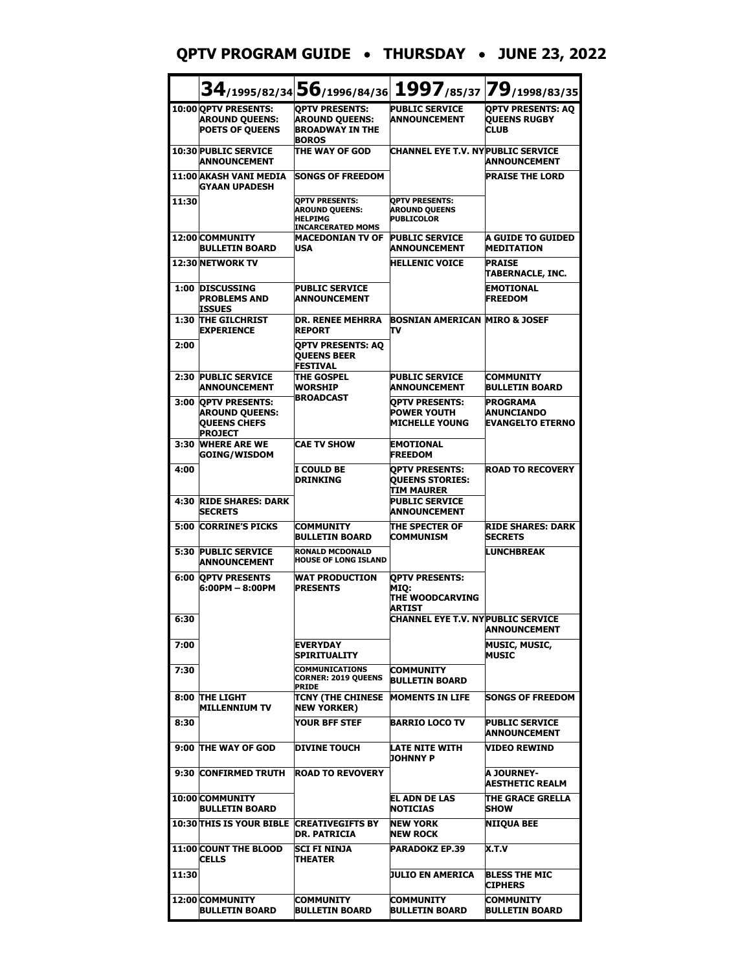#### **QPTV PROGRAM GUIDE** • **THURSDAY** • **JUNE 23, 2022**

|       |                                                                                  |                                                                                              | 34/1995/82/34 56/1996/84/36 1997/85/37 79/1998/83/35                     |                                                                 |
|-------|----------------------------------------------------------------------------------|----------------------------------------------------------------------------------------------|--------------------------------------------------------------------------|-----------------------------------------------------------------|
|       | 10:00 OPTV PRESENTS:<br><b>AROUND QUEENS:</b><br><b>POETS OF QUEENS</b>          | <b>OPTV PRESENTS:</b><br><b>AROUND QUEENS:</b><br><b>BROADWAY IN THE</b><br><b>BOROS</b>     | <b>PUBLIC SERVICE</b><br><b>ANNOUNCEMENT</b>                             | <b>OPTV PRESENTS: AO</b><br><b>QUEENS RUGBY</b><br><b>CLUB</b>  |
|       | <b>10:30 PUBLIC SERVICE</b><br><b>ANNOUNCEMENT</b>                               | THE WAY OF GOD                                                                               | CHANNEL EYE T.V. NYPUBLIC SERVICE                                        | <b>ANNOUNCEMENT</b>                                             |
|       | 11:00 AKASH VANI MEDIA<br>GYAAN UPADESH                                          | <b>SONGS OF FREEDOM</b>                                                                      |                                                                          | <b>PRAISE THE LORD</b>                                          |
| 11:30 |                                                                                  | <b>OPTV PRESENTS:</b><br><b>AROUND QUEENS:</b><br><b>HELPIMG</b><br><b>INCARCERATED MOMS</b> | <b>OPTV PRESENTS:</b><br><b>AROUND QUEENS</b><br><b>PUBLICOLOR</b>       |                                                                 |
|       | 12:00 COMMUNITY<br><b>BULLETIN BOARD</b>                                         | <b>MACEDONIAN TV OF</b><br><b>USA</b>                                                        | <b>PUBLIC SERVICE</b><br><b>ANNOUNCEMENT</b>                             | A GUIDE TO GUIDED<br><b>MEDITATION</b>                          |
|       | 12:30 NETWORK TV                                                                 |                                                                                              | <b>HELLENIC VOICE</b>                                                    | <b>PRAISE</b><br>TABERNACLE, INC.                               |
| 1:00  | <b>DISCUSSING</b><br><b>PROBLEMS AND</b><br>ISSUES                               | <b>PUBLIC SERVICE</b><br><b>ANNOUNCEMENT</b>                                                 |                                                                          | <b>EMOTIONAL</b><br><b>FREEDOM</b>                              |
| 1:30  | THE GILCHRIST<br><b>EXPERIENCE</b>                                               | <b>DR. RENEE MEHRRA</b><br><b>REPORT</b>                                                     | <b>BOSNIAN AMERICAN MIRO &amp; JOSEF</b><br>πv                           |                                                                 |
| 2:00  |                                                                                  | <b>OPTV PRESENTS: AO</b><br><b>OUEENS BEER</b><br><b>FESTIVAL</b>                            |                                                                          |                                                                 |
| 2:30  | <b>PUBLIC SERVICE</b><br><b>ANNOUNCEMENT</b>                                     | <b>THE GOSPEL</b><br><b>WORSHIP</b>                                                          | <b>PUBLIC SERVICE</b><br><b>ANNOUNCEMENT</b>                             | <b>COMMUNITY</b><br><b>BULLETIN BOARD</b>                       |
| 3:00  | <b>OPTV PRESENTS:</b><br><b>AROUND QUEENS:</b><br>QUEENS CHEFS<br><b>PROJECT</b> | <b>BROADCAST</b>                                                                             | <b>OPTV PRESENTS:</b><br><b>POWER YOUTH</b><br><b>MICHELLE YOUNG</b>     | <b>PROGRAMA</b><br><b>ANUNCIANDO</b><br><b>EVANGELTO ETERNO</b> |
| 3:30  | <b>WHERE ARE WE</b><br><b>GOING/WISDOM</b>                                       | <b>CAE TV SHOW</b>                                                                           | <b>EMOTIONAL</b><br><b>FREEDOM</b>                                       |                                                                 |
| 4:00  |                                                                                  | I COULD BE<br><b>DRINKING</b>                                                                | <b>OPTV PRESENTS:</b><br><b>QUEENS STORIES:</b><br>TIM MAURER            | <b>ROAD TO RECOVERY</b>                                         |
| 4:30  | <b>RIDE SHARES: DARK</b><br><b>SECRETS</b>                                       |                                                                                              | <b>PUBLIC SERVICE</b><br><b>ANNOUNCEMENT</b>                             |                                                                 |
| 5:00  | <b>CORRINE'S PICKS</b>                                                           | <b>COMMUNITY</b><br><b>BULLETIN BOARD</b>                                                    | THE SPECTER OF<br><b>COMMUNISM</b>                                       | <b>RIDE SHARES: DARK</b><br><b>SECRETS</b>                      |
| 5:30  | <b>PUBLIC SERVICE</b><br>ANNOUNCEMENT                                            | <b>RONALD MCDONALD</b><br><b>HOUSE OF LONG ISLAND</b>                                        |                                                                          | <b>LUNCHBREAK</b>                                               |
| 6:00  | <b>OPTV PRESENTS</b><br>6:00PM - 8:00PM                                          | <b>WAT PRODUCTION</b><br><b>PRESENTS</b>                                                     | <b>OPTV PRESENTS:</b><br><b>MIQ:</b><br><b>THE WOODCARVING</b><br>ARTIST |                                                                 |
| 6:30  |                                                                                  |                                                                                              | <b>CHANNEL EYE T.V. NY PUBLIC SERVICE</b>                                | <b>ANNOUNCEMENT</b>                                             |
| 7:00  |                                                                                  | EVERYDAY<br>SPIRITUALITY                                                                     |                                                                          | <b>MUSIC, MUSIC,</b><br><b>MUSIC</b>                            |
| 7:30  |                                                                                  | <b>COMMUNICATIONS</b><br><b>CORNER: 2019 QUEENS</b><br><b>PRIDE</b>                          | COMMUNITY<br><b>BULLETIN BOARD</b>                                       |                                                                 |
| 8:00  | <b>THE LIGHT</b><br><b>MILLENNIUM TV</b>                                         | TCNY (THE CHINESE<br><b>NEW YORKER)</b>                                                      | <b>MOMENTS IN LIFE</b>                                                   | <b>SONGS OF FREEDOM</b>                                         |
| 8:30  |                                                                                  | YOUR BFF STEF                                                                                | <b>BARRIO LOCO TV</b>                                                    | <b>PUBLIC SERVICE</b><br>ANNOUNCEMENT                           |
|       | 9:00 THE WAY OF GOD                                                              | <b>DIVINE TOUCH</b>                                                                          | LATE NITE WITH<br><b>JOHNNY P</b>                                        | VIDEO REWIND                                                    |
| 9:30  | <b>CONFIRMED TRUTH</b>                                                           | <b>ROAD TO REVOVERY</b>                                                                      |                                                                          | <b>A JOURNEY-</b><br><b>AESTHETIC REALM</b>                     |
|       | 10:00 COMMUNITY<br>BULLETIN BOARD                                                |                                                                                              | IEL ADN DE LAS<br><b>NOTICIAS</b>                                        | THE GRACE GRELLA<br><b>SHOW</b>                                 |
|       | <b>10:30 THIS IS YOUR BIBLE CREATIVEGIFTS BY</b>                                 | DR. PATRICIA                                                                                 | <b>NEW YORK</b><br><b>NEW ROCK</b>                                       | <b>NIIQUA BEE</b>                                               |
|       | <b>11:00 COUNT THE BLOOD</b><br><b>CELLS</b>                                     | ISCI FI NINJA<br>THEATER                                                                     | PARADOKZ EP.39                                                           | X.T.V                                                           |
| 11:30 |                                                                                  |                                                                                              | JULIO EN AMERICA                                                         | <b>BLESS THE MIC</b><br><b>CIPHERS</b>                          |
|       | 12:00 COMMUNITY<br><b>BULLETIN BOARD</b>                                         | <b>COMMUNITY</b><br><b>BULLETIN BOARD</b>                                                    | <b>COMMUNITY</b><br><b>BULLETIN BOARD</b>                                | <b>COMMUNITY</b><br><b>BULLETIN BOARD</b>                       |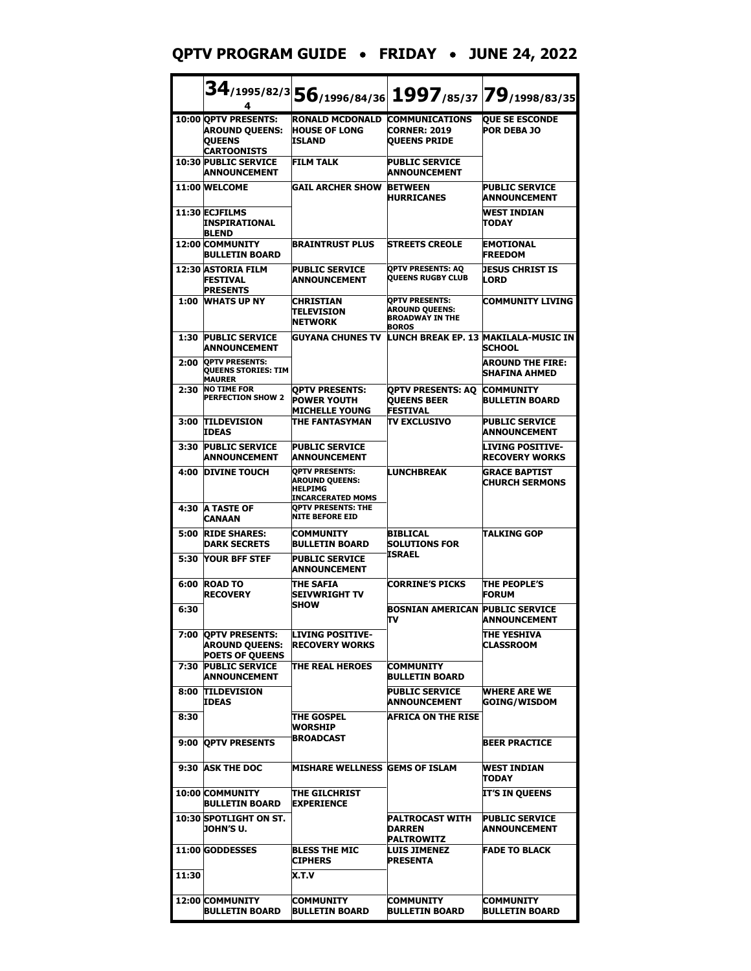#### **QPTV PROGRAM GUIDE** • **FRIDAY** • **JUNE 24, 2022**

|       | 4                                                                             |                                                                                              | $34$ /1995/82/3 56/1996/84/36 1997/85/37 79/1998/83/35                                   |                                                  |
|-------|-------------------------------------------------------------------------------|----------------------------------------------------------------------------------------------|------------------------------------------------------------------------------------------|--------------------------------------------------|
|       | 10:00 QPTV PRESENTS:<br><b>AROUND QUEENS:</b><br><b>QUEENS</b><br>CARTOONISTS | <b>RONALD MCDONALD</b><br><b>HOUSE OF LONG</b><br><b>TSLAND</b>                              | <b>COMMUNICATIONS</b><br><b>CORNER: 2019</b><br><b>OUEENS PRIDE</b>                      | <b>QUE SE ESCONDE</b><br><b>POR DEBA JO</b>      |
|       | <b>10:30 PUBLIC SERVICE</b><br>ANNOUNCEMENT                                   | <b>FILM TALK</b>                                                                             | <b>PUBLIC SERVICE</b><br>ANNOUNCEMENT                                                    |                                                  |
|       | 11:00 WELCOME                                                                 | <b>GAIL ARCHER SHOW</b>                                                                      | <b>BETWEEN</b><br><b>HURRICANES</b>                                                      | <b>PUBLIC SERVICE</b><br>ANNOUNCEMENT            |
|       | 11:30 ECJFILMS<br><b>INSPIRATIONAL</b><br><b>BLEND</b>                        |                                                                                              |                                                                                          | <b>WEST INDIAN</b><br><b>TODAY</b>               |
|       | <b>12:00 COMMUNITY</b><br><b>BULLETIN BOARD</b>                               | <b>BRAINTRUST PLUS</b>                                                                       | <b>STREETS CREOLE</b>                                                                    | <b>EMOTIONAL</b><br><b>FREEDOM</b>               |
|       | <b>12:30 ASTORIA FILM</b><br>FESTIVAL<br><b>PRESENTS</b>                      | <b>PUBLIC SERVICE</b><br>ANNOUNCEMENT                                                        | <b>QPTV PRESENTS: AQ</b><br><b>QUEENS RUGBY CLUB</b>                                     | <b>JESUS CHRIST IS</b><br><b>LORD</b>            |
| 1:00  | <b>WHATS UP NY</b>                                                            | <b>CHRISTIAN</b><br><b>TELEVISION</b><br><b>NETWORK</b>                                      | <b>OPTV PRESENTS:</b><br><b>AROUND QUEENS:</b><br><b>BROADWAY IN THE</b><br><b>BOROS</b> | <b>COMMUNITY LIVING</b>                          |
| 1:30  | <b>PUBLIC SERVICE</b><br><b>ANNOUNCEMENT</b>                                  | <b>GUYANA CHUNES TV</b>                                                                      | LUNCH BREAK EP. 13 MAKILALA-MUSIC IN                                                     | SCHOOL                                           |
| 2:00  | <b>QPTV PRESENTS:</b><br><b>QUEENS STORIES: TIM</b><br><b>MAURER</b>          |                                                                                              |                                                                                          | <b>AROUND THE FIRE:</b><br><b>SHAFINA AHMED</b>  |
| 2:30  | <b>NO TIME FOR</b><br><b>PERFECTION SHOW 2</b>                                | <b>OPTV PRESENTS:</b><br><b>POWER YOUTH</b><br><b>MICHELLE YOUNG</b>                         | OPTV PRESENTS: AO<br><b>QUEENS BEER</b><br><b>FESTIVAL</b>                               | <b>COMMUNITY</b><br><b>BULLETIN BOARD</b>        |
| 3:00  | <b>TILDEVISION</b><br><b>IDEAS</b>                                            | THE FANTASYMAN                                                                               | <b>TV EXCLUSIVO</b>                                                                      | <b>PUBLIC SERVICE</b><br>ANNOUNCEMENT            |
| 3:30  | <b>PUBLIC SERVICE</b><br><b>ANNOUNCEMENT</b>                                  | <b>PUBLIC SERVICE</b><br><b>ANNOUNCEMENT</b>                                                 |                                                                                          | <b>LIVING POSITIVE-</b><br><b>RECOVERY WORKS</b> |
| 4:00  | <b>DIVINE TOUCH</b>                                                           | <b>QPTV PRESENTS:</b><br><b>AROUND QUEENS:</b><br><b>HELPIMG</b><br><b>INCARCERATED MOMS</b> | <b>LUNCHBREAK</b>                                                                        | <b>GRACE BAPTIST</b><br><b>CHURCH SERMONS</b>    |
| 4:30  | <b>A TASTE OF</b><br><b>CANAAN</b>                                            | <b>OPTV PRESENTS: THE</b><br><b>NITE BEFORE EID</b>                                          |                                                                                          |                                                  |
| 5:00  | <b>RIDE SHARES:</b><br>DARK SECRETS                                           | <b>COMMUNITY</b><br>BULLETIN BOARD                                                           | <b>BIBLICAL</b><br><b>SOLUTIONS FOR</b>                                                  | <b>TALKING GOP</b>                               |
| 5:30  | <b>YOUR BFF STEF</b>                                                          | <b>PUBLIC SERVICE</b><br>ANNOUNCEMENT                                                        | ISRAEL                                                                                   |                                                  |
| 6:00  | <b>ROAD TO</b><br><b>RECOVERY</b>                                             | THE SAFIA<br>SEIVWRIGHT TV<br><b>SHOW</b>                                                    | <b>CORRINE'S PICKS</b>                                                                   | <b>THE PEOPLE'S</b><br><b>FORUM</b>              |
| 6:30  |                                                                               |                                                                                              | <b>BOSNIAN AMERICAN</b><br>TV                                                            | <b>PUBLIC SERVICE</b><br>ANNOUNCEMENT            |
|       | 7:00 OPTV PRESENTS:<br><b>AROUND QUEENS:</b><br><b>POETS OF QUEENS</b>        | <b>LIVING POSITIVE-</b><br><b>RECOVERY WORKS</b>                                             |                                                                                          | THE YESHIVA<br><b>CLASSROOM</b>                  |
| 7:30  | <b>PUBLIC SERVICE</b><br><b>ANNOUNCEMENT</b>                                  | <b>THE REAL HEROES</b>                                                                       | <b>COMMUNITY</b><br><b>BULLETIN BOARD</b>                                                |                                                  |
| 8:00  | <b>TILDEVISION</b><br><b>IDEAS</b>                                            |                                                                                              | <b>PUBLIC SERVICE</b><br>ANNOUNCEMENT                                                    | <b>WHERE ARE WE</b><br><b>GOING/WISDOM</b>       |
| 8:30  |                                                                               | <b>THE GOSPEL</b><br>WORSHIP                                                                 | <b>AFRICA ON THE RISE</b>                                                                |                                                  |
|       | 9:00 OPTV PRESENTS                                                            | <b>BROADCAST</b>                                                                             |                                                                                          | <b>BEER PRACTICE</b>                             |
|       | 9:30 ASK THE DOC                                                              | <b>MISHARE WELLNESS GEMS OF ISLAM</b>                                                        |                                                                                          | <b>WEST INDIAN</b><br><b>TODAY</b>               |
|       | 10:00 COMMUNITY<br><b>BULLETIN BOARD</b>                                      | <b>THE GILCHRIST</b><br><b>EXPERIENCE</b>                                                    |                                                                                          | IT'S IN QUEENS                                   |
|       | 10:30 SPOTLIGHT ON ST.<br>JOHN'S U.                                           |                                                                                              | <b>PALTROCAST WITH</b><br><b>DARREN</b><br><b>PALTROWITZ</b>                             | <b>PUBLIC SERVICE</b><br><b>ANNOUNCEMENT</b>     |
|       | 11:00 GODDESSES                                                               | <b>BLESS THE MIC</b><br><b>CIPHERS</b>                                                       | <b>LUIS JIMENEZ</b><br><b>PRESENTA</b>                                                   | <b>FADE TO BLACK</b>                             |
| 11:30 |                                                                               | X.T.V                                                                                        |                                                                                          |                                                  |
|       | 12:00 COMMUNITY<br><b>BULLETIN BOARD</b>                                      | <b>COMMUNITY</b><br><b>BULLETIN BOARD</b>                                                    | <b>COMMUNITY</b><br><b>BULLETIN BOARD</b>                                                | <b>COMMUNITY</b><br><b>BULLETIN BOARD</b>        |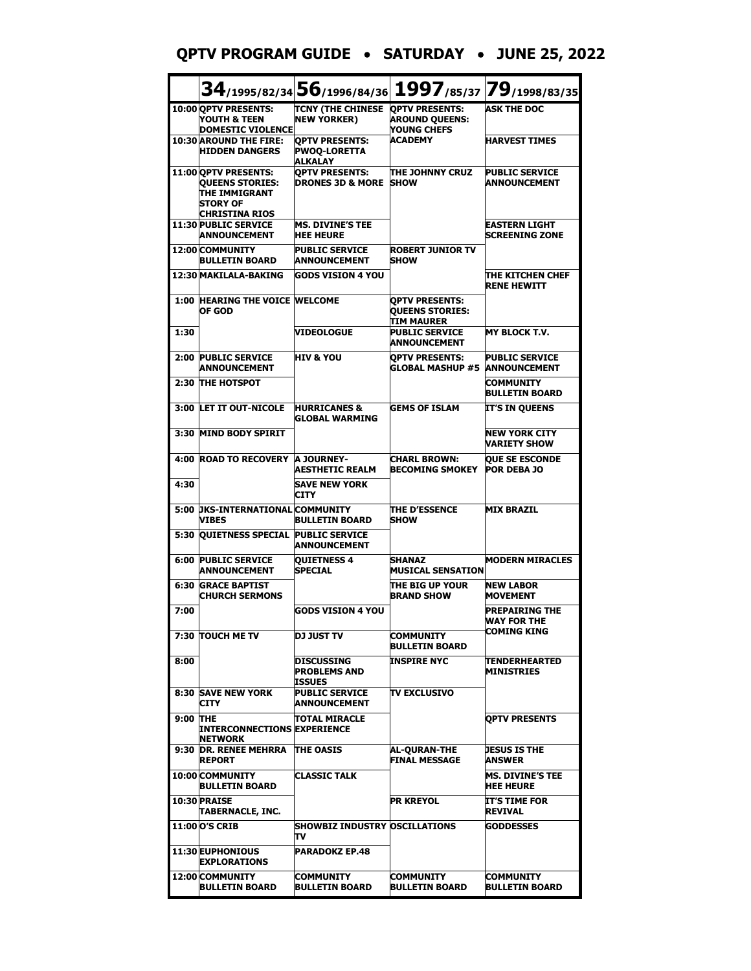#### **QPTV PROGRAM GUIDE** • **SATURDAY** • **JUNE 25, 2022**

|              |                                                                                                             |                                                                     | $34$ /1995/82/34 $56$ /1996/84/36 $ 1997$ /85/37 $ 79$ /1998/83/35 |                                               |
|--------------|-------------------------------------------------------------------------------------------------------------|---------------------------------------------------------------------|--------------------------------------------------------------------|-----------------------------------------------|
|              | 10:00 QPTV PRESENTS:<br>YOUTH & TEEN<br><b>DOMESTIC VIOLENCE</b>                                            | TCNY (THE CHINESE OPTV PRESENTS:<br><b>NEW YORKER)</b>              | <b>AROUND QUEENS:</b><br>YOUNG CHEFS                               | <b>ASK THE DOC</b>                            |
|              | <b>10:30 AROUND THE FIRE:</b><br><b>HIDDEN DANGERS</b>                                                      | <b>OPTV PRESENTS:</b><br><b>PWOQ-LORETTA</b><br><b>ALKALAY</b>      | <b>ACADEMY</b>                                                     | <b>HARVEST TIMES</b>                          |
|              | 11:00 OPTV PRESENTS:<br><b>QUEENS STORIES:</b><br>THE IMMIGRANT<br><b>STORY OF</b><br><b>CHRISTINA RIOS</b> | <b>OPTV PRESENTS:</b><br><b>DRONES 3D &amp; MORE SHOW</b>           | THE JOHNNY CRUZ                                                    | <b>PUBLIC SERVICE</b><br><b>ANNOUNCEMENT</b>  |
|              | <b>11:30 PUBLIC SERVICE</b><br><b>ANNOUNCEMENT</b>                                                          | <b>MS. DIVINE'S TEE</b><br><b>HEE HEURE</b>                         |                                                                    | <b>EASTERN LIGHT</b><br><b>SCREENING ZONE</b> |
|              | 12:00 COMMUNITY<br>BULLETIN BOARD                                                                           | <b>PUBLIC SERVICE</b><br><b>ANNOUNCEMENT</b>                        | <b>ROBERT JUNIOR TV</b><br><b>SHOW</b>                             |                                               |
|              | 12:30 MAKILALA-BAKING                                                                                       | <b>GODS VISION 4 YOU</b>                                            |                                                                    | THE KITCHEN CHEF<br><b>RENE HEWITT</b>        |
|              | <b>1:00 HEARING THE VOICE WELCOME</b><br>OF GOD                                                             |                                                                     | <b>OPTV PRESENTS:</b><br><b>QUEENS STORIES:</b><br>TIM MAURER      |                                               |
| 1:30         |                                                                                                             | <b>VIDEOLOGUE</b>                                                   | <b>PUBLIC SERVICE</b><br>ANNOUNCEMENT                              | <b>MY BLOCK T.V.</b>                          |
| 2:00         | <b>PUBLIC SERVICE</b><br><b>ANNOUNCEMENT</b>                                                                | <b>HIV &amp; YOU</b>                                                | <b>OPTV PRESENTS:</b><br><b>GLOBAL MASHUP #5 ANNOUNCEMENT</b>      | <b>PUBLIC SERVICE</b>                         |
|              | 2:30 THE HOTSPOT                                                                                            |                                                                     |                                                                    | <b>COMMUNITY</b><br><b>BULLETIN BOARD</b>     |
|              | 3:00 LET IT OUT-NICOLE                                                                                      | <b>HURRICANES &amp;</b><br><b>GLOBAL WARMING</b>                    | <b>GEMS OF ISLAM</b>                                               | <b>IT'S IN QUEENS</b>                         |
|              | 3:30 MIND BODY SPIRIT                                                                                       |                                                                     |                                                                    | <b>NEW YORK CITY</b><br>VARIETY SHOW          |
| 4:00<br>4:30 | <b>ROAD TO RECOVERY</b>                                                                                     | <b>A JOURNEY-</b><br><b>AESTHETIC REALM</b><br><b>SAVE NEW YORK</b> | <b>CHARL BROWN:</b><br><b>BECOMING SMOKEY</b>                      | <b>QUE SE ESCONDE</b><br><b>POR DEBA JO</b>   |
|              | 5:00 DKS-INTERNATIONAL COMMUNITY                                                                            | <b>CITY</b>                                                         | <b>THE D'ESSENCE</b>                                               | <b>MIX BRAZIL</b>                             |
|              | VIBES<br>5:30 QUIETNESS SPECIAL PUBLIC SERVICE                                                              | <b>BULLETIN BOARD</b>                                               | <b>SHOW</b>                                                        |                                               |
|              | <b>6:00 PUBLIC SERVICE</b><br><b>ANNOUNCEMENT</b>                                                           | <b>ANNOUNCEMENT</b><br><b>OUIETNESS 4</b><br><b>SPECIAL</b>         | SHANAZ<br>MUSICAL SENSATION                                        | <b>MODERN MIRACLES</b>                        |
| 6:30         | <b>GRACE BAPTIST</b><br><b>CHURCH SERMONS</b>                                                               |                                                                     | THE BIG UP YOUR<br><b>BRAND SHOW</b>                               | <b>NEW LABOR</b><br><b>MOVEMENT</b>           |
| 7:00         |                                                                                                             | <b>GODS VISION 4 YOU</b>                                            |                                                                    | <b>PREPAIRING THE</b><br>WAY FOR THE          |
|              | 7:30 TOUCH ME TV                                                                                            | DJ JUST TV                                                          | COMMUNITY<br><b>BULLETIN BOARD</b>                                 | COMING KING                                   |
| 8:00         |                                                                                                             | DISCUSSING<br><b>PROBLEMS AND</b><br>ISSUES                         | <b>INSPIRE NYC</b>                                                 | <b>TENDERHEARTED</b><br><b>MINISTRIES</b>     |
|              | <b>8:30 SAVE NEW YORK</b><br><b>CITY</b>                                                                    | <b>PUBLIC SERVICE</b><br>ANNOUNCEMENT                               | <b>TV EXCLUSIVO</b>                                                |                                               |
| 9:00 THE     | <b>INTERCONNECTIONS EXPERIENCE</b><br><b>NETWORK</b>                                                        | TOTAL MIRACLE                                                       |                                                                    | <b>OPTV PRESENTS</b>                          |
|              | 9:30 DR. RENEE MEHRRA THE OASIS<br><b>REPORT</b>                                                            |                                                                     | AL-QURAN-THE<br><b>FINAL MESSAGE</b>                               | <b>JESUS IS THE</b><br>ANSWER                 |
|              | 10:00 COMMUNITY<br><b>BULLETIN BOARD</b>                                                                    | <b>CLASSIC TALK</b>                                                 |                                                                    | <b>MS. DIVINE'S TEE</b><br><b>HEE HEURE</b>   |
|              | 10:30 PRAISE<br>TABERNACLE, INC.                                                                            |                                                                     | PR KREYOL                                                          | IT'S TIME FOR<br><b>REVIVAL</b>               |
|              | <b>11:00 O'S CRIB</b>                                                                                       | <b>SHOWBIZ INDUSTRY OSCILLATIONS</b><br>TV                          |                                                                    | <b>GODDESSES</b>                              |
|              | 11:30 EUPHONIOUS<br><b>EXPLORATIONS</b>                                                                     | <b>PARADOKZ EP.48</b>                                               |                                                                    |                                               |
|              | 12:00 COMMUNITY<br><b>BULLETIN BOARD</b>                                                                    | <b>COMMUNITY</b><br><b>BULLETIN BOARD</b>                           | COMMUNITY<br><b>BULLETIN BOARD</b>                                 | COMMUNITY<br><b>BULLETIN BOARD</b>            |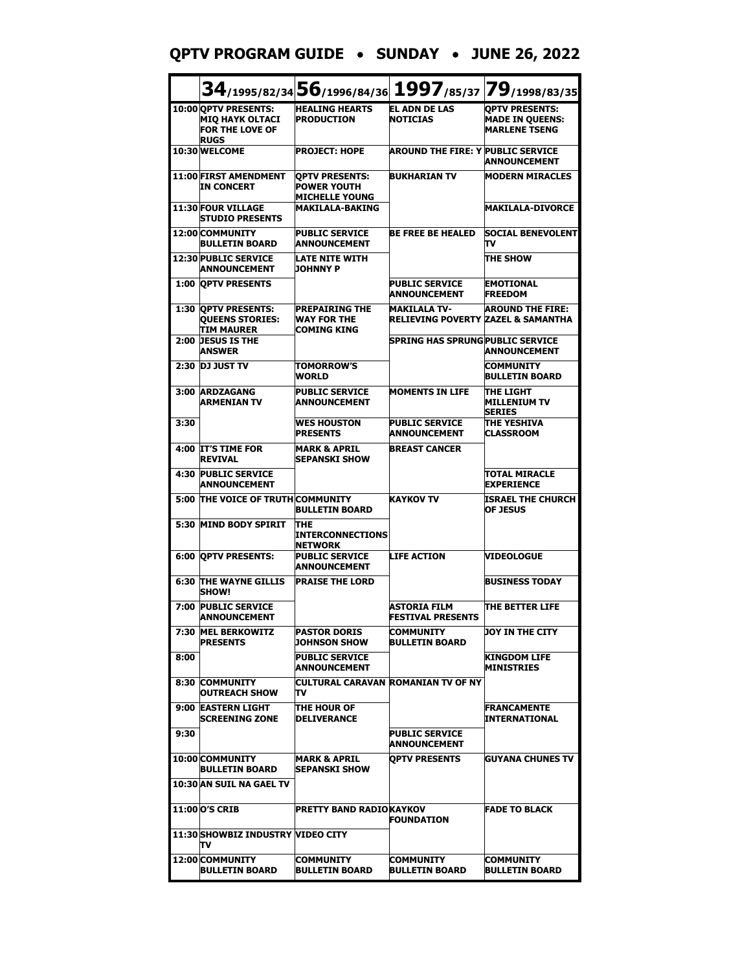## **QPTV PROGRAM GUIDE** • **SUNDAY** • **JUNE 26, 2022**

|      |                                                                                         | $34$ /1995/82/34 56/1996/84/36                                       |                                                                      | 1997/85/37 79/1998/83/35                                                |
|------|-----------------------------------------------------------------------------------------|----------------------------------------------------------------------|----------------------------------------------------------------------|-------------------------------------------------------------------------|
|      | 10:00 OPTV PRESENTS:<br><b>MIQ HAYK OLTACI</b><br><b>FOR THE LOVE OF</b><br><b>RUGS</b> | <b>HEALING HEARTS</b><br><b>PRODUCTION</b>                           | <b>EL ADN DE LAS</b><br><b>NOTICIAS</b>                              | <b>OPTV PRESENTS:</b><br><b>MADE IN QUEENS:</b><br><b>MARLENE TSENG</b> |
|      | 10:30 WELCOME                                                                           | <b>PROJECT: HOPE</b>                                                 | <b>AROUND THE FIRE: Y PUBLIC SERVICE</b>                             | ANNOUNCEMENT                                                            |
|      | <b>11:00 FIRST AMENDMENT</b><br><b>IN CONCERT</b>                                       | <b>OPTV PRESENTS:</b><br><b>POWER YOUTH</b><br><b>MICHELLE YOUNG</b> | <b>BUKHARIAN TV</b>                                                  | <b>MODERN MIRACLES</b>                                                  |
|      | 11:30 FOUR VILLAGE<br><b>STUDIO PRESENTS</b>                                            | <b>MAKILALA-BAKING</b>                                               |                                                                      | <b>MAKILALA-DIVORCE</b>                                                 |
|      | 12:00 COMMUNITY<br>BULLETIN BOARD                                                       | <b>PUBLIC SERVICE</b><br><b>ANNOUNCEMENT</b>                         | <b>BE FREE BE HEALED</b>                                             | <b>SOCIAL BENEVOLENT</b><br>т٧                                          |
|      | <b>12:30 PUBLIC SERVICE</b><br><b>ANNOUNCEMENT</b>                                      | <b>LATE NITE WITH</b><br><b>JOHNNY P</b>                             |                                                                      | THE SHOW                                                                |
|      | <b>1:00 OPTV PRESENTS</b>                                                               |                                                                      | <b>PUBLIC SERVICE</b><br><b>ANNOUNCEMENT</b>                         | <b>EMOTIONAL</b><br><b>FREEDOM</b>                                      |
|      | 1:30 OPTV PRESENTS:<br><b>QUEENS STORIES:</b><br>TIM MAURER                             | <b>PREPAIRING THE</b><br><b>WAY FOR THE</b><br><b>COMING KING</b>    | <b>MAKILALA TV-</b><br><b>RELIEVING POVERTY ZAZEL &amp; SAMANTHA</b> | <b>AROUND THE FIRE:</b>                                                 |
| 2:00 | <b>JESUS IS THE</b><br><b>ANSWER</b>                                                    |                                                                      | <b>SPRING HAS SPRUNG PUBLIC SERVICE</b>                              | ANNOUNCEMENT                                                            |
| 2:30 | <b>DJ JUST TV</b>                                                                       | <b>TOMORROW'S</b><br><b>WORLD</b>                                    |                                                                      | <b>COMMUNITY</b><br><b>BULLETIN BOARD</b>                               |
| 3:00 | <b>ARDZAGANG</b><br><b>ARMENIAN TV</b>                                                  | <b>PUBLIC SERVICE</b><br><b>ANNOUNCEMENT</b>                         | <b>MOMENTS IN LIFE</b>                                               | THE LIGHT<br>MILLENIUM TV<br><b>SERIES</b>                              |
| 3:30 |                                                                                         | <b>WES HOUSTON</b><br><b>PRESENTS</b>                                | <b>PUBLIC SERVICE</b><br><b>ANNOUNCEMENT</b>                         | <b>THE YESHIVA</b><br><b>CLASSROOM</b>                                  |
|      | 4:00 IT'S TIME FOR<br><b>REVIVAL</b>                                                    | <b>MARK &amp; APRIL</b><br><b>SEPANSKI SHOW</b>                      | <b>BREAST CANCER</b>                                                 |                                                                         |
| 4:30 | <b>PUBLIC SERVICE</b><br><b>ANNOUNCEMENT</b>                                            |                                                                      |                                                                      | TOTAL MIRACLE<br><b>EXPERIENCE</b>                                      |
|      | <b>5:00 THE VOICE OF TRUTH COMMUNITY</b>                                                | <b>BULLETIN BOARD</b>                                                | <b>KAYKOV TV</b>                                                     | <b>ISRAEL THE CHURCH</b><br><b>OF JESUS</b>                             |
| 5:30 | <b>MIND BODY SPIRIT</b>                                                                 | <b>THE</b><br><b>INTERCONNECTIONS</b><br><b>NETWORK</b>              |                                                                      |                                                                         |
| 6:00 | <b>OPTV PRESENTS:</b>                                                                   | <b>PUBLIC SERVICE</b><br><b>ANNOUNCEMENT</b>                         | <b>LIFE ACTION</b>                                                   | <b>VIDEOLOGUE</b>                                                       |
|      | <b>6:30 THE WAYNE GILLIS</b><br><b>SHOW!</b>                                            | <b>PRAISE THE LORD</b>                                               |                                                                      | <b>BUSINESS TODAY</b>                                                   |
| 7:00 | <b>PUBLIC SERVICE</b><br><b>ANNOUNCEMENT</b>                                            |                                                                      | <b>ASTORIA FILM</b><br><b>FESTIVAL PRESENTS</b>                      | THE BETTER LIFE                                                         |
|      | 7:30 MEL BERKOWITZ<br><b>PRESENTS</b>                                                   | <b>PASTOR DORIS</b><br><b>JOHNSON SHOW</b>                           | <b>COMMUNITY</b><br><b>BULLETIN BOARD</b>                            | JOY IN THE CITY                                                         |
| 8:00 |                                                                                         | <b>PUBLIC SERVICE</b><br><b>ANNOUNCEMENT</b>                         |                                                                      | <b>KINGDOM LIFE</b><br>MINISTRIES                                       |
|      | 8:30 COMMUNITY<br>OUTREACH SHOW                                                         | Tν                                                                   | <b>CULTURAL CARAVAN ROMANIAN TV OF NY</b>                            |                                                                         |
| 9:00 | <b>EASTERN LIGHT</b><br><b>SCREENING ZONE</b>                                           | THE HOUR OF<br><b>DELIVERANCE</b>                                    |                                                                      | <b>FRANCAMENTE</b><br>INTERNATIONAL                                     |
| 9:30 |                                                                                         |                                                                      | <b>PUBLIC SERVICE</b><br><b>ANNOUNCEMENT</b>                         |                                                                         |
|      | 10:00 COMMUNITY<br><b>BULLETIN BOARD</b>                                                | <b>MARK &amp; APRIL</b><br>SEPANSKI SHOW                             | <b>OPTV PRESENTS</b>                                                 | <b>GUYANA CHUNES TV</b>                                                 |
|      | 10:30 AN SUIL NA GAEL TV                                                                |                                                                      |                                                                      |                                                                         |
|      | 11:00 O'S CRIB                                                                          | PRETTY BAND RADIOKAYKOV                                              | <b>FOUNDATION</b>                                                    | FADE TO BLACK                                                           |
|      | 11:30 SHOWBIZ INDUSTRY VIDEO CITY<br>Tν                                                 |                                                                      |                                                                      |                                                                         |
|      | 12:00 COMMUNITY<br><b>BULLETIN BOARD</b>                                                | COMMUNITY<br><b>BULLETIN BOARD</b>                                   | COMMUNITY<br><b>BULLETIN BOARD</b>                                   | COMMUNITY<br><b>BULLETIN BOARD</b>                                      |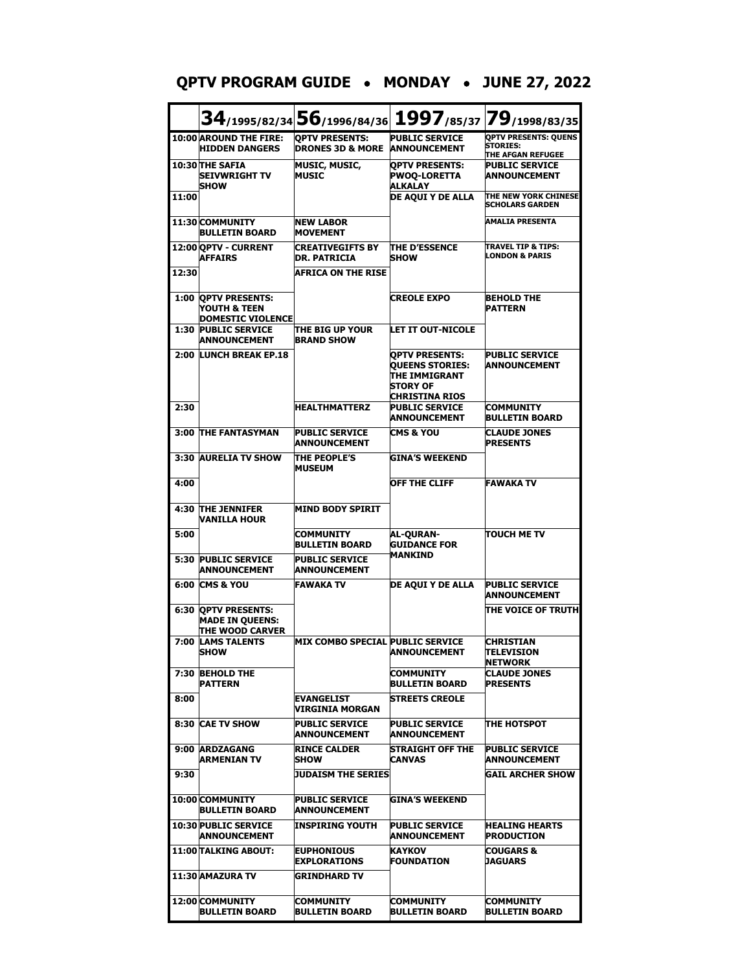|       |                                                                         |                                                      |                                                                                                       | 34/1995/82/34 56/1996/84/36 1997/85/37 79/1998/83/35                |
|-------|-------------------------------------------------------------------------|------------------------------------------------------|-------------------------------------------------------------------------------------------------------|---------------------------------------------------------------------|
|       | 10:00 AROUND THE FIRE:<br><b>HIDDEN DANGERS</b>                         | <b>OPTV PRESENTS:</b><br><b>DRONES 3D &amp; MORE</b> | <b>PUBLIC SERVICE</b><br><b>ANNOUNCEMENT</b>                                                          | <b>OPTV PRESENTS: QUENS</b><br><b>STORIES:</b><br>THE AFGAN REFUGEE |
|       | 10:30 THE SAFIA<br><b>SEIVWRIGHT TV</b><br><b>SHOW</b>                  | <b>MUSIC, MUSIC,</b><br><b>MUSIC</b>                 | <b>OPTV PRESENTS:</b><br><b>PWOQ-LORETTA</b><br>ALKALAY                                               | <b>PUBLIC SERVICE</b><br><b>ANNOUNCEMENT</b>                        |
| 11:00 |                                                                         |                                                      | DE AQUI Y DE ALLA                                                                                     | THE NEW YORK CHINESE<br><b>SCHOLARS GARDEN</b>                      |
|       | 11:30 COMMUNITY<br><b>BULLETIN BOARD</b>                                | <b>NEW LABOR</b><br><b>MOVEMENT</b>                  |                                                                                                       | <b>AMALIA PRESENTA</b>                                              |
|       | 12:00 OPTV - CURRENT<br><b>AFFAIRS</b>                                  | <b>CREATIVEGIFTS BY</b><br><b>DR. PATRICIA</b>       | <b>THE D'ESSENCE</b><br><b>SHOW</b>                                                                   | TRAVEL TIP & TIPS:<br><b>LONDON &amp; PARIS</b>                     |
| 12:30 |                                                                         | <b>AFRICA ON THE RISE</b>                            |                                                                                                       |                                                                     |
|       | 1:00 QPTV PRESENTS:<br>YOUTH & TEEN<br><b>DOMESTIC VIOLENCE</b>         |                                                      | <b>CREOLE EXPO</b>                                                                                    | <b>BEHOLD THE</b><br><b>PATTERN</b>                                 |
|       | <b>1:30 PUBLIC SERVICE</b><br><b>ANNOUNCEMENT</b>                       | THE BIG UP YOUR<br><b>BRAND SHOW</b>                 | <b>LET IT OUT-NICOLE</b>                                                                              |                                                                     |
|       | 2:00 LUNCH BREAK EP.18                                                  |                                                      | <b>QPTV PRESENTS:</b><br><b>QUEENS STORIES:</b><br>THE IMMIGRANT<br><b>STORY OF</b><br>CHRISTINA RIOS | <b>PUBLIC SERVICE</b><br><b>ANNOUNCEMENT</b>                        |
| 2:30  |                                                                         | <b>HEALTHMATTERZ</b>                                 | <b>PUBLIC SERVICE</b><br>ANNOUNCEMENT                                                                 | <b>COMMUNITY</b><br><b>BULLETIN BOARD</b>                           |
| 3:00  | <b>THE FANTASYMAN</b>                                                   | <b>PUBLIC SERVICE</b><br><b>ANNOUNCEMENT</b>         | <b>CMS &amp; YOU</b>                                                                                  | <b>CLAUDE JONES</b><br><b>PRESENTS</b>                              |
|       | 3:30 AURELIA TV SHOW                                                    | <b>THE PEOPLE'S</b><br><b>MUSEUM</b>                 | GINA'S WEEKEND                                                                                        |                                                                     |
| 4:00  |                                                                         |                                                      | <b>OFF THE CLIFF</b>                                                                                  | <b>FAWAKA TV</b>                                                    |
| 4:30  | <b>THE JENNIFER</b><br>VANILLA HOUR                                     | <b>MIND BODY SPIRIT</b>                              |                                                                                                       |                                                                     |
| 5:00  |                                                                         | COMMUNITY<br><b>BULLETIN BOARD</b>                   | AL-QURAN-<br><b>GUIDANCE FOR</b>                                                                      | <b>TOUCH ME TV</b>                                                  |
| 5:30  | <b>PUBLIC SERVICE</b><br><b>ANNOUNCEMENT</b>                            | <b>PUBLIC SERVICE</b><br><b>ANNOUNCEMENT</b>         | <b>MANKIND</b>                                                                                        |                                                                     |
|       | <b>6:00 CMS &amp; YOU</b>                                               | <b>FAWAKA TV</b>                                     | DE AQUI Y DE ALLA                                                                                     | <b>PUBLIC SERVICE</b><br><b>ANNOUNCEMENT</b>                        |
|       | <b>6:30 OPTV PRESENTS:</b><br><b>MADE IN QUEENS:</b><br>THE WOOD CARVER |                                                      |                                                                                                       | THE VOICE OF TRUTH                                                  |
|       | 7:00 LAMS TALENTS<br><b>SHOW</b>                                        | MIX COMBO SPECIAL PUBLIC SERVICE                     | ANNOUNCEMENT                                                                                          | <b>CHRISTIAN</b><br><b>TELEVISION</b><br>NETWORK                    |
|       | 7:30 BEHOLD THE<br><b>PATTERN</b>                                       |                                                      | <b>COMMUNITY</b><br><b>BULLETIN BOARD</b>                                                             | <b>CLAUDE JONES</b><br><b>PRESENTS</b>                              |
| 8:00  |                                                                         | <b>EVANGELIST</b><br>VIRGINIA MORGAN                 | <b>STREETS CREOLE</b>                                                                                 |                                                                     |
|       | 8:30 CAE TV SHOW                                                        | <b>PUBLIC SERVICE</b><br>ANNOUNCEMENT                | <b>PUBLIC SERVICE</b><br>ANNOUNCEMENT                                                                 | <b>THE HOTSPOT</b>                                                  |
|       | 9:00 ARDZAGANG<br><b>ARMENIAN TV</b>                                    | <b>RINCE CALDER</b><br><b>SHOW</b>                   | STRAIGHT OFF THE<br>CANVAS                                                                            | <b>PUBLIC SERVICE</b><br><b>ANNOUNCEMENT</b>                        |
| 9:30  |                                                                         | JUDAISM THE SERIES                                   |                                                                                                       | <b>GAIL ARCHER SHOW</b>                                             |
|       | 10:00 COMMUNITY<br><b>BULLETIN BOARD</b>                                | <b>PUBLIC SERVICE</b><br>ANNOUNCEMENT                | <b>GINA'S WEEKEND</b>                                                                                 |                                                                     |
|       | <b>10:30 PUBLIC SERVICE</b><br>ANNOUNCEMENT                             | INSPIRING YOUTH                                      | <b>PUBLIC SERVICE</b><br>ANNOUNCEMENT                                                                 | <b>HEALING HEARTS</b><br><b>PRODUCTION</b>                          |
|       | 11:00 TALKING ABOUT:                                                    | <b>EUPHONIOUS</b><br><b>EXPLORATIONS</b>             | KAYKOV<br><b>FOUNDATION</b>                                                                           | <b>COUGARS &amp;</b><br>JAGUARS                                     |
|       | 11:30 AMAZURA TV                                                        | <b>GRINDHARD TV</b>                                  |                                                                                                       |                                                                     |

**12:00 COMMUNITY** 

**BULLETIN BOARD**

**COMMUNITY BULLETIN BOARD** **COMMUNITY BULLETIN BOARD** **COMMUNITY BULLETIN BOARD**

## **QPTV PROGRAM GUIDE** • **MONDAY** • **JUNE 27, 2022**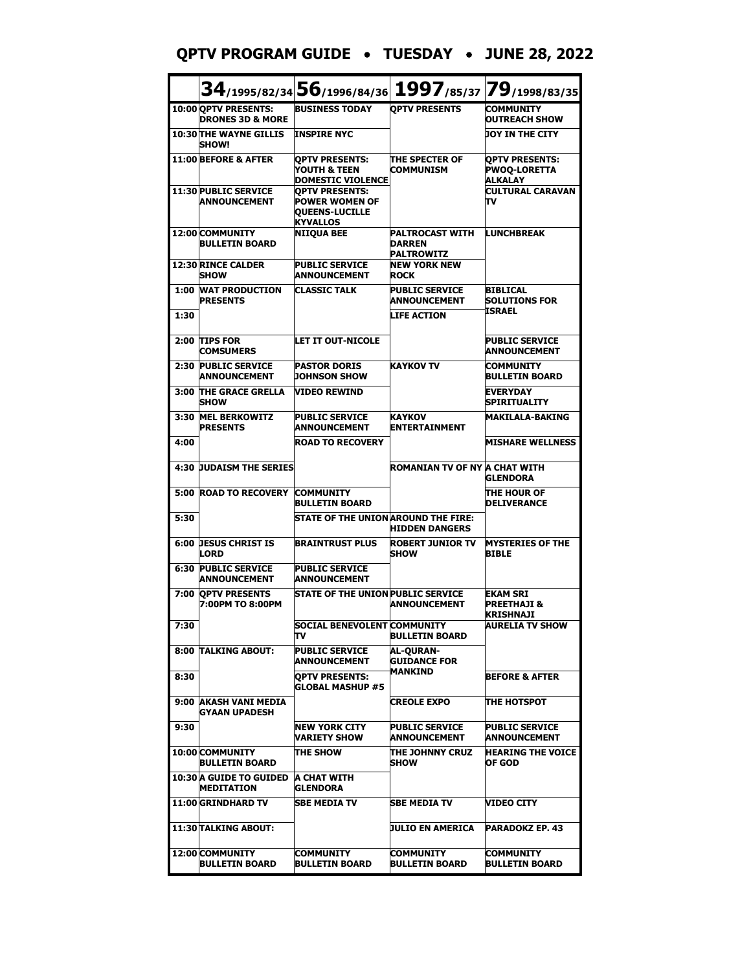#### **QPTV PROGRAM GUIDE** • **TUESDAY** • **JUNE 28, 2022**

|      |                                                          | 34/1995/82/34 56/1996/84/36 1997/85/37 79/1998/83/35                                       |                                                           |                                                                |
|------|----------------------------------------------------------|--------------------------------------------------------------------------------------------|-----------------------------------------------------------|----------------------------------------------------------------|
|      | 10:00 QPTV PRESENTS:<br><b>DRONES 3D &amp; MORE</b>      | <b>BUSINESS TODAY</b>                                                                      | <b>OPTV PRESENTS</b>                                      | <b>COMMUNITY</b><br><b>OUTREACH SHOW</b>                       |
|      | <b>10:30 THE WAYNE GILLIS</b><br><b>SHOW!</b>            | <b>INSPIRE NYC</b>                                                                         |                                                           | <b>JOY IN THE CITY</b>                                         |
|      | 11:00 BEFORE & AFTER                                     | <b>OPTV PRESENTS:</b><br>YOUTH & TEEN<br><b>DOMESTIC VIOLENCE</b>                          | <b>THE SPECTER OF</b><br><b>COMMUNISM</b>                 | <b>OPTV PRESENTS:</b><br><b>PWOQ-LORETTA</b><br><b>ALKALAY</b> |
|      | 11:30 PUBLIC SERVICE<br><b>ANNOUNCEMENT</b>              | <b>OPTV PRESENTS:</b><br><b>POWER WOMEN OF</b><br><b>QUEENS-LUCILLE</b><br><b>KYVALLOS</b> |                                                           | <b>CULTURAL CARAVAN</b><br>Tν                                  |
|      | 12:00 COMMUNITY<br><b>BULLETIN BOARD</b>                 | <b>NIIQUA BEE</b>                                                                          | <b>PALTROCAST WITH</b><br>DARREN<br>PALTROWITZ            | <b>LUNCHBREAK</b>                                              |
|      | 12:30 RINCE CALDER<br><b>SHOW</b>                        | <b>PUBLIC SERVICE</b><br><b>ANNOUNCEMENT</b>                                               | <b>NEW YORK NEW</b><br>ROCK                               |                                                                |
| 1:00 | <b>WAT PRODUCTION</b><br><b>PRESENTS</b>                 | <b>CLASSIC TALK</b>                                                                        | <b>PUBLIC SERVICE</b><br><b>ANNOUNCEMENT</b>              | <b>BIBLICAL</b><br><b>SOLUTIONS FOR</b><br>ISRAEL              |
| 1:30 |                                                          |                                                                                            | <b>LIFE ACTION</b>                                        |                                                                |
| 2:00 | <b>TIPS FOR</b><br><b>COMSUMERS</b>                      | <b>LET IT OUT-NICOLE</b>                                                                   |                                                           | <b>PUBLIC SERVICE</b><br><b>ANNOUNCEMENT</b>                   |
| 2:30 | <b>PUBLIC SERVICE</b><br><b>ANNOUNCEMENT</b>             | <b>PASTOR DORIS</b><br><b>JOHNSON SHOW</b>                                                 | <b>KAYKOV TV</b>                                          | <b>COMMUNITY</b><br><b>BULLETIN BOARD</b>                      |
| 3:00 | <b>THE GRACE GRELLA</b><br><b>SHOW</b>                   | <b>VIDEO REWIND</b>                                                                        |                                                           | <b>EVERYDAY</b><br>SPIRITUALITY                                |
| 3:30 | <b>MEL BERKOWITZ</b><br><b>PRESENTS</b>                  | <b>PUBLIC SERVICE</b><br><b>ANNOUNCEMENT</b>                                               | <b>KAYKOV</b><br><b>ENTERTAINMENT</b>                     | <b>MAKILALA-BAKING</b>                                         |
| 4:00 |                                                          | <b>ROAD TO RECOVERY</b>                                                                    |                                                           | <b>MISHARE WELLNESS</b>                                        |
|      | <b>4:30 JUDAISM THE SERIES</b>                           |                                                                                            | ROMANIAN TV OF NY A CHAT WITH                             | <b>GLENDORA</b>                                                |
|      | <b>5:00 ROAD TO RECOVERY</b>                             | <b>COMMUNITY</b><br><b>BULLETIN BOARD</b>                                                  |                                                           | THE HOUR OF<br><b>DELIVERANCE</b>                              |
| 5:30 |                                                          | <b>STATE OF THE UNION AROUND THE FIRE:</b>                                                 | <b>HIDDEN DANGERS</b>                                     |                                                                |
| 6:00 | <b>JESUS CHRIST IS</b><br><b>LORD</b>                    | <b>BRAINTRUST PLUS</b>                                                                     | <b>ROBERT JUNIOR TV</b><br><b>SHOW</b>                    | <b>MYSTERIES OF THE</b><br><b>BIBLE</b>                        |
| 6:30 | <b>PUBLIC SERVICE</b><br><b>ANNOUNCEMENT</b>             | <b>PUBLIC SERVICE</b><br><b>ANNOUNCEMENT</b>                                               |                                                           |                                                                |
| 7:00 | <b>OPTV PRESENTS</b><br>7:00PM TO 8:00PM                 | <b>STATE OF THE UNION PUBLIC SERVICE</b>                                                   | <b>ANNOUNCEMENT</b>                                       | <b>EKAM SRI</b><br><b>PREETHAJI &amp;</b><br><b>KRISHNAJI</b>  |
| 7:30 |                                                          | SOCIAL BENEVOLENT COMMUNITY<br>TV                                                          | <b>BULLETIN BOARD</b>                                     | AURELIA TV SHOW                                                |
|      | <b>8:00 TALKING ABOUT:</b>                               | <b>PUBLIC SERVICE</b><br>ANNOUNCEMENT                                                      | <b>AL-OURAN-</b><br><b>GUIDANCE FOR</b><br><b>MANKIND</b> |                                                                |
| 8:30 |                                                          | <b>OPTV PRESENTS:</b><br><b>GLOBAL MASHUP #5</b>                                           |                                                           | <b>BEFORE &amp; AFTER</b>                                      |
| 9:00 | <b>AKASH VANI MEDIA</b><br>GYAAN UPADESH                 |                                                                                            | <b>CREOLE EXPO</b>                                        | <b>THE HOTSPOT</b>                                             |
| 9:30 |                                                          | <b>NEW YORK CITY</b><br>VARIETY SHOW                                                       | <b>PUBLIC SERVICE</b><br><b>ANNOUNCEMENT</b>              | <b>PUBLIC SERVICE</b><br><b>ANNOUNCEMENT</b>                   |
|      | 10:00 COMMUNITY<br><b>BULLETIN BOARD</b>                 | <b>THE SHOW</b>                                                                            | THE JOHNNY CRUZ<br><b>SHOW</b>                            | <b>HEARING THE VOICE</b><br>OF GOD                             |
|      | 10:30 A GUIDE TO GUIDED A CHAT WITH<br><b>MEDITATION</b> | <b>GLENDORA</b>                                                                            |                                                           |                                                                |
|      | 11:00 GRINDHARD TV                                       | <b>SBE MEDIA TV</b>                                                                        | SBE MEDIA TV                                              | VIDEO CITY                                                     |
|      | 11:30 TALKING ABOUT:                                     |                                                                                            | JULIO EN AMERICA                                          | <b>PARADOKZ EP. 43</b>                                         |
|      | 12:00 COMMUNITY<br><b>BULLETIN BOARD</b>                 | <b>COMMUNITY</b><br><b>BULLETIN BOARD</b>                                                  | COMMUNITY<br><b>BULLETIN BOARD</b>                        | <b>COMMUNITY</b><br><b>BULLETIN BOARD</b>                      |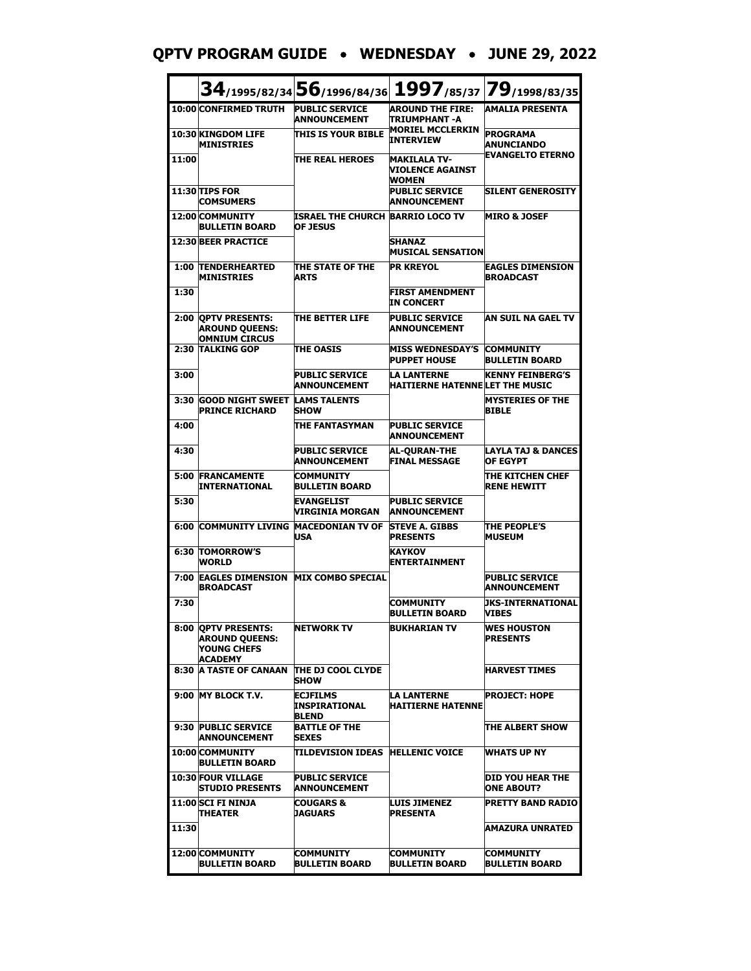**QPTV PROGRAM GUIDE** • **WEDNESDAY** • **JUNE 29, 2022**

|       |                                                                               |                                                     |                                                              | 34/1995/82/34 56/1996/84/36 1997/85/37 79/1998/83/35 |
|-------|-------------------------------------------------------------------------------|-----------------------------------------------------|--------------------------------------------------------------|------------------------------------------------------|
|       | 10:00 CONFIRMED TRUTH                                                         | <b>PUBLIC SERVICE</b><br><b>ANNOUNCEMENT</b>        | <b>AROUND THE FIRE:</b><br>ITRIUMPHANT -A                    | <b>AMALIA PRESENTA</b>                               |
|       | 10:30 KINGDOM LIFE<br><b>MINISTRIES</b>                                       | <b>THIS IS YOUR BIBLE</b>                           | <b>MORIEL MCCLERKIN</b><br><b>INTERVIEW</b>                  | <b>PROGRAMA</b><br><b>ANUNCIANDO</b>                 |
| 11:00 |                                                                               | THE REAL HEROES                                     | <b>MAKILALA TV-</b><br>VIOLENCE AGAINST<br><b>WOMEN</b>      | <b>EVANGELTO ETERNO</b>                              |
|       | 11:30 TIPS FOR<br><b>COMSUMERS</b>                                            |                                                     | <b>PUBLIC SERVICE</b><br><b>ANNOUNCEMENT</b>                 | <b>SILENT GENEROSITY</b>                             |
|       | 12:00 COMMUNITY<br><b>BULLETIN BOARD</b>                                      | ISRAEL THE CHURCH BARRIO LOCO TV<br><b>OF JESUS</b> |                                                              | <b>MIRO &amp; JOSEF</b>                              |
|       | <b>12:30 BEER PRACTICE</b>                                                    |                                                     | <b>SHANAZ</b><br><b>MUSICAL SENSATION</b>                    |                                                      |
|       | <b>1:00 TENDERHEARTED</b><br><b>MINISTRIES</b>                                | THE STATE OF THE<br><b>ARTS</b>                     | <b>PR KREYOL</b>                                             | <b>EAGLES DIMENSION</b><br><b>BROADCAST</b>          |
| 1:30  |                                                                               |                                                     | <b>FIRST AMENDMENT</b><br><b>IN CONCERT</b>                  |                                                      |
|       | 2:00 OPTV PRESENTS:<br><b>AROUND QUEENS:</b><br><b>OMNIUM CIRCUS</b>          | <b>THE BETTER LIFE</b>                              | <b>PUBLIC SERVICE</b><br><b>ANNOUNCEMENT</b>                 | AN SUIL NA GAEL TV                                   |
|       | 2:30 TALKING GOP                                                              | <b>THE OASIS</b>                                    | <b>MISS WEDNESDAY'S</b><br><b>PUPPET HOUSE</b>               | <b>COMMUNITY</b><br><b>BULLETIN BOARD</b>            |
| 3:00  |                                                                               | <b>PUBLIC SERVICE</b><br><b>ANNOUNCEMENT</b>        | <b>LA LANTERNE</b><br><b>HAITIERNE HATENNE LET THE MUSIC</b> | <b>KENNY FEINBERG'S</b>                              |
| 3:30  | <b>GOOD NIGHT SWEET</b><br><b>PRINCE RICHARD</b>                              | <b>LAMS TALENTS</b><br><b>SHOW</b>                  |                                                              | <b>MYSTERIES OF THE</b><br><b>BIBLE</b>              |
| 4:00  |                                                                               | THE FANTASYMAN                                      | <b>PUBLIC SERVICE</b><br><b>ANNOUNCEMENT</b>                 |                                                      |
| 4:30  |                                                                               | <b>PUBLIC SERVICE</b><br><b>ANNOUNCEMENT</b>        | <b>AL-OURAN-THE</b><br><b>FINAL MESSAGE</b>                  | <b>LAYLA TAJ &amp; DANCES</b><br><b>OF EGYPT</b>     |
| 5:00  | <b>FRANCAMENTE</b><br><b>INTERNATIONAL</b>                                    | <b>COMMUNITY</b><br><b>BULLETIN BOARD</b>           |                                                              | THE KITCHEN CHEF<br><b>RENE HEWITT</b>               |
| 5:30  |                                                                               | <b>EVANGELIST</b><br>VIRGINIA MORGAN                | <b>PUBLIC SERVICE</b><br><b>ANNOUNCEMENT</b>                 |                                                      |
|       | <b>6:00 COMMUNITY LIVING</b>                                                  | <b>MACEDONIAN TV OF</b><br><b>USA</b>               | <b>STEVE A. GIBBS</b><br><b>PRESENTS</b>                     | THE PEOPLE'S<br><b>MUSEUM</b>                        |
|       | <b>6:30 TOMORROW'S</b><br><b>WORLD</b>                                        |                                                     | <b>KAYKOV</b><br><b>ENTERTAINMENT</b>                        |                                                      |
|       | 7:00 EAGLES DIMENSION MIX COMBO SPECIAL<br><b>BROADCAST</b>                   |                                                     |                                                              | <b>PUBLIC SERVICE</b><br><b>ANNOUNCEMENT</b>         |
| 7:30  |                                                                               |                                                     | <b>COMMUNITY</b><br>BULLETIN BOARD                           | <b>JKS-INTERNATIONAL</b><br><b>VIBES</b>             |
|       | 8:00 QPTV PRESENTS:<br><b>AROUND QUEENS:</b><br>YOUNG CHEFS<br><b>ACADEMY</b> | <b>NETWORK TV</b>                                   | BUKHARIAN TV                                                 | <b>WES HOUSTON</b><br><b>PRESENTS</b>                |
|       | <b>8:30 A TASTE OF CANAAN</b>                                                 | THE DJ COOL CLYDE<br><b>SHOW</b>                    |                                                              | <b>HARVEST TIMES</b>                                 |
|       | 9:00 MY BLOCK T.V.                                                            | <b>ECJFILMS</b><br>INSPIRATIONAL<br><b>BLEND</b>    | <b>LA LANTERNE</b><br><b>HAITIERNE HATENNE</b>               | <b>IPROJECT: HOPE</b>                                |
|       | 9:30 PUBLIC SERVICE<br><b>ANNOUNCEMENT</b>                                    | <b>BATTLE OF THE</b><br><b>SEXES</b>                |                                                              | THE ALBERT SHOW                                      |
|       | 10:00 COMMUNITY<br><b>BULLETIN BOARD</b>                                      | TILDEVISION IDEAS HELLENIC VOICE                    |                                                              | WHATS UP NY                                          |
|       | <b>10:30 FOUR VILLAGE</b><br><b>STUDIO PRESENTS</b>                           | <b>PUBLIC SERVICE</b><br><b>ANNOUNCEMENT</b>        |                                                              | <b>DID YOU HEAR THE</b><br><b>ONE ABOUT?</b>         |
|       | 11:00 SCI FI NINJA<br><b>THEATER</b>                                          | <b>COUGARS &amp;</b><br><b>JAGUARS</b>              | <b>LUIS JIMENEZ</b><br><b>PRESENTA</b>                       | <b>PRETTY BAND RADIO</b>                             |
| 11:30 |                                                                               |                                                     |                                                              | AMAZURA UNRATED                                      |
|       | 12:00 COMMUNITY<br><b>BULLETIN BOARD</b>                                      | <b>COMMUNITY</b><br><b>BULLETIN BOARD</b>           | <b>COMMUNITY</b><br><b>BULLETIN BOARD</b>                    | <b>COMMUNITY</b><br><b>BULLETIN BOARD</b>            |